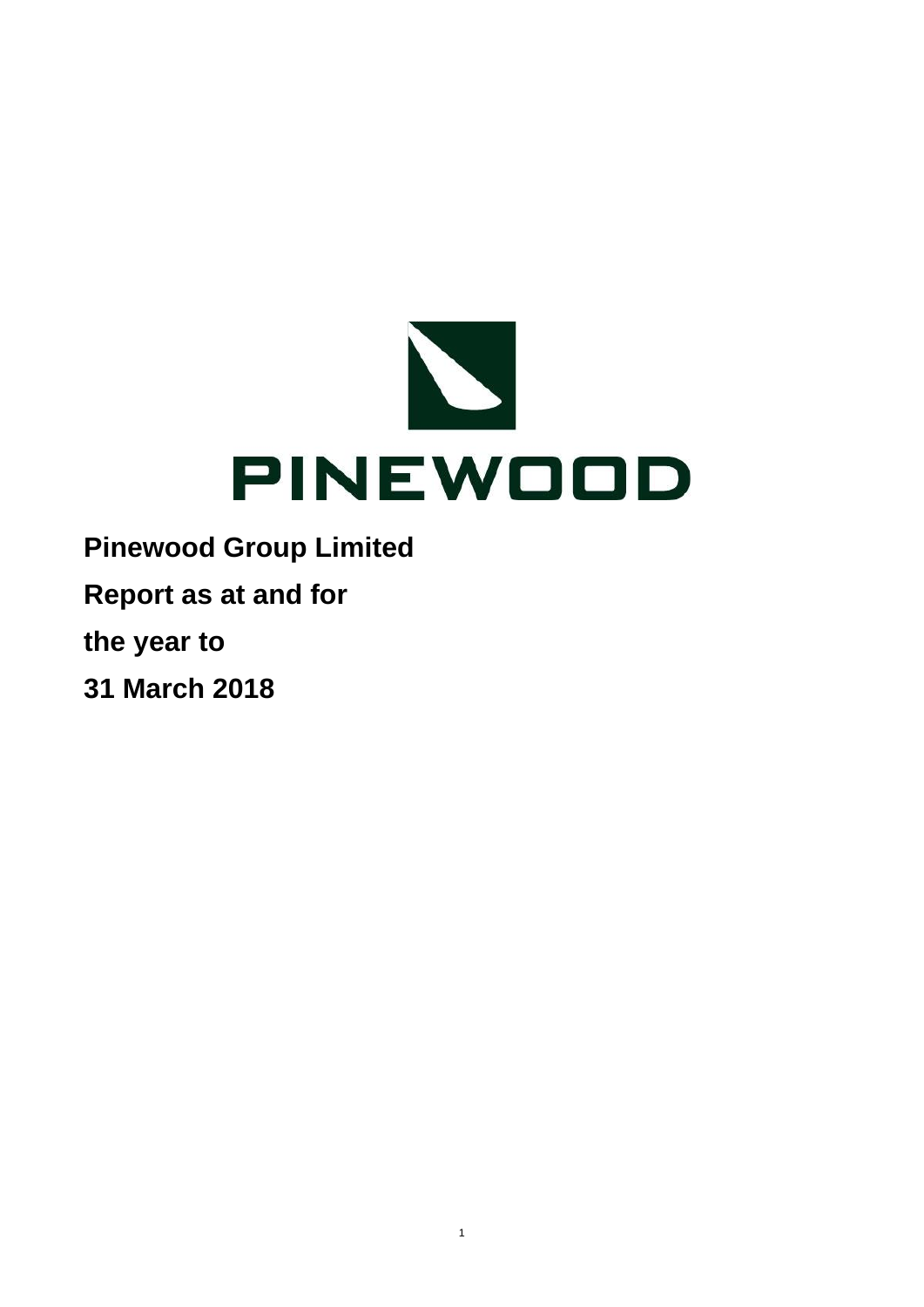

**Report as at and for**

**the year to**

**31 March 2018**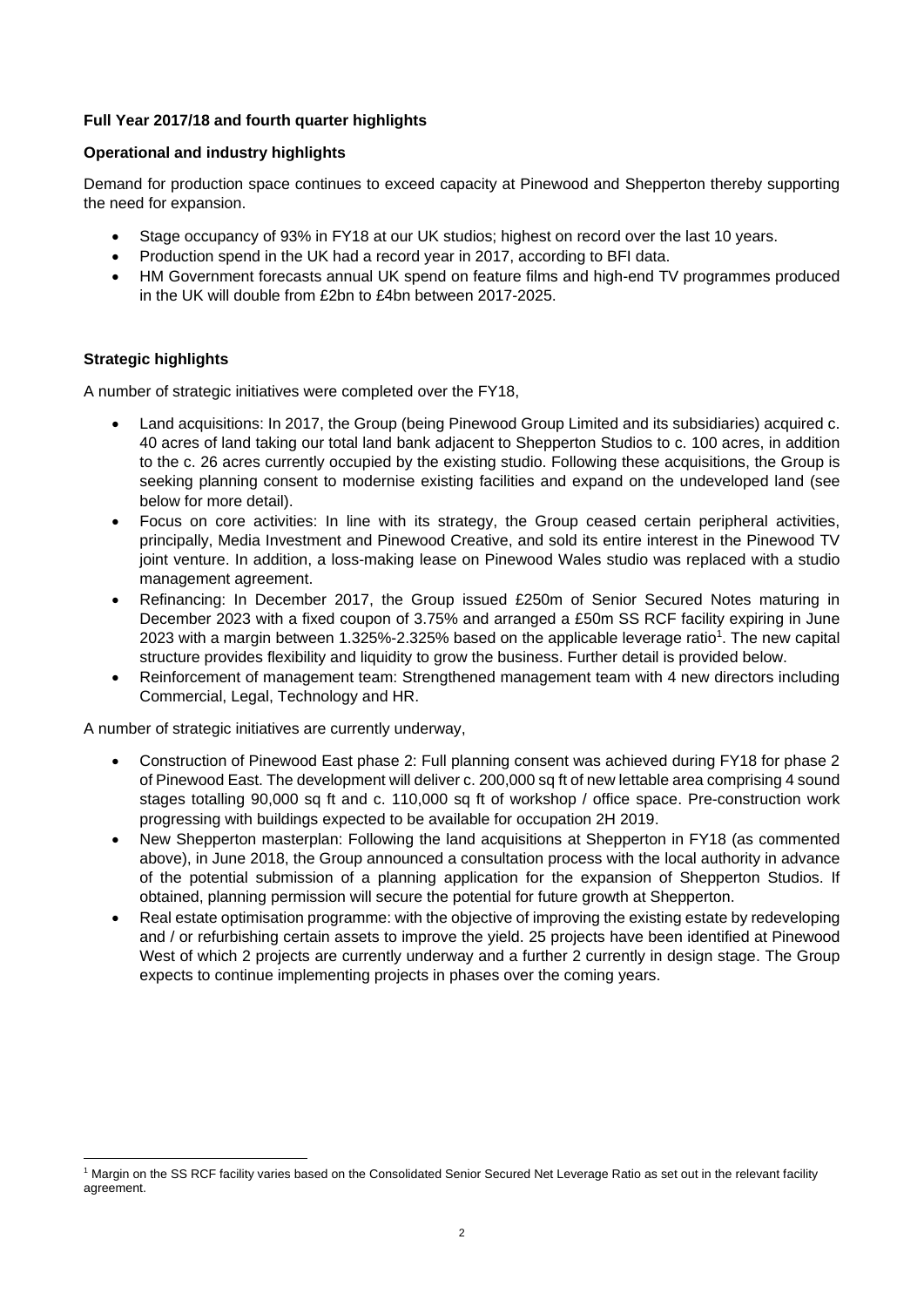## **Full Year 2017/18 and fourth quarter highlights**

## **Operational and industry highlights**

Demand for production space continues to exceed capacity at Pinewood and Shepperton thereby supporting the need for expansion.

- Stage occupancy of 93% in FY18 at our UK studios; highest on record over the last 10 years.
- Production spend in the UK had a record year in 2017, according to BFI data.
- HM Government forecasts annual UK spend on feature films and high-end TV programmes produced in the UK will double from £2bn to £4bn between 2017-2025.

## **Strategic highlights**

A number of strategic initiatives were completed over the FY18,

- Land acquisitions: In 2017, the Group (being Pinewood Group Limited and its subsidiaries) acquired c. 40 acres of land taking our total land bank adjacent to Shepperton Studios to c. 100 acres, in addition to the c. 26 acres currently occupied by the existing studio. Following these acquisitions, the Group is seeking planning consent to modernise existing facilities and expand on the undeveloped land (see below for more detail).
- Focus on core activities: In line with its strategy, the Group ceased certain peripheral activities, principally, Media Investment and Pinewood Creative, and sold its entire interest in the Pinewood TV joint venture. In addition, a loss-making lease on Pinewood Wales studio was replaced with a studio management agreement.
- Refinancing: In December 2017, the Group issued £250m of Senior Secured Notes maturing in December 2023 with a fixed coupon of 3.75% and arranged a £50m SS RCF facility expiring in June 2023 with a margin between 1.325%-2.325% based on the applicable leverage ratio<sup>1</sup>. The new capital structure provides flexibility and liquidity to grow the business. Further detail is provided below.
- Reinforcement of management team: Strengthened management team with 4 new directors including Commercial, Legal, Technology and HR.

A number of strategic initiatives are currently underway,

- Construction of Pinewood East phase 2: Full planning consent was achieved during FY18 for phase 2 of Pinewood East. The development will deliver c. 200,000 sq ft of new lettable area comprising 4 sound stages totalling 90,000 sq ft and c. 110,000 sq ft of workshop / office space. Pre-construction work progressing with buildings expected to be available for occupation 2H 2019.
- New Shepperton masterplan: Following the land acquisitions at Shepperton in FY18 (as commented above), in June 2018, the Group announced a consultation process with the local authority in advance of the potential submission of a planning application for the expansion of Shepperton Studios. If obtained, planning permission will secure the potential for future growth at Shepperton.
- Real estate optimisation programme: with the objective of improving the existing estate by redeveloping and / or refurbishing certain assets to improve the yield. 25 projects have been identified at Pinewood West of which 2 projects are currently underway and a further 2 currently in design stage. The Group expects to continue implementing projects in phases over the coming years.

 $\overline{\phantom{a}}$ <sup>1</sup> Margin on the SS RCF facility varies based on the Consolidated Senior Secured Net Leverage Ratio as set out in the relevant facility agreement.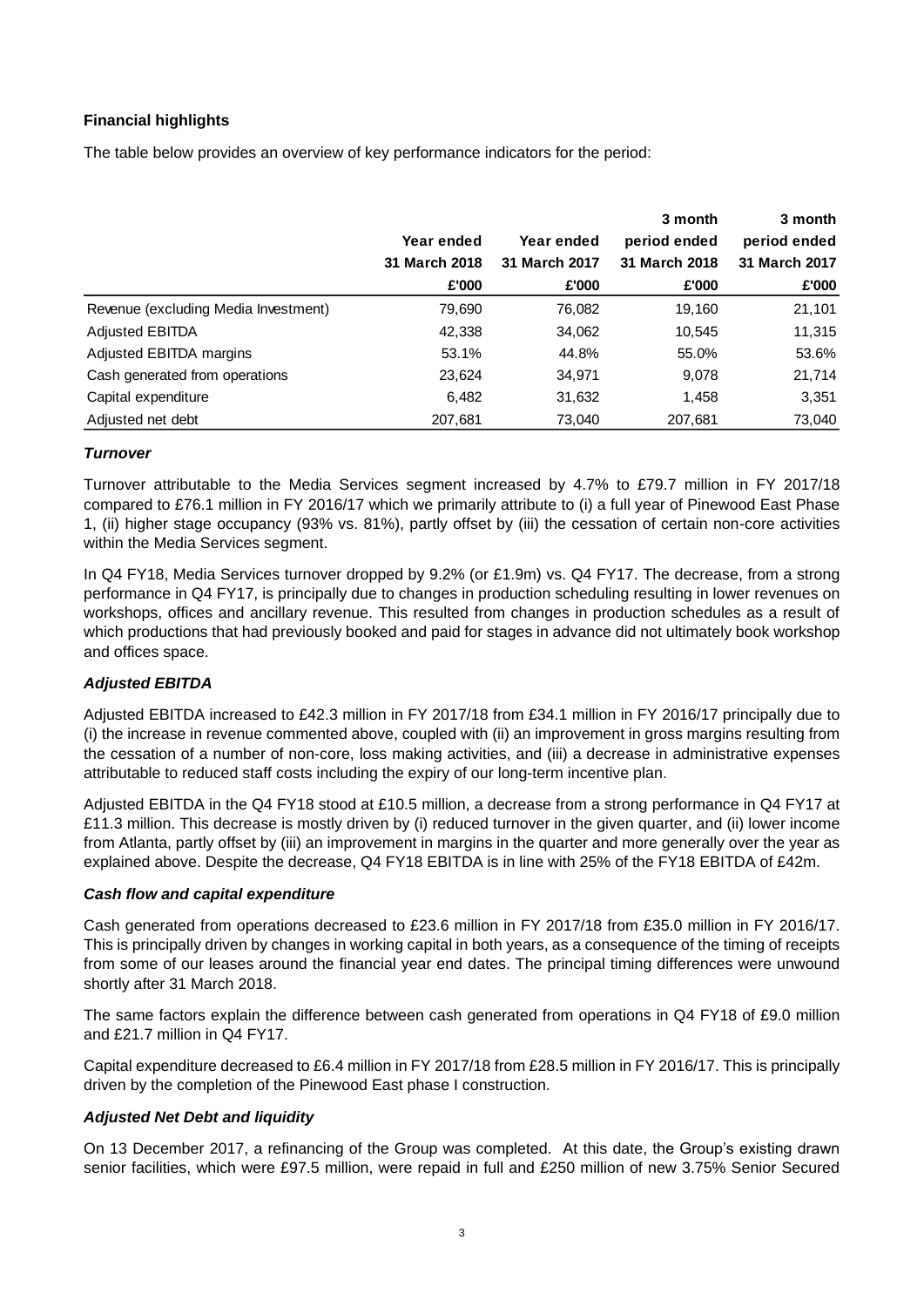## **Financial highlights**

The table below provides an overview of key performance indicators for the period:

|                                      |               |               | 3 month       | 3 month       |
|--------------------------------------|---------------|---------------|---------------|---------------|
|                                      | Year ended    | Year ended    | period ended  | period ended  |
|                                      | 31 March 2018 | 31 March 2017 | 31 March 2018 | 31 March 2017 |
|                                      | £'000         | £'000         | £'000         | £'000         |
| Revenue (excluding Media Investment) | 79,690        | 76,082        | 19,160        | 21,101        |
| <b>Adjusted EBITDA</b>               | 42,338        | 34,062        | 10,545        | 11,315        |
| Adjusted EBITDA margins              | 53.1%         | 44.8%         | 55.0%         | 53.6%         |
| Cash generated from operations       | 23,624        | 34,971        | 9,078         | 21,714        |
| Capital expenditure                  | 6,482         | 31,632        | 1,458         | 3,351         |
| Adjusted net debt                    | 207,681       | 73,040        | 207,681       | 73,040        |

## *Turnover*

Turnover attributable to the Media Services segment increased by 4.7% to £79.7 million in FY 2017/18 compared to £76.1 million in FY 2016/17 which we primarily attribute to (i) a full year of Pinewood East Phase 1, (ii) higher stage occupancy (93% vs. 81%), partly offset by (iii) the cessation of certain non-core activities within the Media Services segment.

In Q4 FY18, Media Services turnover dropped by 9.2% (or £1.9m) vs. Q4 FY17. The decrease, from a strong performance in Q4 FY17, is principally due to changes in production scheduling resulting in lower revenues on workshops, offices and ancillary revenue. This resulted from changes in production schedules as a result of which productions that had previously booked and paid for stages in advance did not ultimately book workshop and offices space.

## *Adjusted EBITDA*

Adjusted EBITDA increased to £42.3 million in FY 2017/18 from £34.1 million in FY 2016/17 principally due to (i) the increase in revenue commented above, coupled with (ii) an improvement in gross margins resulting from the cessation of a number of non-core, loss making activities, and (iii) a decrease in administrative expenses attributable to reduced staff costs including the expiry of our long-term incentive plan.

Adjusted EBITDA in the Q4 FY18 stood at £10.5 million, a decrease from a strong performance in Q4 FY17 at £11.3 million. This decrease is mostly driven by (i) reduced turnover in the given quarter, and (ii) lower income from Atlanta, partly offset by (iii) an improvement in margins in the quarter and more generally over the year as explained above. Despite the decrease, Q4 FY18 EBITDA is in line with 25% of the FY18 EBITDA of £42m.

## *Cash flow and capital expenditure*

Cash generated from operations decreased to £23.6 million in FY 2017/18 from £35.0 million in FY 2016/17. This is principally driven by changes in working capital in both years, as a consequence of the timing of receipts from some of our leases around the financial year end dates. The principal timing differences were unwound shortly after 31 March 2018.

The same factors explain the difference between cash generated from operations in Q4 FY18 of £9.0 million and £21.7 million in Q4 FY17.

Capital expenditure decreased to £6.4 million in FY 2017/18 from £28.5 million in FY 2016/17. This is principally driven by the completion of the Pinewood East phase I construction.

## *Adjusted Net Debt and liquidity*

On 13 December 2017, a refinancing of the Group was completed. At this date, the Group's existing drawn senior facilities, which were £97.5 million, were repaid in full and £250 million of new 3.75% Senior Secured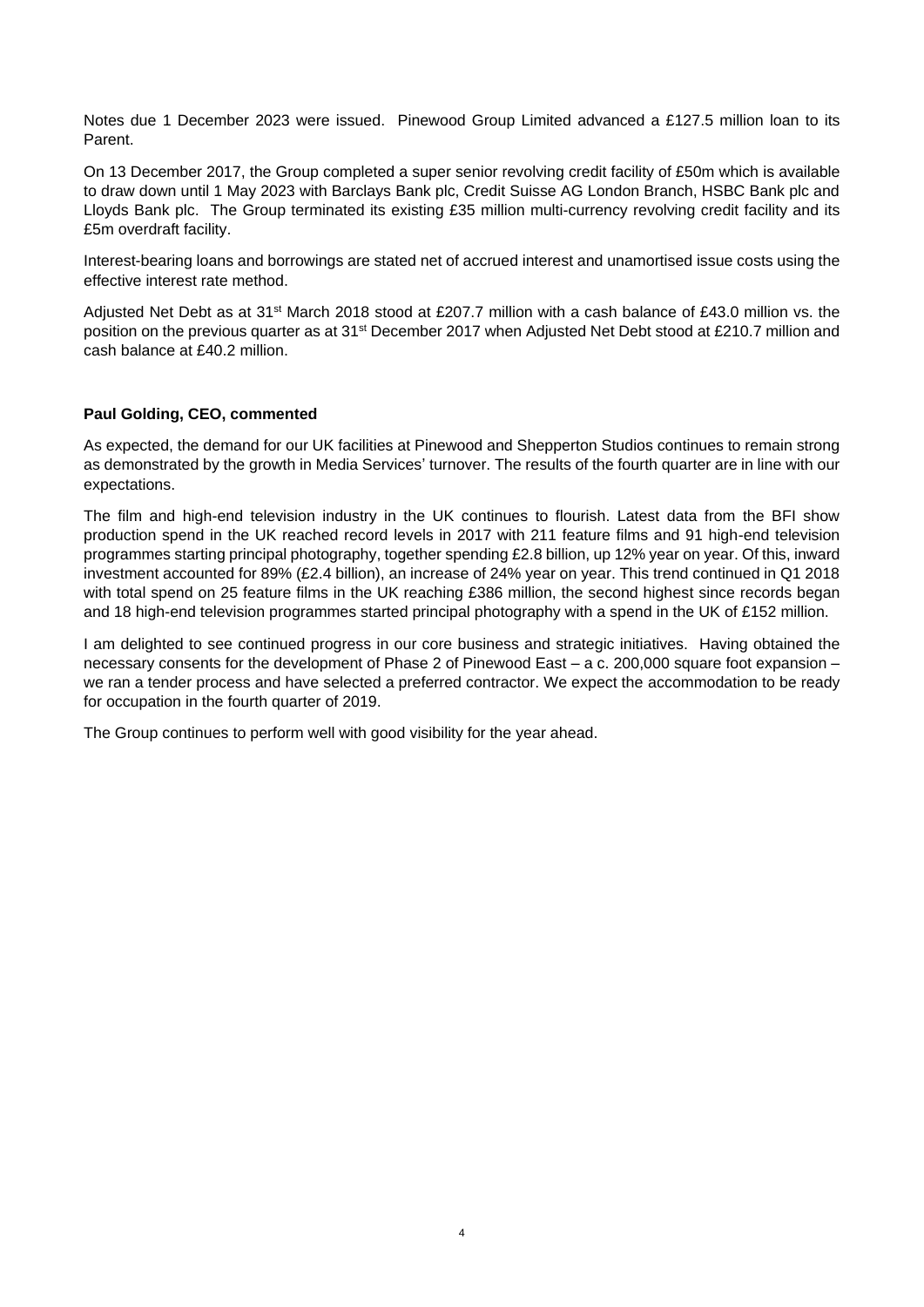Notes due 1 December 2023 were issued. Pinewood Group Limited advanced a £127.5 million loan to its Parent.

On 13 December 2017, the Group completed a super senior revolving credit facility of £50m which is available to draw down until 1 May 2023 with Barclays Bank plc, Credit Suisse AG London Branch, HSBC Bank plc and Lloyds Bank plc. The Group terminated its existing £35 million multi-currency revolving credit facility and its £5m overdraft facility.

Interest-bearing loans and borrowings are stated net of accrued interest and unamortised issue costs using the effective interest rate method.

Adjusted Net Debt as at 31<sup>st</sup> March 2018 stood at £207.7 million with a cash balance of £43.0 million vs. the position on the previous quarter as at 31<sup>st</sup> December 2017 when Adjusted Net Debt stood at £210.7 million and cash balance at £40.2 million.

## **Paul Golding, CEO, commented**

As expected, the demand for our UK facilities at Pinewood and Shepperton Studios continues to remain strong as demonstrated by the growth in Media Services' turnover. The results of the fourth quarter are in line with our expectations.

The film and high-end television industry in the UK continues to flourish. Latest data from the BFI show production spend in the UK reached record levels in 2017 with 211 feature films and 91 high-end television programmes starting principal photography, together spending £2.8 billion, up 12% year on year. Of this, inward investment accounted for 89% (£2.4 billion), an increase of 24% year on year. This trend continued in Q1 2018 with total spend on 25 feature films in the UK reaching £386 million, the second highest since records began and 18 high-end television programmes started principal photography with a spend in the UK of £152 million.

I am delighted to see continued progress in our core business and strategic initiatives. Having obtained the necessary consents for the development of Phase 2 of Pinewood East – a c. 200,000 square foot expansion – we ran a tender process and have selected a preferred contractor. We expect the accommodation to be ready for occupation in the fourth quarter of 2019.

The Group continues to perform well with good visibility for the year ahead.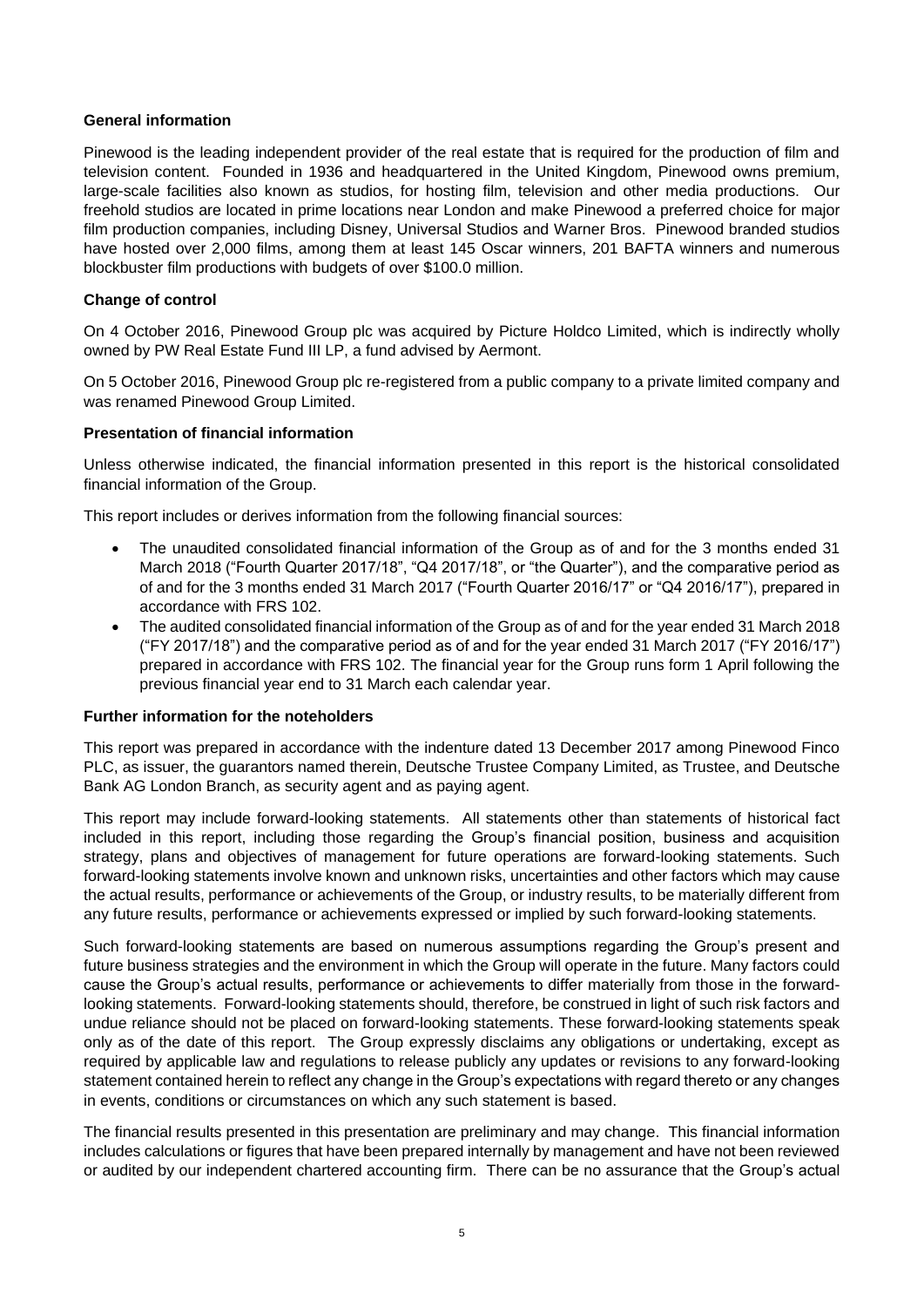## **General information**

Pinewood is the leading independent provider of the real estate that is required for the production of film and television content. Founded in 1936 and headquartered in the United Kingdom, Pinewood owns premium, large-scale facilities also known as studios, for hosting film, television and other media productions. Our freehold studios are located in prime locations near London and make Pinewood a preferred choice for major film production companies, including Disney, Universal Studios and Warner Bros. Pinewood branded studios have hosted over 2,000 films, among them at least 145 Oscar winners, 201 BAFTA winners and numerous blockbuster film productions with budgets of over \$100.0 million.

## **Change of control**

On 4 October 2016, Pinewood Group plc was acquired by Picture Holdco Limited, which is indirectly wholly owned by PW Real Estate Fund III LP, a fund advised by Aermont.

On 5 October 2016, Pinewood Group plc re-registered from a public company to a private limited company and was renamed Pinewood Group Limited.

## **Presentation of financial information**

Unless otherwise indicated, the financial information presented in this report is the historical consolidated financial information of the Group.

This report includes or derives information from the following financial sources:

- The unaudited consolidated financial information of the Group as of and for the 3 months ended 31 March 2018 ("Fourth Quarter 2017/18", "Q4 2017/18", or "the Quarter"), and the comparative period as of and for the 3 months ended 31 March 2017 ("Fourth Quarter 2016/17" or "Q4 2016/17"), prepared in accordance with FRS 102.
- The audited consolidated financial information of the Group as of and for the year ended 31 March 2018 ("FY 2017/18") and the comparative period as of and for the year ended 31 March 2017 ("FY 2016/17") prepared in accordance with FRS 102. The financial year for the Group runs form 1 April following the previous financial year end to 31 March each calendar year.

## **Further information for the noteholders**

This report was prepared in accordance with the indenture dated 13 December 2017 among Pinewood Finco PLC, as issuer, the guarantors named therein, Deutsche Trustee Company Limited, as Trustee, and Deutsche Bank AG London Branch, as security agent and as paying agent.

This report may include forward-looking statements. All statements other than statements of historical fact included in this report, including those regarding the Group's financial position, business and acquisition strategy, plans and objectives of management for future operations are forward-looking statements. Such forward-looking statements involve known and unknown risks, uncertainties and other factors which may cause the actual results, performance or achievements of the Group, or industry results, to be materially different from any future results, performance or achievements expressed or implied by such forward-looking statements.

Such forward-looking statements are based on numerous assumptions regarding the Group's present and future business strategies and the environment in which the Group will operate in the future. Many factors could cause the Group's actual results, performance or achievements to differ materially from those in the forwardlooking statements. Forward-looking statements should, therefore, be construed in light of such risk factors and undue reliance should not be placed on forward-looking statements. These forward-looking statements speak only as of the date of this report. The Group expressly disclaims any obligations or undertaking, except as required by applicable law and regulations to release publicly any updates or revisions to any forward-looking statement contained herein to reflect any change in the Group's expectations with regard thereto or any changes in events, conditions or circumstances on which any such statement is based.

The financial results presented in this presentation are preliminary and may change. This financial information includes calculations or figures that have been prepared internally by management and have not been reviewed or audited by our independent chartered accounting firm. There can be no assurance that the Group's actual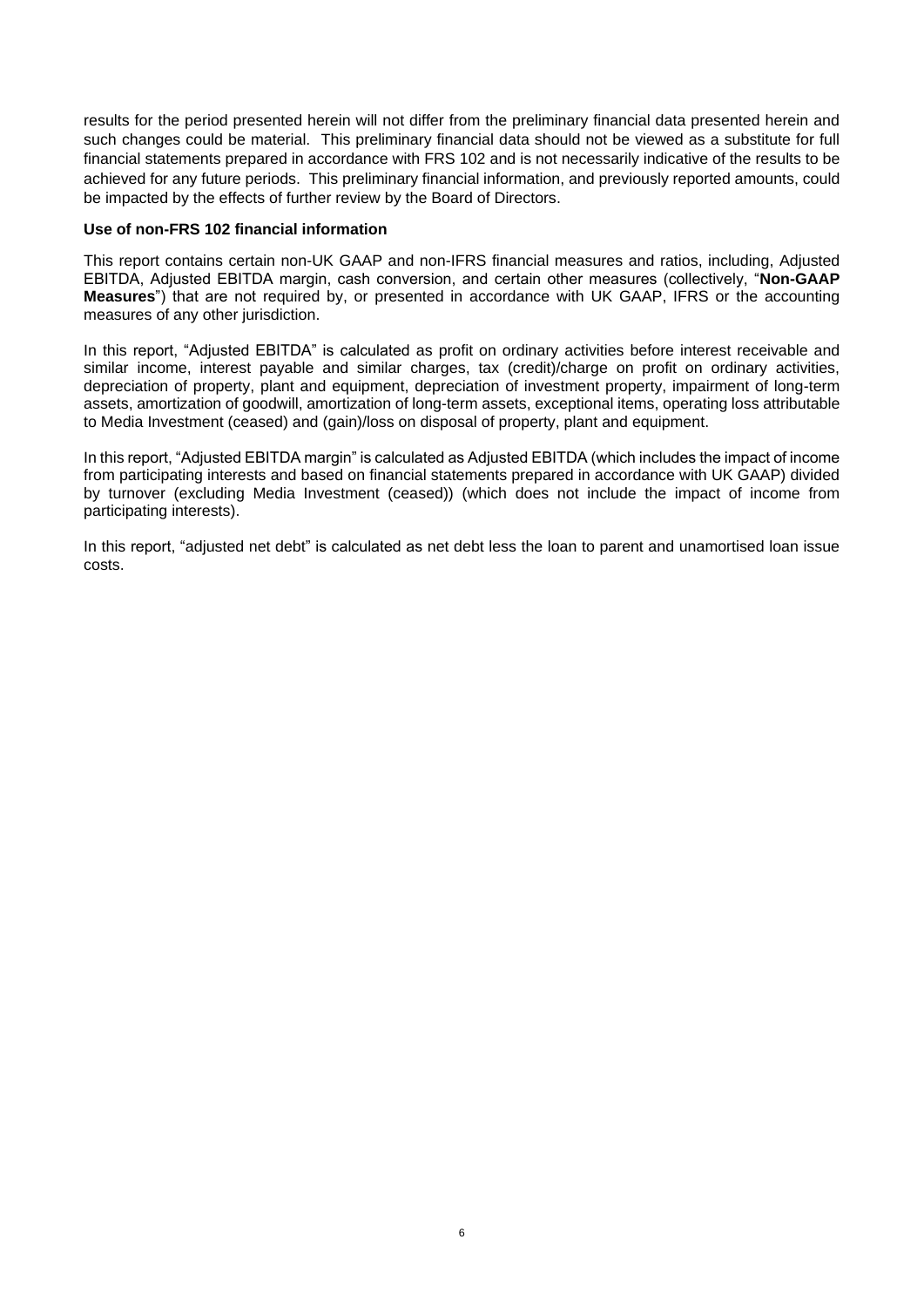results for the period presented herein will not differ from the preliminary financial data presented herein and such changes could be material. This preliminary financial data should not be viewed as a substitute for full financial statements prepared in accordance with FRS 102 and is not necessarily indicative of the results to be achieved for any future periods. This preliminary financial information, and previously reported amounts, could be impacted by the effects of further review by the Board of Directors.

## **Use of non-FRS 102 financial information**

This report contains certain non-UK GAAP and non-IFRS financial measures and ratios, including, Adjusted EBITDA, Adjusted EBITDA margin, cash conversion, and certain other measures (collectively, "**Non-GAAP Measures**") that are not required by, or presented in accordance with UK GAAP, IFRS or the accounting measures of any other jurisdiction.

In this report, "Adjusted EBITDA" is calculated as profit on ordinary activities before interest receivable and similar income, interest payable and similar charges, tax (credit)/charge on profit on ordinary activities, depreciation of property, plant and equipment, depreciation of investment property, impairment of long-term assets, amortization of goodwill, amortization of long-term assets, exceptional items, operating loss attributable to Media Investment (ceased) and (gain)/loss on disposal of property, plant and equipment.

In this report, "Adjusted EBITDA margin" is calculated as Adjusted EBITDA (which includes the impact of income from participating interests and based on financial statements prepared in accordance with UK GAAP) divided by turnover (excluding Media Investment (ceased)) (which does not include the impact of income from participating interests).

In this report, "adjusted net debt" is calculated as net debt less the loan to parent and unamortised loan issue costs.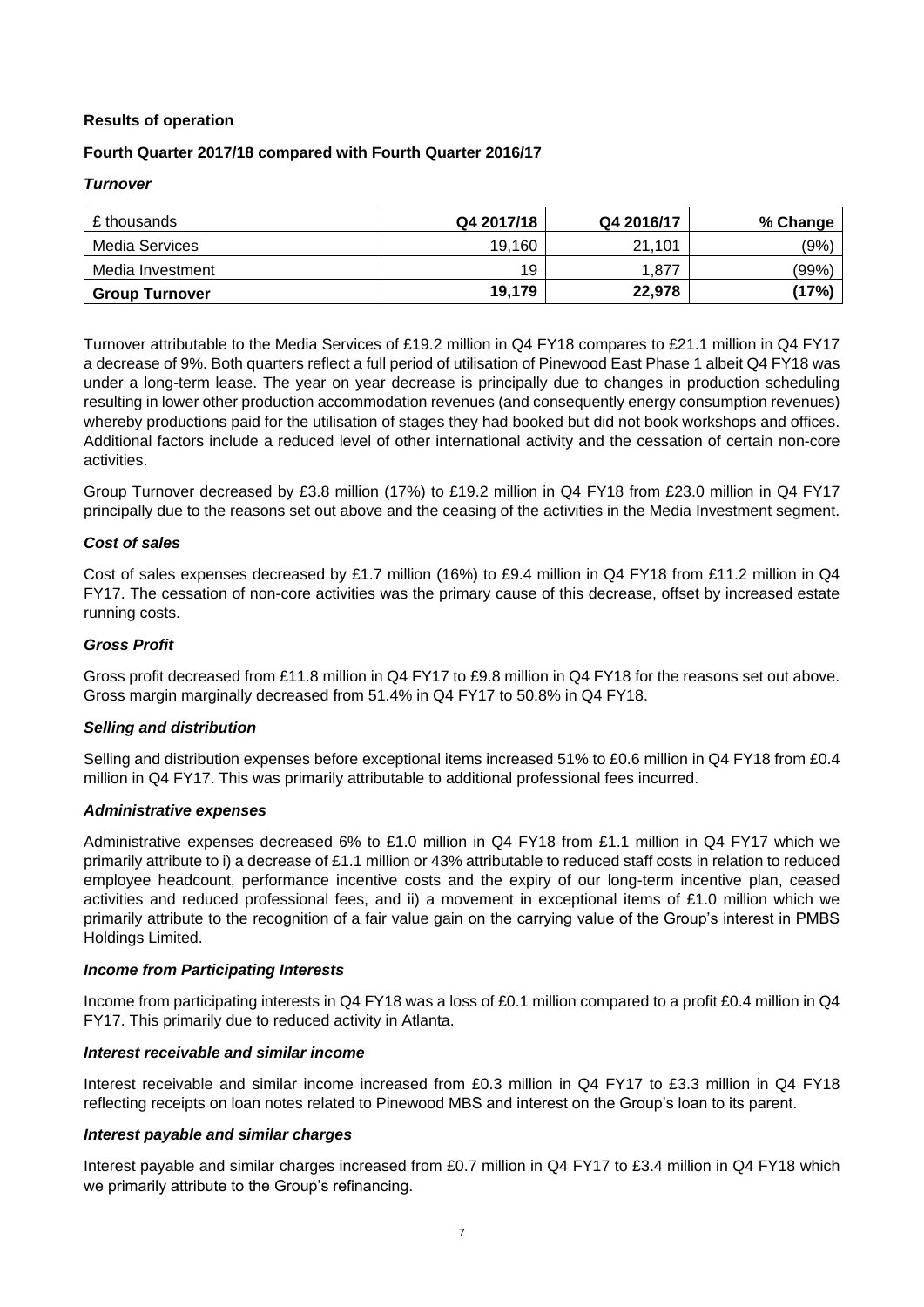## **Results of operation**

## **Fourth Quarter 2017/18 compared with Fourth Quarter 2016/17**

## *Turnover*

| £ thousands           | Q4 2017/18 | Q4 2016/17 | % Change |
|-----------------------|------------|------------|----------|
| Media Services        | 19.160     | 21.101     | (9%)     |
| Media Investment      | 19         | 1.877      | (99%     |
| <b>Group Turnover</b> | 19,179     | 22,978     | (17%)    |

Turnover attributable to the Media Services of £19.2 million in Q4 FY18 compares to £21.1 million in Q4 FY17 a decrease of 9%. Both quarters reflect a full period of utilisation of Pinewood East Phase 1 albeit Q4 FY18 was under a long-term lease. The year on year decrease is principally due to changes in production scheduling resulting in lower other production accommodation revenues (and consequently energy consumption revenues) whereby productions paid for the utilisation of stages they had booked but did not book workshops and offices. Additional factors include a reduced level of other international activity and the cessation of certain non-core activities.

Group Turnover decreased by £3.8 million (17%) to £19.2 million in Q4 FY18 from £23.0 million in Q4 FY17 principally due to the reasons set out above and the ceasing of the activities in the Media Investment segment.

## *Cost of sales*

Cost of sales expenses decreased by £1.7 million (16%) to £9.4 million in Q4 FY18 from £11.2 million in Q4 FY17. The cessation of non-core activities was the primary cause of this decrease, offset by increased estate running costs.

## *Gross Profit*

Gross profit decreased from £11.8 million in Q4 FY17 to £9.8 million in Q4 FY18 for the reasons set out above. Gross margin marginally decreased from 51.4% in Q4 FY17 to 50.8% in Q4 FY18.

## *Selling and distribution*

Selling and distribution expenses before exceptional items increased 51% to £0.6 million in Q4 FY18 from £0.4 million in Q4 FY17. This was primarily attributable to additional professional fees incurred.

## *Administrative expenses*

Administrative expenses decreased 6% to £1.0 million in Q4 FY18 from £1.1 million in Q4 FY17 which we primarily attribute to i) a decrease of £1.1 million or 43% attributable to reduced staff costs in relation to reduced employee headcount, performance incentive costs and the expiry of our long-term incentive plan, ceased activities and reduced professional fees, and ii) a movement in exceptional items of £1.0 million which we primarily attribute to the recognition of a fair value gain on the carrying value of the Group's interest in PMBS Holdings Limited.

## *Income from Participating Interests*

Income from participating interests in Q4 FY18 was a loss of £0.1 million compared to a profit £0.4 million in Q4 FY17. This primarily due to reduced activity in Atlanta.

## *Interest receivable and similar income*

Interest receivable and similar income increased from £0.3 million in Q4 FY17 to £3.3 million in Q4 FY18 reflecting receipts on loan notes related to Pinewood MBS and interest on the Group's loan to its parent.

## *Interest payable and similar charges*

Interest payable and similar charges increased from £0.7 million in Q4 FY17 to £3.4 million in Q4 FY18 which we primarily attribute to the Group's refinancing.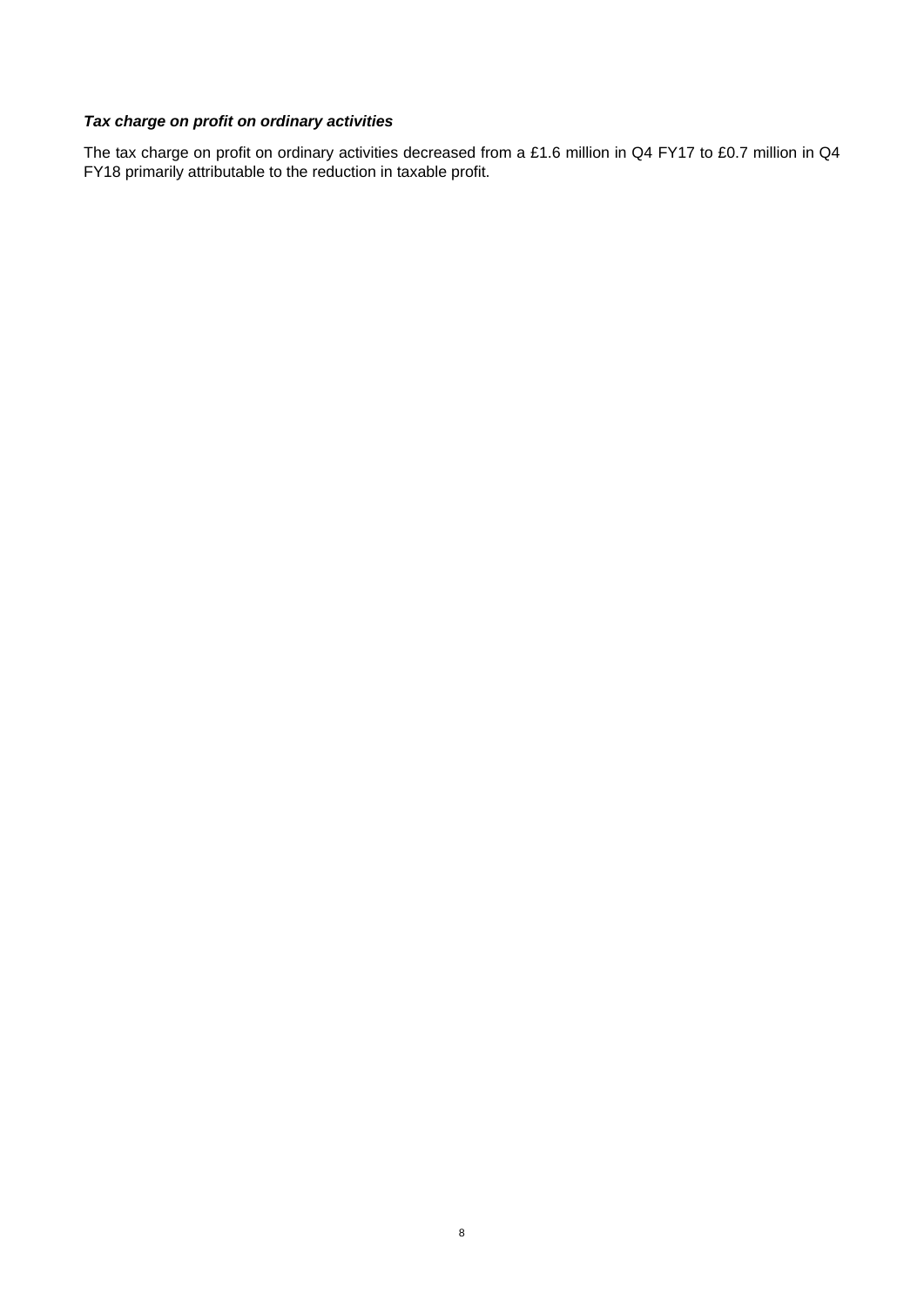## *Tax charge on profit on ordinary activities*

The tax charge on profit on ordinary activities decreased from a £1.6 million in Q4 FY17 to £0.7 million in Q4 FY18 primarily attributable to the reduction in taxable profit.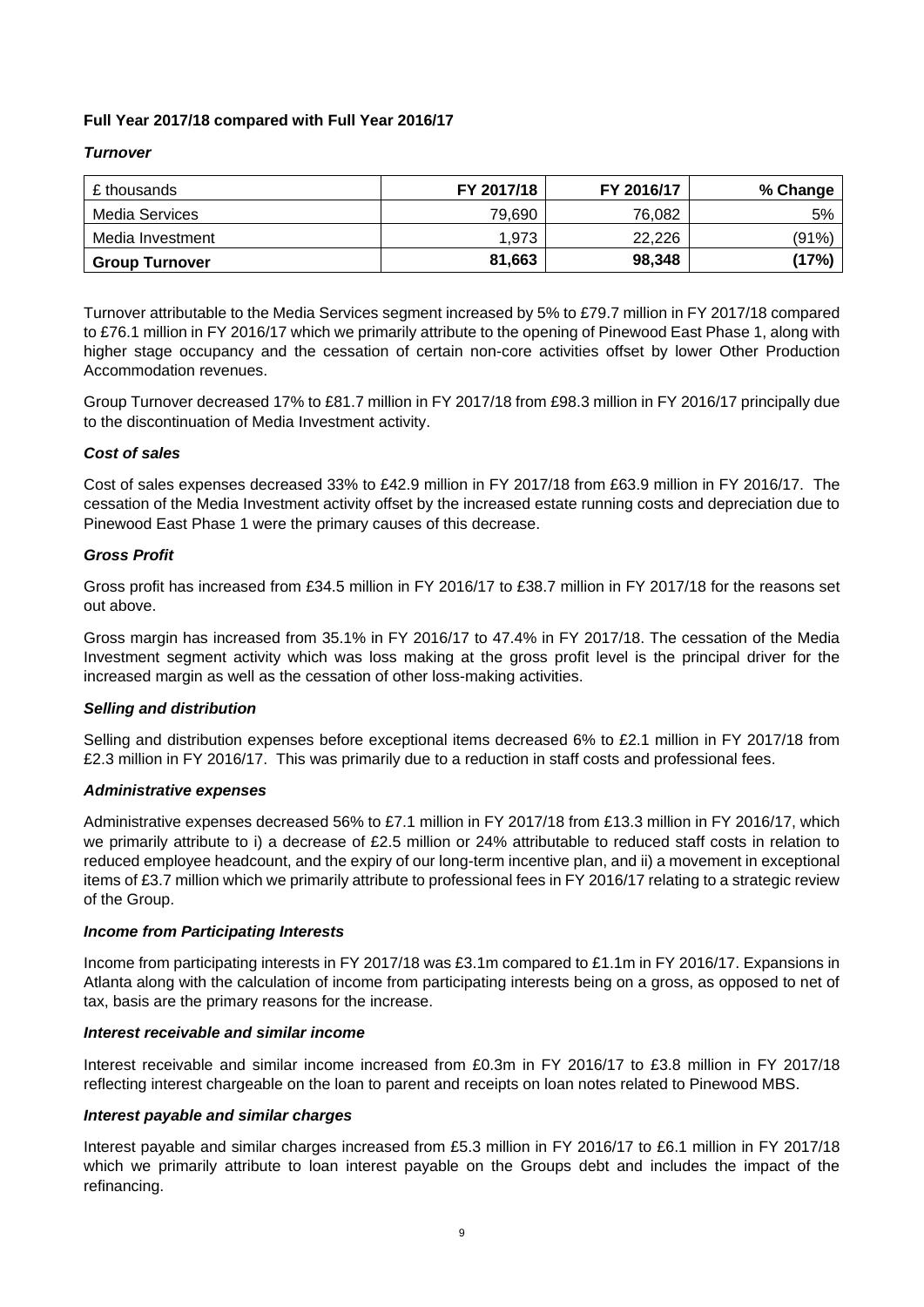## **Full Year 2017/18 compared with Full Year 2016/17**

## *Turnover*

| £ thousands           | FY 2017/18 | FY 2016/17 | % Change |
|-----------------------|------------|------------|----------|
| Media Services        | 79,690     | 76,082     | 5%       |
| Media Investment      | 1.973      | 22.226     | $(91\%)$ |
| <b>Group Turnover</b> | 81,663     | 98,348     | (17%)    |

Turnover attributable to the Media Services segment increased by 5% to £79.7 million in FY 2017/18 compared to £76.1 million in FY 2016/17 which we primarily attribute to the opening of Pinewood East Phase 1, along with higher stage occupancy and the cessation of certain non-core activities offset by lower Other Production Accommodation revenues.

Group Turnover decreased 17% to £81.7 million in FY 2017/18 from £98.3 million in FY 2016/17 principally due to the discontinuation of Media Investment activity.

## *Cost of sales*

Cost of sales expenses decreased 33% to £42.9 million in FY 2017/18 from £63.9 million in FY 2016/17. The cessation of the Media Investment activity offset by the increased estate running costs and depreciation due to Pinewood East Phase 1 were the primary causes of this decrease.

## *Gross Profit*

Gross profit has increased from £34.5 million in FY 2016/17 to £38.7 million in FY 2017/18 for the reasons set out above.

Gross margin has increased from 35.1% in FY 2016/17 to 47.4% in FY 2017/18. The cessation of the Media Investment segment activity which was loss making at the gross profit level is the principal driver for the increased margin as well as the cessation of other loss-making activities.

## *Selling and distribution*

Selling and distribution expenses before exceptional items decreased 6% to £2.1 million in FY 2017/18 from £2.3 million in FY 2016/17. This was primarily due to a reduction in staff costs and professional fees.

## *Administrative expenses*

Administrative expenses decreased 56% to £7.1 million in FY 2017/18 from £13.3 million in FY 2016/17, which we primarily attribute to i) a decrease of £2.5 million or 24% attributable to reduced staff costs in relation to reduced employee headcount, and the expiry of our long-term incentive plan, and ii) a movement in exceptional items of £3.7 million which we primarily attribute to professional fees in FY 2016/17 relating to a strategic review of the Group.

## *Income from Participating Interests*

Income from participating interests in FY 2017/18 was £3.1m compared to £1.1m in FY 2016/17. Expansions in Atlanta along with the calculation of income from participating interests being on a gross, as opposed to net of tax, basis are the primary reasons for the increase.

## *Interest receivable and similar income*

Interest receivable and similar income increased from £0.3m in FY 2016/17 to £3.8 million in FY 2017/18 reflecting interest chargeable on the loan to parent and receipts on loan notes related to Pinewood MBS.

## *Interest payable and similar charges*

Interest payable and similar charges increased from £5.3 million in FY 2016/17 to £6.1 million in FY 2017/18 which we primarily attribute to loan interest payable on the Groups debt and includes the impact of the refinancing.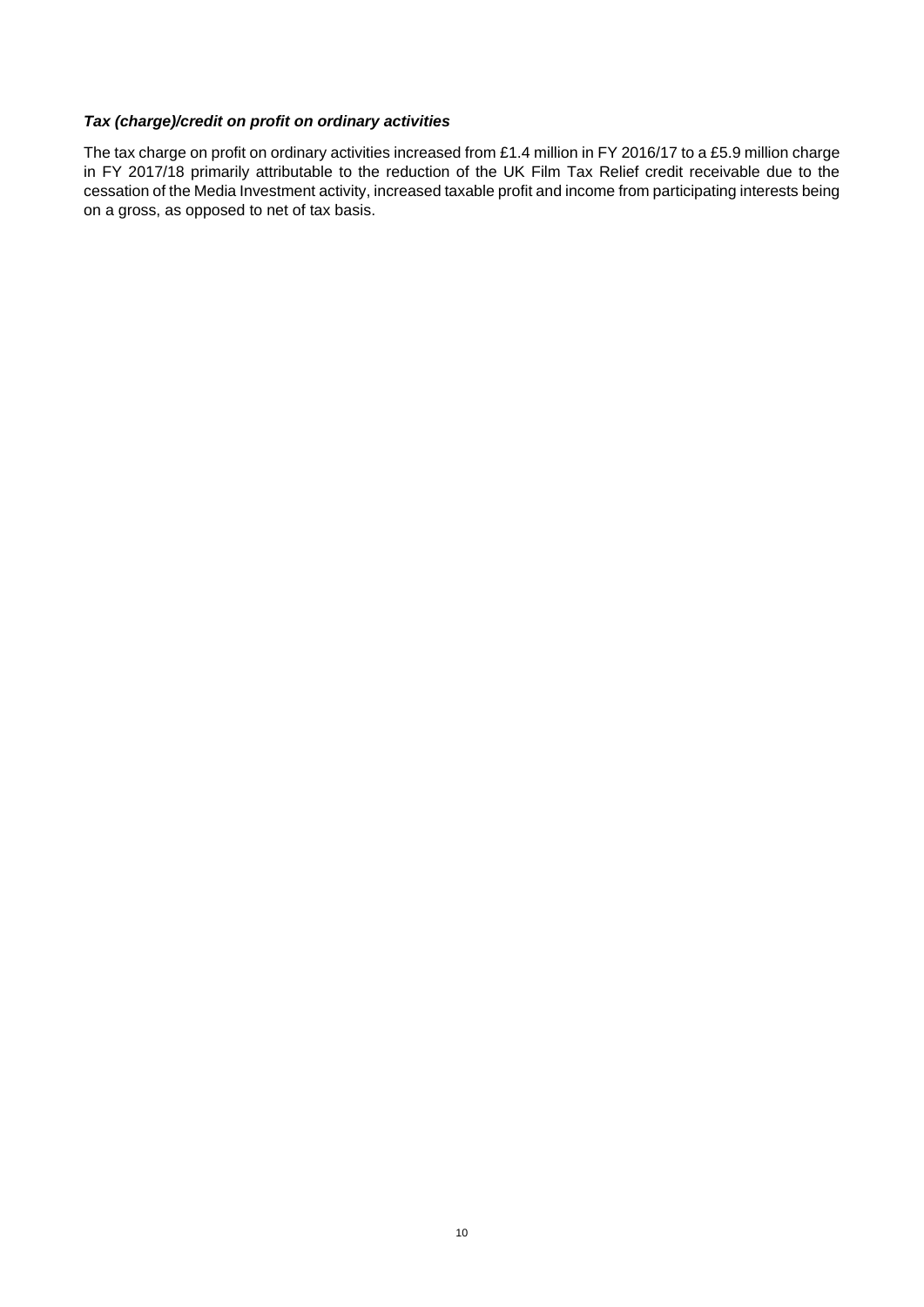## *Tax (charge)/credit on profit on ordinary activities*

The tax charge on profit on ordinary activities increased from £1.4 million in FY 2016/17 to a £5.9 million charge in FY 2017/18 primarily attributable to the reduction of the UK Film Tax Relief credit receivable due to the cessation of the Media Investment activity, increased taxable profit and income from participating interests being on a gross, as opposed to net of tax basis.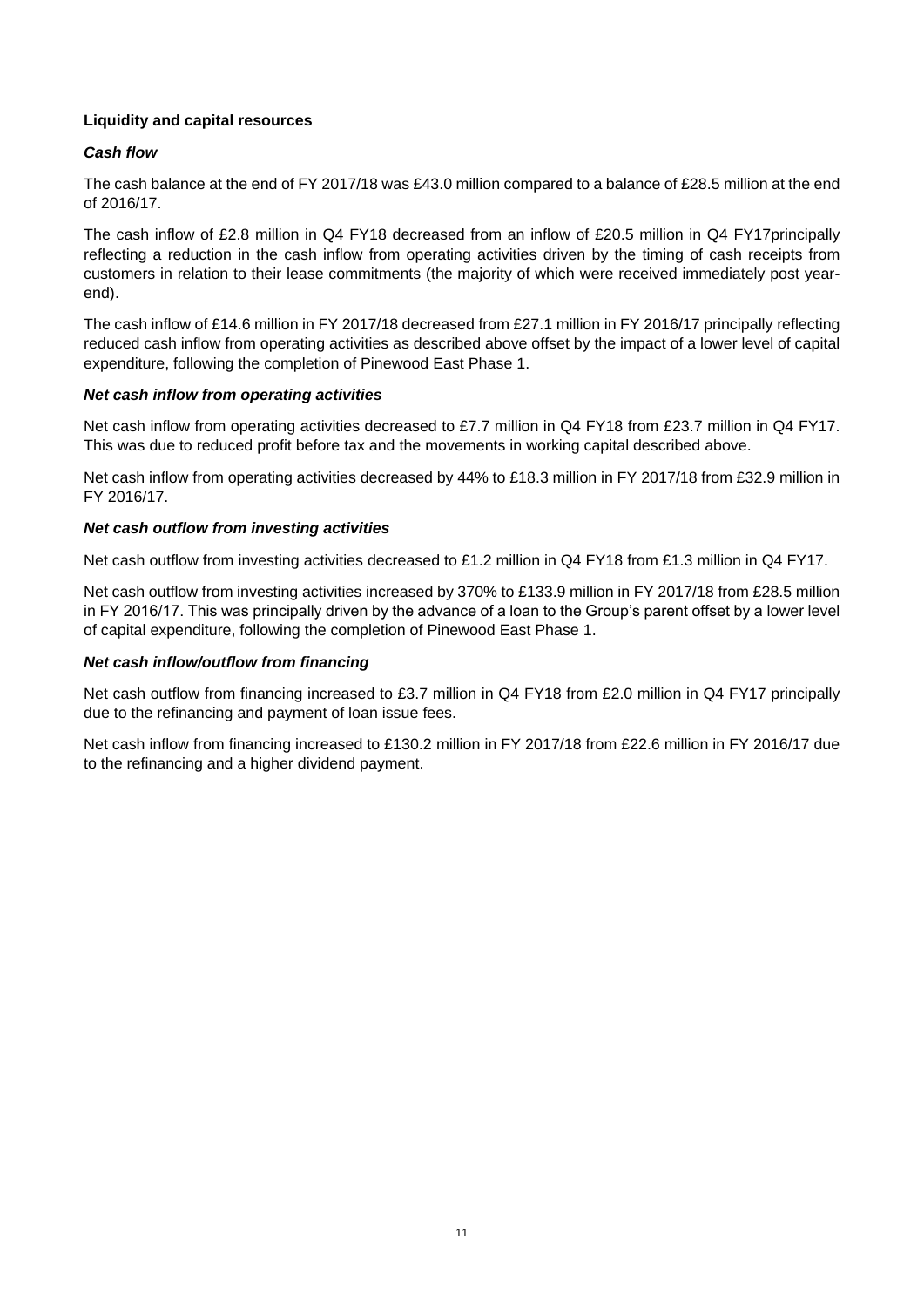## **Liquidity and capital resources**

## *Cash flow*

The cash balance at the end of FY 2017/18 was £43.0 million compared to a balance of £28.5 million at the end of 2016/17.

The cash inflow of £2.8 million in Q4 FY18 decreased from an inflow of £20.5 million in Q4 FY17principally reflecting a reduction in the cash inflow from operating activities driven by the timing of cash receipts from customers in relation to their lease commitments (the majority of which were received immediately post yearend).

The cash inflow of £14.6 million in FY 2017/18 decreased from £27.1 million in FY 2016/17 principally reflecting reduced cash inflow from operating activities as described above offset by the impact of a lower level of capital expenditure, following the completion of Pinewood East Phase 1.

## *Net cash inflow from operating activities*

Net cash inflow from operating activities decreased to £7.7 million in Q4 FY18 from £23.7 million in Q4 FY17. This was due to reduced profit before tax and the movements in working capital described above.

Net cash inflow from operating activities decreased by 44% to £18.3 million in FY 2017/18 from £32.9 million in FY 2016/17.

## *Net cash outflow from investing activities*

Net cash outflow from investing activities decreased to £1.2 million in Q4 FY18 from £1.3 million in Q4 FY17.

Net cash outflow from investing activities increased by 370% to £133.9 million in FY 2017/18 from £28.5 million in FY 2016/17. This was principally driven by the advance of a loan to the Group's parent offset by a lower level of capital expenditure, following the completion of Pinewood East Phase 1.

## *Net cash inflow/outflow from financing*

Net cash outflow from financing increased to £3.7 million in Q4 FY18 from £2.0 million in Q4 FY17 principally due to the refinancing and payment of loan issue fees.

Net cash inflow from financing increased to £130.2 million in FY 2017/18 from £22.6 million in FY 2016/17 due to the refinancing and a higher dividend payment.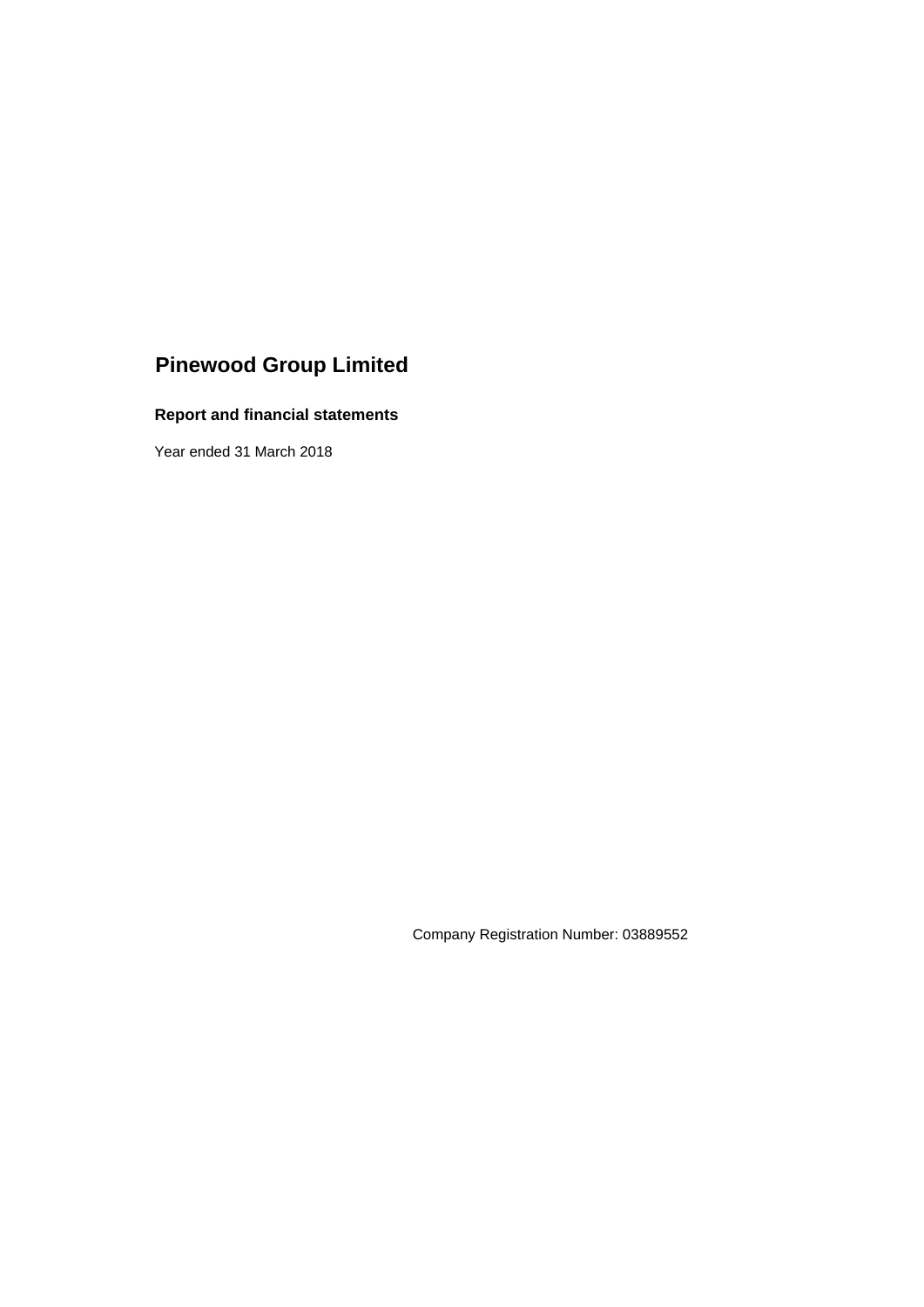# **Report and financial statements**

Year ended 31 March 2018

Company Registration Number: 03889552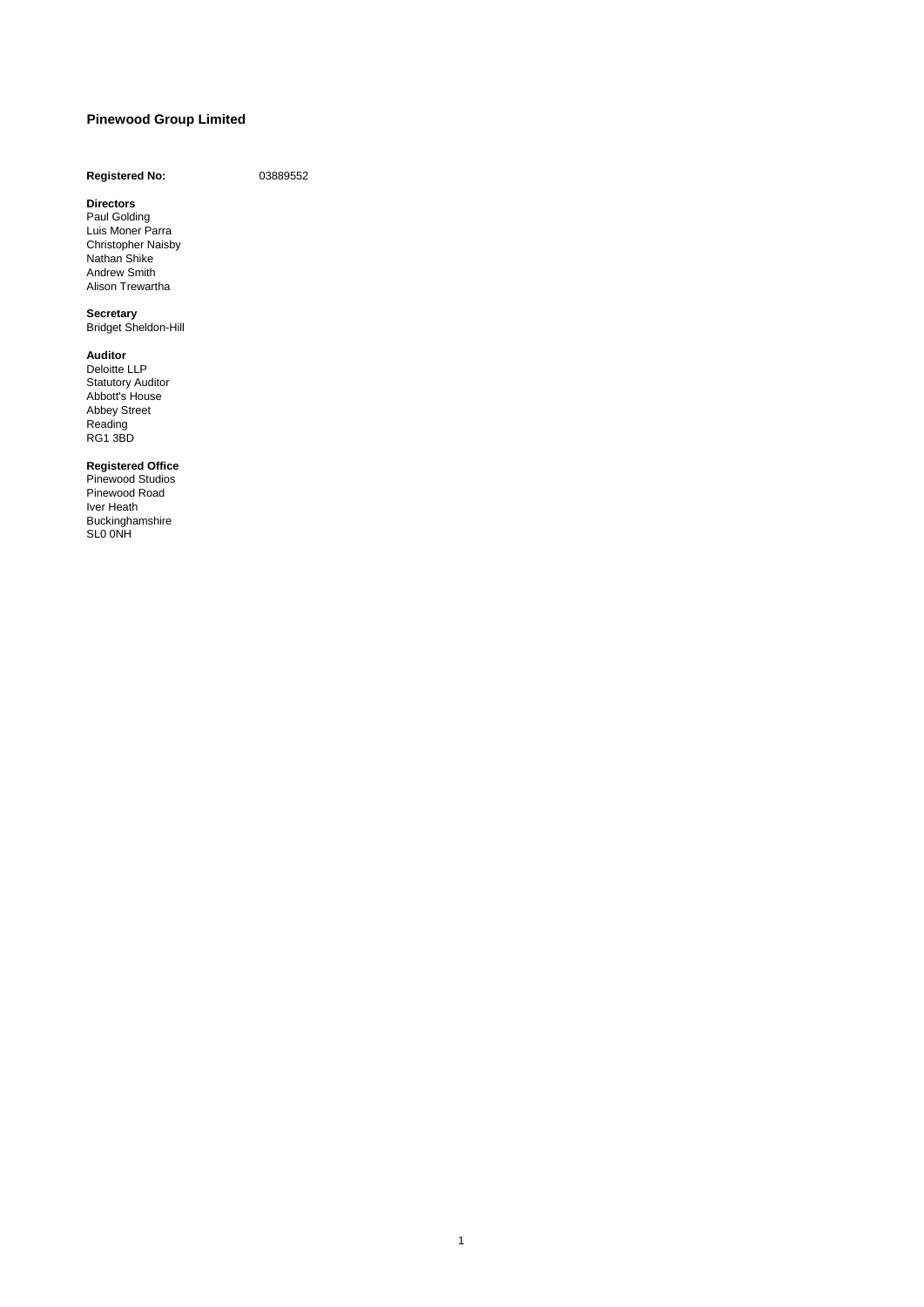## **Registered No:** 03889552

## **Directors**

Paul Golding Luis Moner Parra Christopher Naisby Nathan Shike Andrew Smith Alison Trewartha

#### **Secretary**

Bridget Sheldon-Hill

#### **Auditor**

Deloitte LLP Statutory Auditor Abbott's House Abbey Street Reading RG1 3BD

#### **Registered Office**

Pinewood Studios Pinewood Road Iver Heath Buckinghamshire SL0 0NH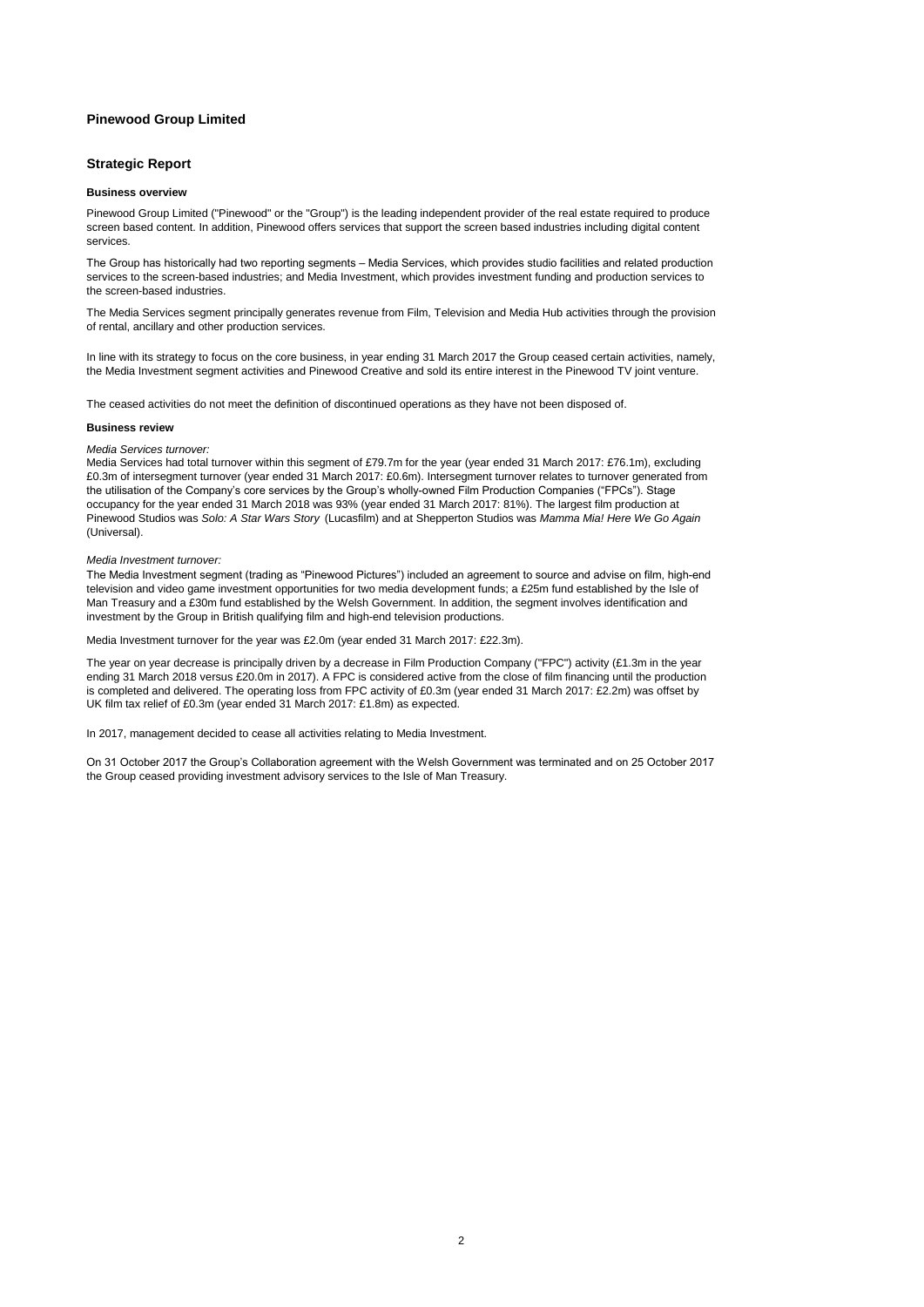### **Strategic Report**

### **Business overview**

Pinewood Group Limited ("Pinewood" or the "Group") is the leading independent provider of the real estate required to produce screen based content. In addition, Pinewood offers services that support the screen based industries including digital content services.

The Group has historically had two reporting segments – Media Services, which provides studio facilities and related production services to the screen-based industries; and Media Investment, which provides investment funding and production services to the screen-based industries.

The Media Services segment principally generates revenue from Film, Television and Media Hub activities through the provision of rental, ancillary and other production services.

In line with its strategy to focus on the core business, in year ending 31 March 2017 the Group ceased certain activities, namely, the Media Investment segment activities and Pinewood Creative and sold its entire interest in the Pinewood TV joint venture.

The ceased activities do not meet the definition of discontinued operations as they have not been disposed of.

### **Business review**

#### *Media Services turnover:*

Media Services had total turnover within this segment of £79.7m for the year (year ended 31 March 2017: £76.1m), excluding £0.3m of intersegment turnover (year ended 31 March 2017: £0.6m). Intersegment turnover relates to turnover generated from the utilisation of the Company's core services by the Group's wholly-owned Film Production Companies ("FPCs"). Stage occupancy for the year ended 31 March 2018 was 93% (year ended 31 March 2017: 81%). The largest film production at Pinewood Studios was *Solo: A Star Wars Story* (Lucasfilm) and at Shepperton Studios was *Mamma Mia! Here We Go Again*  (Universal).

#### *Media Investment turnover:*

The Media Investment segment (trading as "Pinewood Pictures") included an agreement to source and advise on film, high-end television and video game investment opportunities for two media development funds; a £25m fund established by the Isle of Man Treasury and a £30m fund established by the Welsh Government. In addition, the segment involves identification and investment by the Group in British qualifying film and high-end television productions.

Media Investment turnover for the year was £2.0m (year ended 31 March 2017: £22.3m).

The year on year decrease is principally driven by a decrease in Film Production Company ("FPC") activity (£1.3m in the year ending 31 March 2018 versus £20.0m in 2017). A FPC is considered active from the close of film financing until the production is completed and delivered. The operating loss from FPC activity of £0.3m (year ended 31 March 2017: £2.2m) was offset by UK film tax relief of £0.3m (year ended 31 March 2017: £1.8m) as expected.

In 2017, management decided to cease all activities relating to Media Investment.

On 31 October 2017 the Group's Collaboration agreement with the Welsh Government was terminated and on 25 October 2017 the Group ceased providing investment advisory services to the Isle of Man Treasury.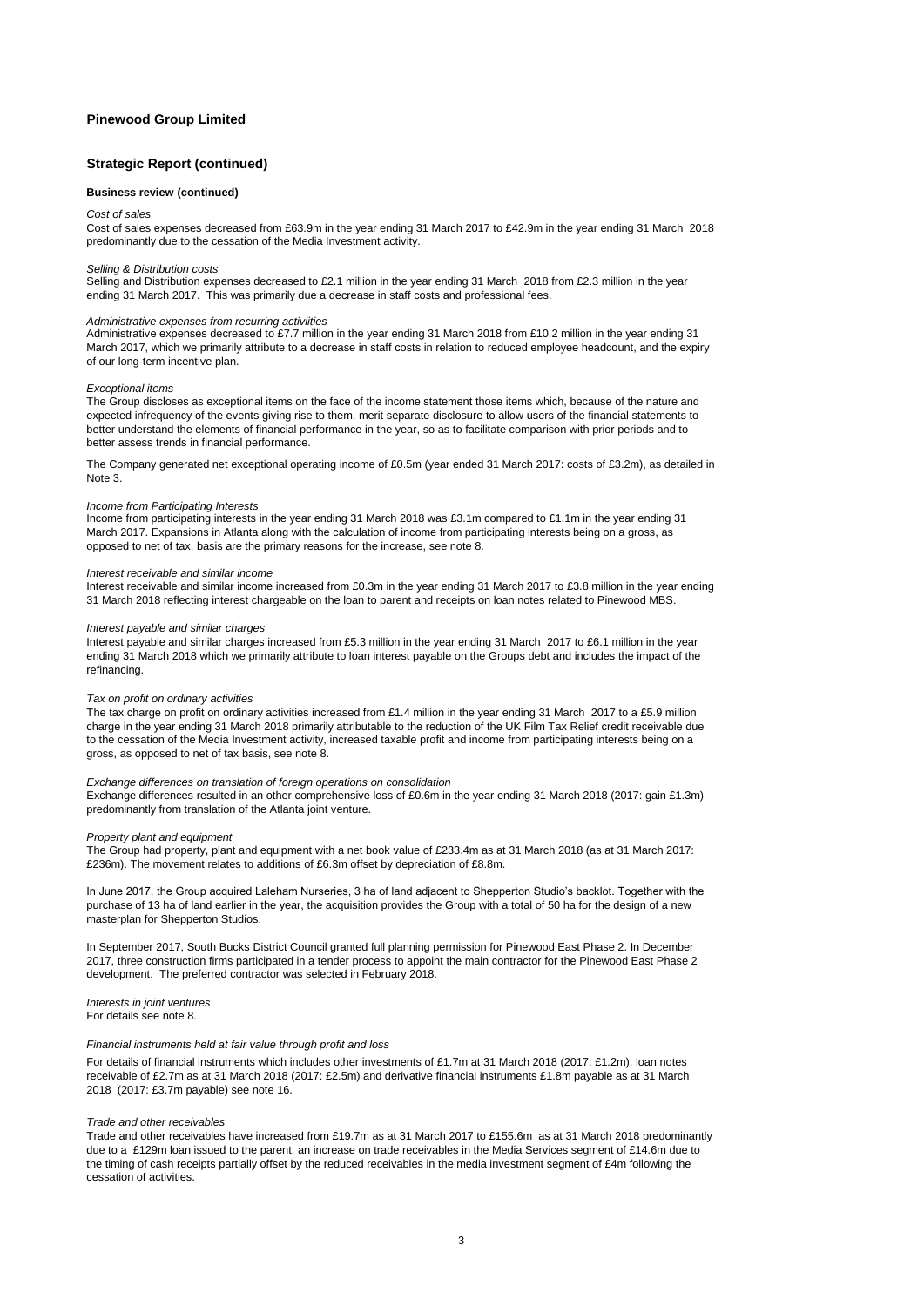### **Strategic Report (continued)**

### **Business review (continued)**

#### *Cost of sales*

Cost of sales expenses decreased from £63.9m in the year ending 31 March 2017 to £42.9m in the year ending 31 March 2018 predominantly due to the cessation of the Media Investment activity.

#### *Selling & Distribution costs*

Selling and Distribution expenses decreased to £2.1 million in the year ending 31 March 2018 from £2.3 million in the year ending 31 March 2017. This was primarily due a decrease in staff costs and professional fees.

#### *Administrative expenses from recurring activiities*

Administrative expenses decreased to £7.7 million in the year ending 31 March 2018 from £10.2 million in the year ending 31 March 2017, which we primarily attribute to a decrease in staff costs in relation to reduced employee headcount, and the expiry of our long-term incentive plan.

#### *Exceptional items*

The Group discloses as exceptional items on the face of the income statement those items which, because of the nature and expected infrequency of the events giving rise to them, merit separate disclosure to allow users of the financial statements to better understand the elements of financial performance in the year, so as to facilitate comparison with prior periods and to better assess trends in financial performance.

The Company generated net exceptional operating income of £0.5m (year ended 31 March 2017: costs of £3.2m), as detailed in Note 3.

#### *Income from Participating Interests*

Income from participating interests in the year ending 31 March 2018 was £3.1m compared to £1.1m in the year ending 31 March 2017. Expansions in Atlanta along with the calculation of income from participating interests being on a gross, as opposed to net of tax, basis are the primary reasons for the increase, see note 8.

#### *Interest receivable and similar income*

Interest receivable and similar income increased from £0.3m in the year ending 31 March 2017 to £3.8 million in the year ending 31 March 2018 reflecting interest chargeable on the loan to parent and receipts on loan notes related to Pinewood MBS.

#### *Interest payable and similar charges*

Interest payable and similar charges increased from £5.3 million in the year ending 31 March 2017 to £6.1 million in the year ending 31 March 2018 which we primarily attribute to loan interest payable on the Groups debt and includes the impact of the refinancing.

#### *Tax on profit on ordinary activities*

The tax charge on profit on ordinary activities increased from £1.4 million in the year ending 31 March 2017 to a £5.9 million charge in the year ending 31 March 2018 primarily attributable to the reduction of the UK Film Tax Relief credit receivable due to the cessation of the Media Investment activity, increased taxable profit and income from participating interests being on a gross, as opposed to net of tax basis, see note 8.

#### *Exchange differences on translation of foreign operations on consolidation*

Exchange differences resulted in an other comprehensive loss of £0.6m in the year ending 31 March 2018 (2017: gain £1.3m) predominantly from translation of the Atlanta joint venture.

#### *Property plant and equipment*

The Group had property, plant and equipment with a net book value of £233.4m as at 31 March 2018 (as at 31 March 2017: £236m). The movement relates to additions of £6.3m offset by depreciation of £8.8m.

In June 2017, the Group acquired Laleham Nurseries, 3 ha of land adjacent to Shepperton Studio's backlot. Together with the purchase of 13 ha of land earlier in the year, the acquisition provides the Group with a total of 50 ha for the design of a new masterplan for Shepperton Studios.

In September 2017, South Bucks District Council granted full planning permission for Pinewood East Phase 2. In December 2017, three construction firms participated in a tender process to appoint the main contractor for the Pinewood East Phase 2 development. The preferred contractor was selected in February 2018.

*Interests in joint ventures* For details see note 8.

### *Financial instruments held at fair value through profit and loss*

For details of financial instruments which includes other investments of £1.7m at 31 March 2018 (2017: £1.2m), loan notes receivable of £2.7m as at 31 March 2018 (2017: £2.5m) and derivative financial instruments £1.8m payable as at 31 March 2018 (2017: £3.7m payable) see note 16.

#### *Trade and other receivables*

Trade and other receivables have increased from £19.7m as at 31 March 2017 to £155.6m as at 31 March 2018 predominantly due to a £129m loan issued to the parent, an increase on trade receivables in the Media Services segment of £14.6m due to the timing of cash receipts partially offset by the reduced receivables in the media investment segment of £4m following the cessation of activities.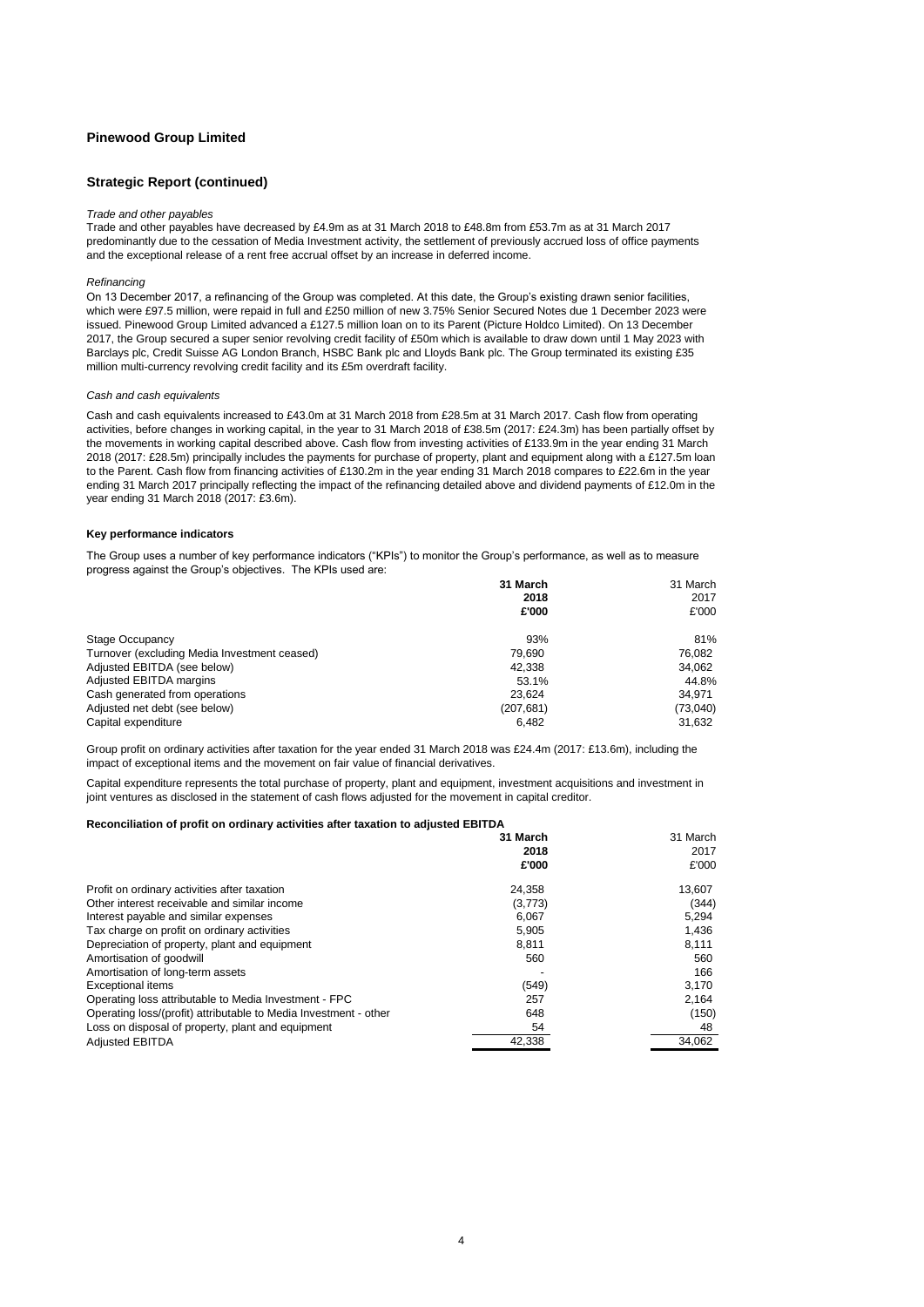### **Strategic Report (continued)**

### *Trade and other payables*

Trade and other payables have decreased by £4.9m as at 31 March 2018 to £48.8m from £53.7m as at 31 March 2017 predominantly due to the cessation of Media Investment activity, the settlement of previously accrued loss of office payments and the exceptional release of a rent free accrual offset by an increase in deferred income.

#### *Refinancing*

On 13 December 2017, a refinancing of the Group was completed. At this date, the Group's existing drawn senior facilities, which were £97.5 million, were repaid in full and £250 million of new 3.75% Senior Secured Notes due 1 December 2023 were issued. Pinewood Group Limited advanced a £127.5 million loan on to its Parent (Picture Holdco Limited). On 13 December 2017, the Group secured a super senior revolving credit facility of £50m which is available to draw down until 1 May 2023 with Barclays plc, Credit Suisse AG London Branch, HSBC Bank plc and Lloyds Bank plc. The Group terminated its existing £35 million multi-currency revolving credit facility and its £5m overdraft facility.

#### *Cash and cash equivalents*

Cash and cash equivalents increased to £43.0m at 31 March 2018 from £28.5m at 31 March 2017. Cash flow from operating activities, before changes in working capital, in the year to 31 March 2018 of £38.5m (2017: £24.3m) has been partially offset by the movements in working capital described above. Cash flow from investing activities of £133.9m in the year ending 31 March 2018 (2017: £28.5m) principally includes the payments for purchase of property, plant and equipment along with a £127.5m loan to the Parent. Cash flow from financing activities of £130.2m in the year ending 31 March 2018 compares to £22.6m in the year ending 31 March 2017 principally reflecting the impact of the refinancing detailed above and dividend payments of £12.0m in the year ending 31 March 2018 (2017: £3.6m).

### **Key performance indicators**

The Group uses a number of key performance indicators ("KPIs") to monitor the Group's performance, as well as to measure progress against the Group's objectives. The KPIs used are:

|                                              | 31 March   | 31 March |
|----------------------------------------------|------------|----------|
|                                              | 2018       | 2017     |
|                                              | £'000      | £'000    |
| Stage Occupancy                              | 93%        | 81%      |
| Turnover (excluding Media Investment ceased) | 79.690     | 76.082   |
| Adjusted EBITDA (see below)                  | 42.338     | 34.062   |
| Adjusted EBITDA margins                      | 53.1%      | 44.8%    |
| Cash generated from operations               | 23.624     | 34.971   |
| Adjusted net debt (see below)                | (207, 681) | (73,040) |
| Capital expenditure                          | 6.482      | 31.632   |

Group profit on ordinary activities after taxation for the year ended 31 March 2018 was £24.4m (2017: £13.6m), including the impact of exceptional items and the movement on fair value of financial derivatives.

Capital expenditure represents the total purchase of property, plant and equipment, investment acquisitions and investment in joint ventures as disclosed in the statement of cash flows adjusted for the movement in capital creditor.

### **Reconciliation of profit on ordinary activities after taxation to adjusted EBITDA**

|                                                                  | 31 March | 31 March |
|------------------------------------------------------------------|----------|----------|
|                                                                  | 2018     | 2017     |
|                                                                  | £'000    | £'000    |
| Profit on ordinary activities after taxation                     | 24.358   | 13,607   |
| Other interest receivable and similar income                     | (3,773)  | (344)    |
| Interest payable and similar expenses                            | 6.067    | 5.294    |
| Tax charge on profit on ordinary activities                      | 5,905    | 1,436    |
| Depreciation of property, plant and equipment                    | 8.811    | 8.111    |
| Amortisation of goodwill                                         | 560      | 560      |
| Amortisation of long-term assets                                 |          | 166      |
| <b>Exceptional items</b>                                         | (549)    | 3.170    |
| Operating loss attributable to Media Investment - FPC            | 257      | 2.164    |
| Operating loss/(profit) attributable to Media Investment - other | 648      | (150)    |
| Loss on disposal of property, plant and equipment                | 54       | 48       |
| <b>Adiusted EBITDA</b>                                           | 42,338   | 34,062   |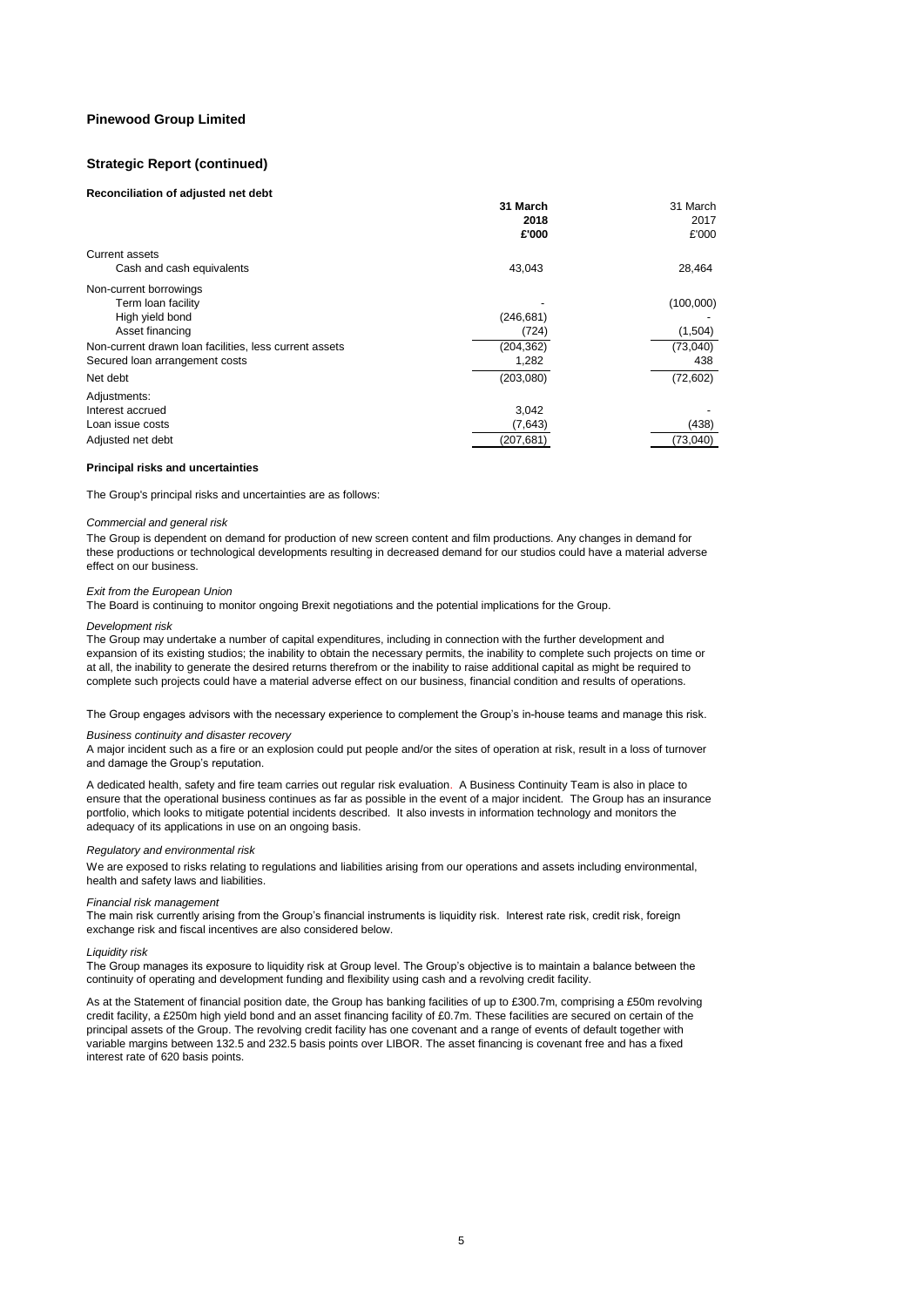### **Strategic Report (continued)**

#### **Reconciliation of adjusted net debt**

|                                                        | 31 March   | 31 March  |
|--------------------------------------------------------|------------|-----------|
|                                                        | 2018       | 2017      |
|                                                        | £'000      | £'000     |
| Current assets                                         |            |           |
| Cash and cash equivalents                              | 43.043     | 28,464    |
| Non-current borrowings                                 |            |           |
| Term loan facility                                     |            | (100,000) |
| High yield bond                                        | (246, 681) |           |
| Asset financing                                        | (724)      | (1,504)   |
| Non-current drawn loan facilities, less current assets | (204, 362) | (73,040)  |
| Secured loan arrangement costs                         | 1,282      | 438       |
| Net debt                                               | (203,080)  | (72, 602) |
| Adjustments:                                           |            |           |
| Interest accrued                                       | 3.042      |           |
| Loan issue costs                                       | (7,643)    | (438)     |
| Adjusted net debt                                      | (207,681)  | (73,040)  |

#### **Principal risks and uncertainties**

The Group's principal risks and uncertainties are as follows:

#### *Commercial and general risk*

The Group is dependent on demand for production of new screen content and film productions. Any changes in demand for these productions or technological developments resulting in decreased demand for our studios could have a material adverse effect on our business.

#### *Exit from the European Union*

The Board is continuing to monitor ongoing Brexit negotiations and the potential implications for the Group.

#### *Development risk*

The Group may undertake a number of capital expenditures, including in connection with the further development and expansion of its existing studios; the inability to obtain the necessary permits, the inability to complete such projects on time or at all, the inability to generate the desired returns therefrom or the inability to raise additional capital as might be required to complete such projects could have a material adverse effect on our business, financial condition and results of operations.

The Group engages advisors with the necessary experience to complement the Group's in-house teams and manage this risk.

#### *Business continuity and disaster recovery*

A major incident such as a fire or an explosion could put people and/or the sites of operation at risk, result in a loss of turnover and damage the Group's reputation.

A dedicated health, safety and fire team carries out regular risk evaluation. A Business Continuity Team is also in place to ensure that the operational business continues as far as possible in the event of a major incident. The Group has an insurance portfolio, which looks to mitigate potential incidents described. It also invests in information technology and monitors the adequacy of its applications in use on an ongoing basis.

### *Regulatory and environmental risk*

We are exposed to risks relating to regulations and liabilities arising from our operations and assets including environmental, health and safety laws and liabilities.

#### *Financial risk management*

The main risk currently arising from the Group's financial instruments is liquidity risk. Interest rate risk, credit risk, foreign exchange risk and fiscal incentives are also considered below.

#### *Liquidity risk*

The Group manages its exposure to liquidity risk at Group level. The Group's objective is to maintain a balance between the continuity of operating and development funding and flexibility using cash and a revolving credit facility.

As at the Statement of financial position date, the Group has banking facilities of up to £300.7m, comprising a £50m revolving credit facility, a £250m high yield bond and an asset financing facility of £0.7m. These facilities are secured on certain of the principal assets of the Group. The revolving credit facility has one covenant and a range of events of default together with variable margins between 132.5 and 232.5 basis points over LIBOR. The asset financing is covenant free and has a fixed interest rate of 620 basis points.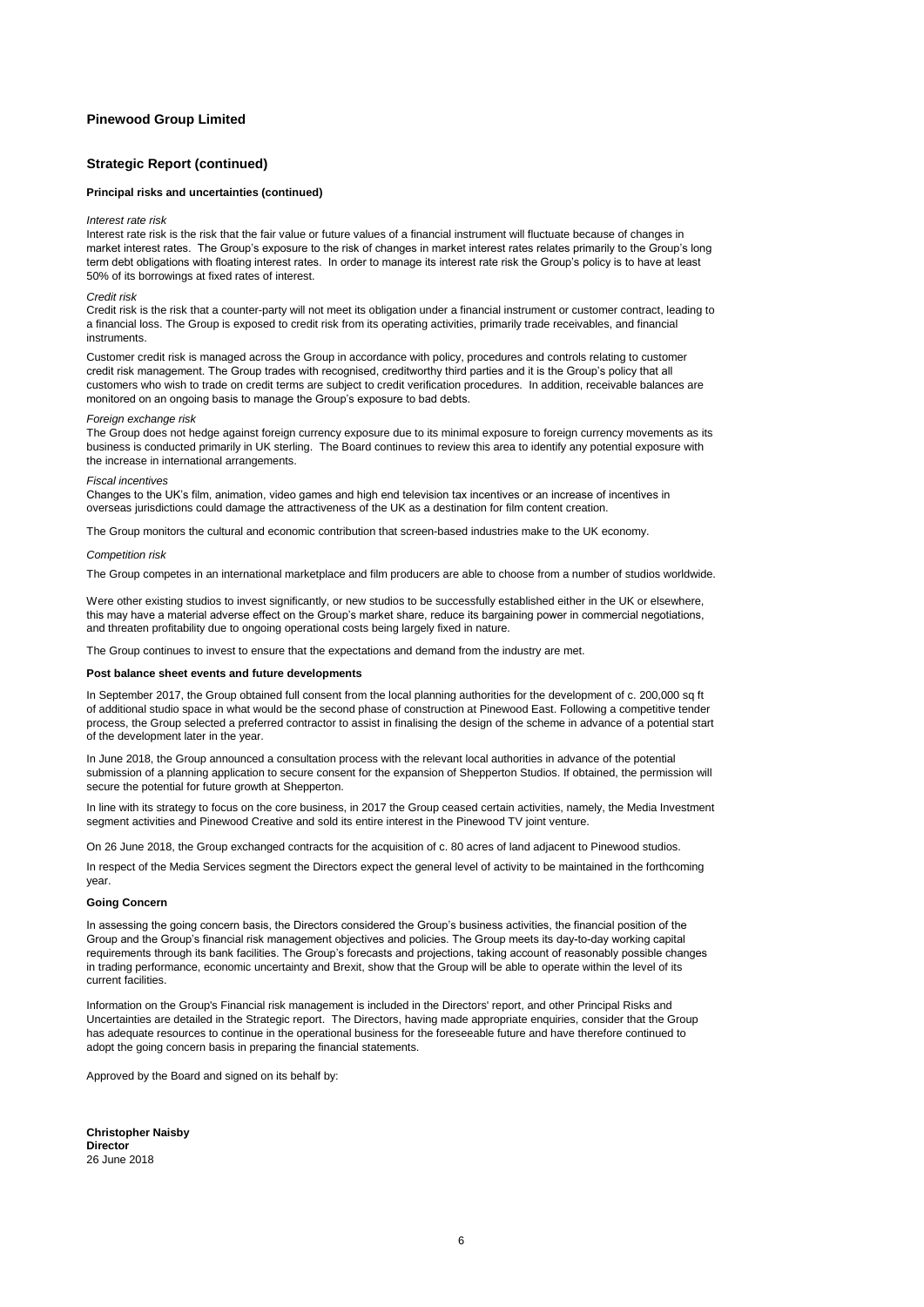### **Strategic Report (continued)**

### **Principal risks and uncertainties (continued)**

#### *Interest rate risk*

Interest rate risk is the risk that the fair value or future values of a financial instrument will fluctuate because of changes in market interest rates. The Group's exposure to the risk of changes in market interest rates relates primarily to the Group's long term debt obligations with floating interest rates. In order to manage its interest rate risk the Group's policy is to have at least 50% of its borrowings at fixed rates of interest.

#### *Credit risk*

Credit risk is the risk that a counter-party will not meet its obligation under a financial instrument or customer contract, leading to a financial loss. The Group is exposed to credit risk from its operating activities, primarily trade receivables, and financial instruments.

Customer credit risk is managed across the Group in accordance with policy, procedures and controls relating to customer credit risk management. The Group trades with recognised, creditworthy third parties and it is the Group's policy that all customers who wish to trade on credit terms are subject to credit verification procedures. In addition, receivable balances are monitored on an ongoing basis to manage the Group's exposure to bad debts.

#### *Foreign exchange risk*

The Group does not hedge against foreign currency exposure due to its minimal exposure to foreign currency movements as its business is conducted primarily in UK sterling. The Board continues to review this area to identify any potential exposure with the increase in international arrangements.

#### *Fiscal incentives*

Changes to the UK's film, animation, video games and high end television tax incentives or an increase of incentives in overseas jurisdictions could damage the attractiveness of the UK as a destination for film content creation.

The Group monitors the cultural and economic contribution that screen-based industries make to the UK economy.

#### *Competition risk*

The Group competes in an international marketplace and film producers are able to choose from a number of studios worldwide.

Were other existing studios to invest significantly, or new studios to be successfully established either in the UK or elsewhere, this may have a material adverse effect on the Group's market share, reduce its bargaining power in commercial negotiations, and threaten profitability due to ongoing operational costs being largely fixed in nature.

The Group continues to invest to ensure that the expectations and demand from the industry are met.

#### **Post balance sheet events and future developments**

In September 2017, the Group obtained full consent from the local planning authorities for the development of c. 200,000 sq ft of additional studio space in what would be the second phase of construction at Pinewood East. Following a competitive tender process, the Group selected a preferred contractor to assist in finalising the design of the scheme in advance of a potential start of the development later in the year.

In June 2018, the Group announced a consultation process with the relevant local authorities in advance of the potential submission of a planning application to secure consent for the expansion of Shepperton Studios. If obtained, the permission will secure the potential for future growth at Shepperton.

In line with its strategy to focus on the core business, in 2017 the Group ceased certain activities, namely, the Media Investment segment activities and Pinewood Creative and sold its entire interest in the Pinewood TV joint venture.

On 26 June 2018, the Group exchanged contracts for the acquisition of c. 80 acres of land adjacent to Pinewood studios.

In respect of the Media Services segment the Directors expect the general level of activity to be maintained in the forthcoming year.

#### **Going Concern**

In assessing the going concern basis, the Directors considered the Group's business activities, the financial position of the Group and the Group's financial risk management objectives and policies. The Group meets its day-to-day working capital requirements through its bank facilities. The Group's forecasts and projections, taking account of reasonably possible changes in trading performance, economic uncertainty and Brexit, show that the Group will be able to operate within the level of its current facilities.

Information on the Group's Financial risk management is included in the Directors' report, and other Principal Risks and Uncertainties are detailed in the Strategic report. The Directors, having made appropriate enquiries, consider that the Group has adequate resources to continue in the operational business for the foreseeable future and have therefore continued to adopt the going concern basis in preparing the financial statements.

Approved by the Board and signed on its behalf by:

**Christopher Naisby Director** 26 June 2018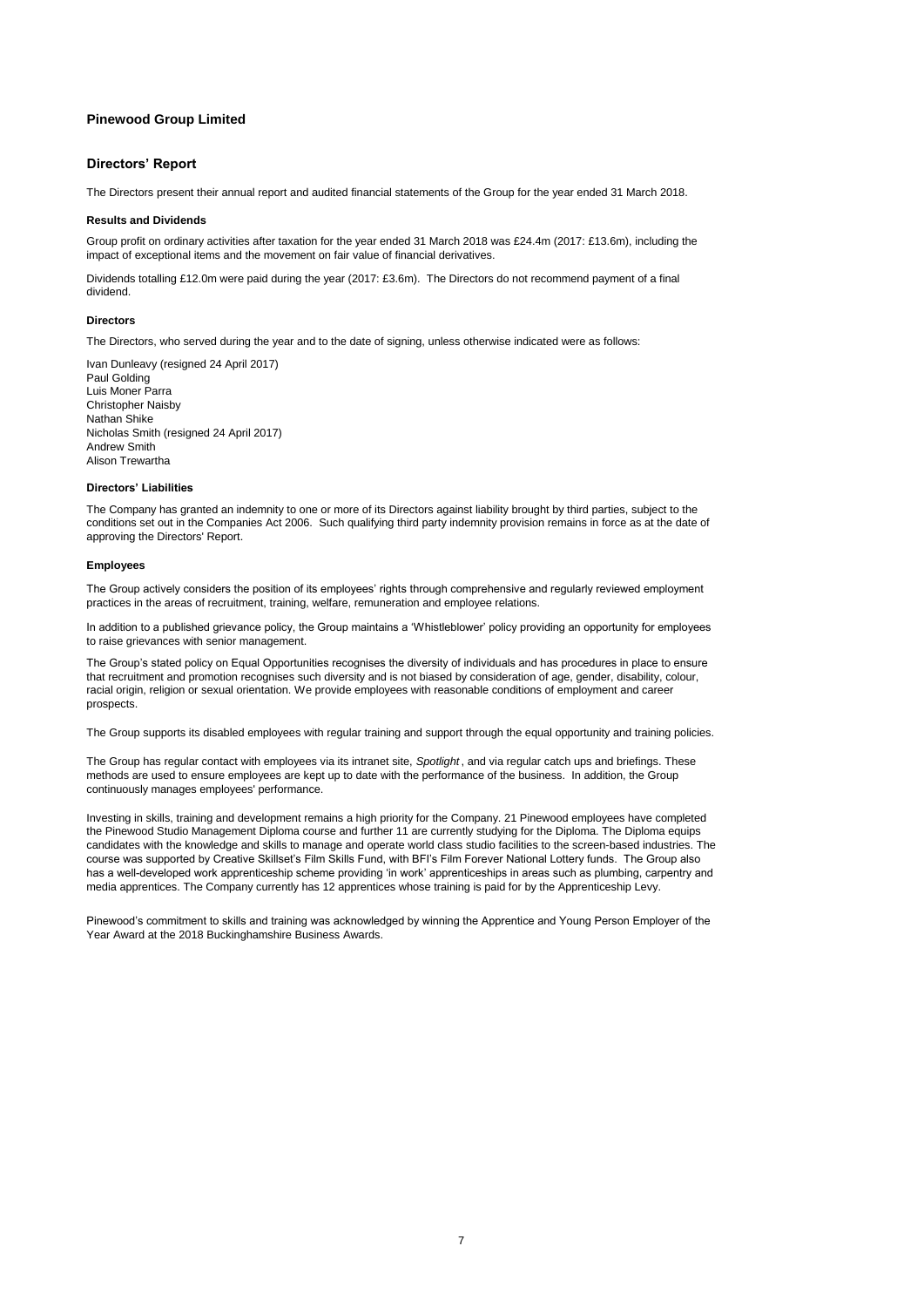### **Directors' Report**

The Directors present their annual report and audited financial statements of the Group for the year ended 31 March 2018.

#### **Results and Dividends**

Group profit on ordinary activities after taxation for the year ended 31 March 2018 was £24.4m (2017: £13.6m), including the impact of exceptional items and the movement on fair value of financial derivatives.

Dividends totalling £12.0m were paid during the year (2017: £3.6m). The Directors do not recommend payment of a final dividend.

#### **Directors**

The Directors, who served during the year and to the date of signing, unless otherwise indicated were as follows:

Ivan Dunleavy (resigned 24 April 2017) Paul Golding Luis Moner Parra Christopher Naisby Nathan Shike Nicholas Smith (resigned 24 April 2017) Andrew Smith Alison Trewartha

### **Directors' Liabilities**

The Company has granted an indemnity to one or more of its Directors against liability brought by third parties, subject to the conditions set out in the Companies Act 2006. Such qualifying third party indemnity provision remains in force as at the date of approving the Directors' Report.

#### **Employees**

The Group actively considers the position of its employees' rights through comprehensive and regularly reviewed employment practices in the areas of recruitment, training, welfare, remuneration and employee relations.

In addition to a published grievance policy, the Group maintains a 'Whistleblower' policy providing an opportunity for employees to raise grievances with senior management.

The Group's stated policy on Equal Opportunities recognises the diversity of individuals and has procedures in place to ensure that recruitment and promotion recognises such diversity and is not biased by consideration of age, gender, disability, colour, racial origin, religion or sexual orientation. We provide employees with reasonable conditions of employment and career prospects.

The Group supports its disabled employees with regular training and support through the equal opportunity and training policies.

The Group has regular contact with employees via its intranet site, *Spotlight* , and via regular catch ups and briefings. These methods are used to ensure employees are kept up to date with the performance of the business. In addition, the Group continuously manages employees' performance.

Investing in skills, training and development remains a high priority for the Company. 21 Pinewood employees have completed the Pinewood Studio Management Diploma course and further 11 are currently studying for the Diploma. The Diploma equips candidates with the knowledge and skills to manage and operate world class studio facilities to the screen-based industries. The course was supported by Creative Skillset's Film Skills Fund, with BFI's Film Forever National Lottery funds. The Group also has a well-developed work apprenticeship scheme providing 'in work' apprenticeships in areas such as plumbing, carpentry and media apprentices. The Company currently has 12 apprentices whose training is paid for by the Apprenticeship Levy.

Pinewood's commitment to skills and training was acknowledged by winning the Apprentice and Young Person Employer of the Year Award at the 2018 Buckinghamshire Business Awards.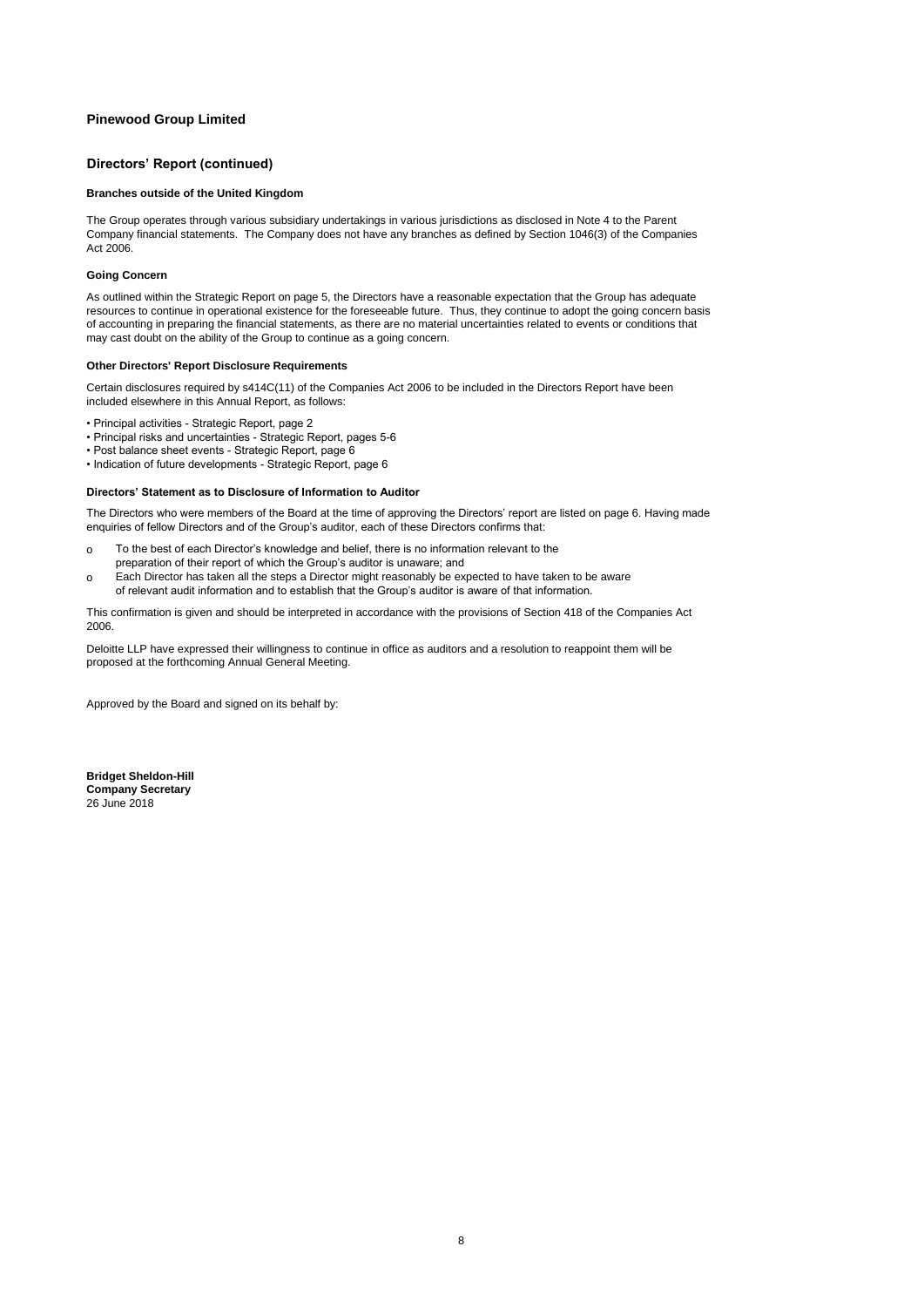### **Directors' Report (continued)**

#### **Branches outside of the United Kingdom**

The Group operates through various subsidiary undertakings in various jurisdictions as disclosed in Note 4 to the Parent Company financial statements. The Company does not have any branches as defined by Section 1046(3) of the Companies Act 2006.

#### **Going Concern**

As outlined within the Strategic Report on page 5, the Directors have a reasonable expectation that the Group has adequate resources to continue in operational existence for the foreseeable future. Thus, they continue to adopt the going concern basis of accounting in preparing the financial statements, as there are no material uncertainties related to events or conditions that may cast doubt on the ability of the Group to continue as a going concern.

### **Other Directors' Report Disclosure Requirements**

Certain disclosures required by s414C(11) of the Companies Act 2006 to be included in the Directors Report have been included elsewhere in this Annual Report, as follows:

- Principal activities Strategic Report, page 2
- Principal risks and uncertainties Strategic Report, pages 5-6
- Post balance sheet events Strategic Report, page 6
- Indication of future developments Strategic Report, page 6

#### **Directors' Statement as to Disclosure of Information to Auditor**

The Directors who were members of the Board at the time of approving the Directors' report are listed on page 6. Having made enquiries of fellow Directors and of the Group's auditor, each of these Directors confirms that:

- o To the best of each Director's knowledge and belief, there is no information relevant to the preparation of their report of which the Group's auditor is unaware; and
- o Each Director has taken all the steps a Director might reasonably be expected to have taken to be aware of relevant audit information and to establish that the Group's auditor is aware of that information.

This confirmation is given and should be interpreted in accordance with the provisions of Section 418 of the Companies Act 2006.

Deloitte LLP have expressed their willingness to continue in office as auditors and a resolution to reappoint them will be proposed at the forthcoming Annual General Meeting.

Approved by the Board and signed on its behalf by:

**Bridget Sheldon-Hill Company Secretary** 26 June 2018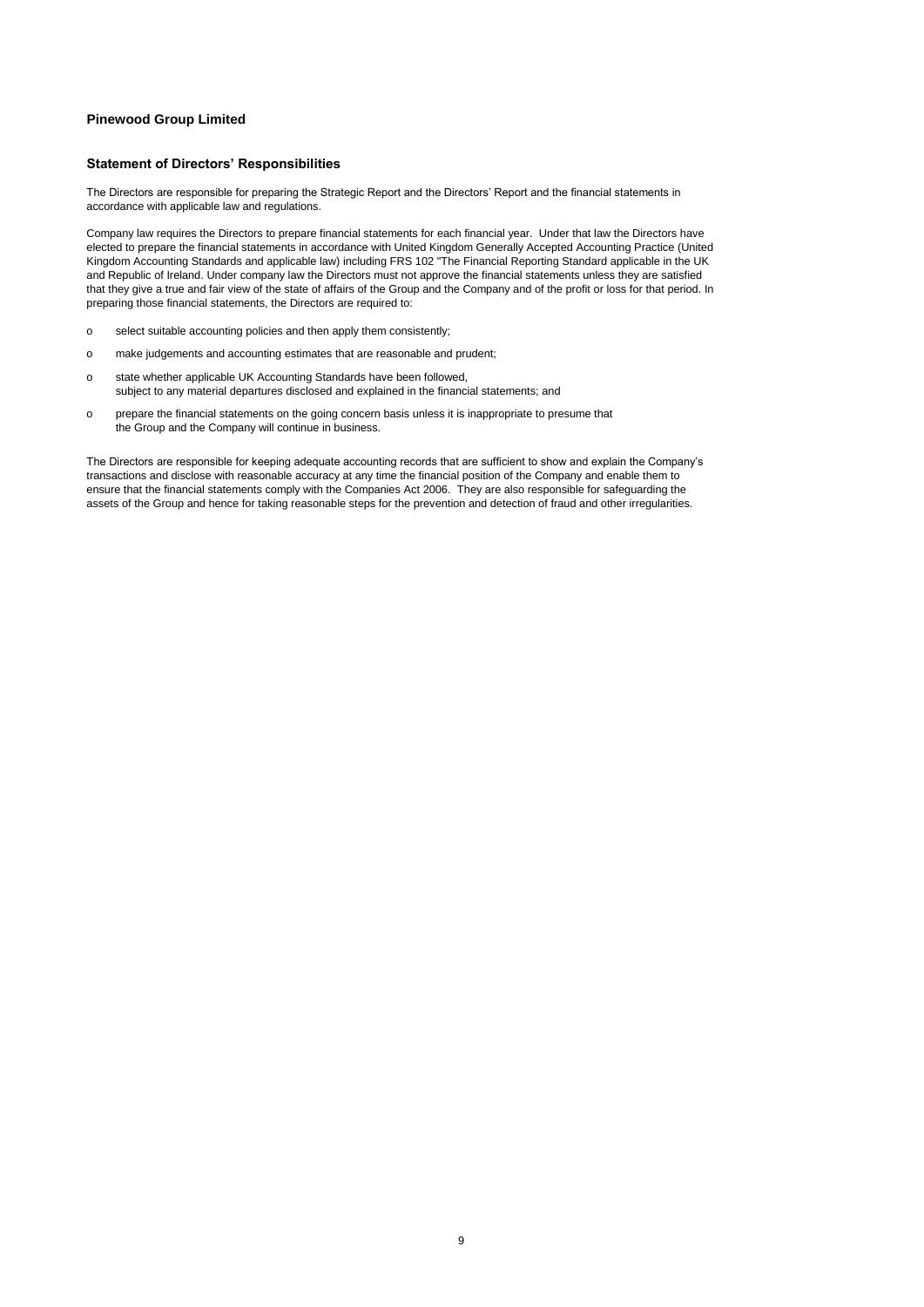### **Statement of Directors' Responsibilities**

The Directors are responsible for preparing the Strategic Report and the Directors' Report and the financial statements in accordance with applicable law and regulations.

Company law requires the Directors to prepare financial statements for each financial year. Under that law the Directors have elected to prepare the financial statements in accordance with United Kingdom Generally Accepted Accounting Practice (United Kingdom Accounting Standards and applicable law) including FRS 102 "The Financial Reporting Standard applicable in the UK and Republic of Ireland. Under company law the Directors must not approve the financial statements unless they are satisfied that they give a true and fair view of the state of affairs of the Group and the Company and of the profit or loss for that period. In preparing those financial statements, the Directors are required to:

- o select suitable accounting policies and then apply them consistently;
- o make judgements and accounting estimates that are reasonable and prudent;
- o subject to any material departures disclosed and explained in the financial statements; and state whether applicable UK Accounting Standards have been followed,
- o prepare the financial statements on the going concern basis unless it is inappropriate to presume that the Group and the Company will continue in business.

The Directors are responsible for keeping adequate accounting records that are sufficient to show and explain the Company's transactions and disclose with reasonable accuracy at any time the financial position of the Company and enable them to ensure that the financial statements comply with the Companies Act 2006. They are also responsible for safeguarding the assets of the Group and hence for taking reasonable steps for the prevention and detection of fraud and other irregularities.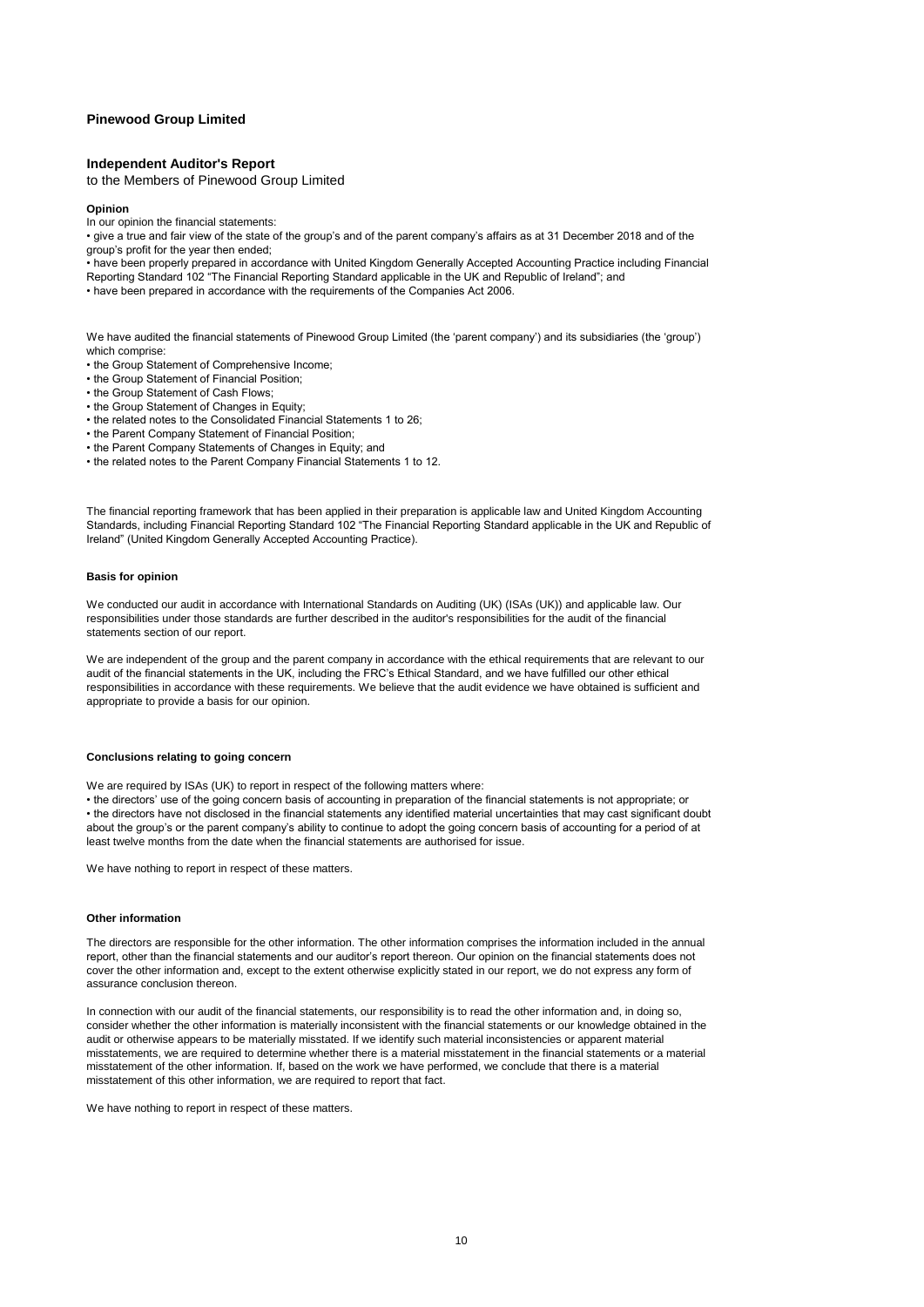### **Independent Auditor's Report**

to the Members of Pinewood Group Limited

#### **Opinion**

In our opinion the financial statements:

• give a true and fair view of the state of the group's and of the parent company's affairs as at 31 December 2018 and of the group's profit for the year then ended;

• have been properly prepared in accordance with United Kingdom Generally Accepted Accounting Practice including Financial Reporting Standard 102 "The Financial Reporting Standard applicable in the UK and Republic of Ireland"; and

• have been prepared in accordance with the requirements of the Companies Act 2006.

We have audited the financial statements of Pinewood Group Limited (the 'parent company') and its subsidiaries (the 'group') which comprise:

- the Group Statement of Comprehensive Income;
- the Group Statement of Financial Position;
- the Group Statement of Cash Flows;
- the Group Statement of Changes in Equity:
- the related notes to the Consolidated Financial Statements 1 to 26;
- the Parent Company Statement of Financial Position;
- the Parent Company Statements of Changes in Equity; and
- the related notes to the Parent Company Financial Statements 1 to 12.

The financial reporting framework that has been applied in their preparation is applicable law and United Kingdom Accounting Standards, including Financial Reporting Standard 102 "The Financial Reporting Standard applicable in the UK and Republic of Ireland" (United Kingdom Generally Accepted Accounting Practice).

### **Basis for opinion**

We conducted our audit in accordance with International Standards on Auditing (UK) (ISAs (UK)) and applicable law. Our responsibilities under those standards are further described in the auditor's responsibilities for the audit of the financial statements section of our report.

We are independent of the group and the parent company in accordance with the ethical requirements that are relevant to our audit of the financial statements in the UK, including the FRC's Ethical Standard, and we have fulfilled our other ethical responsibilities in accordance with these requirements. We believe that the audit evidence we have obtained is sufficient and appropriate to provide a basis for our opinion.

#### **Conclusions relating to going concern**

We are required by ISAs (UK) to report in respect of the following matters where:

• the directors' use of the going concern basis of accounting in preparation of the financial statements is not appropriate; or • the directors have not disclosed in the financial statements any identified material uncertainties that may cast significant doubt about the group's or the parent company's ability to continue to adopt the going concern basis of accounting for a period of at least twelve months from the date when the financial statements are authorised for issue.

We have nothing to report in respect of these matters.

#### **Other information**

The directors are responsible for the other information. The other information comprises the information included in the annual report, other than the financial statements and our auditor's report thereon. Our opinion on the financial statements does not cover the other information and, except to the extent otherwise explicitly stated in our report, we do not express any form of assurance conclusion thereon.

In connection with our audit of the financial statements, our responsibility is to read the other information and, in doing so, consider whether the other information is materially inconsistent with the financial statements or our knowledge obtained in the audit or otherwise appears to be materially misstated. If we identify such material inconsistencies or apparent material misstatements, we are required to determine whether there is a material misstatement in the financial statements or a material misstatement of the other information. If, based on the work we have performed, we conclude that there is a material misstatement of this other information, we are required to report that fact.

We have nothing to report in respect of these matters.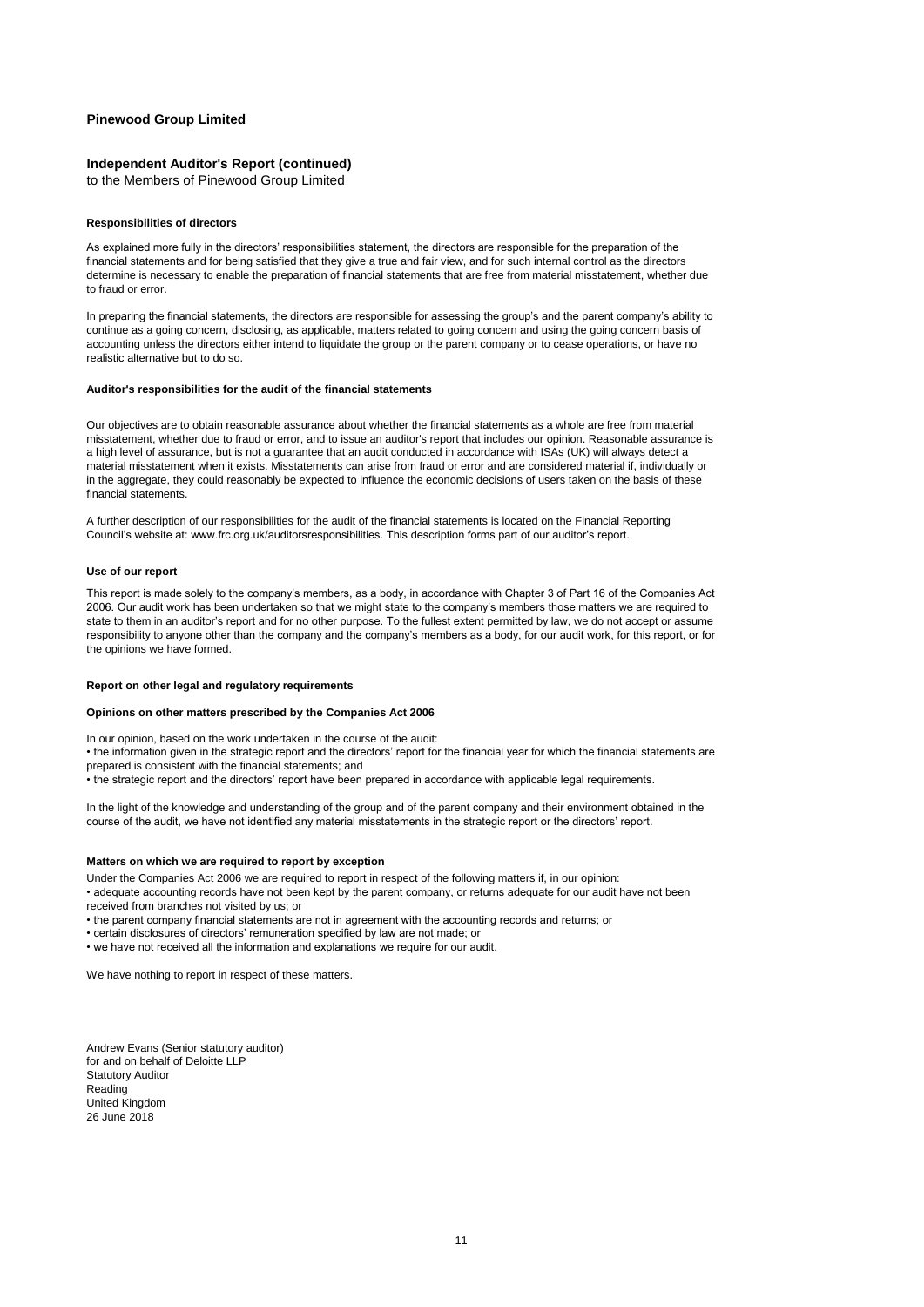#### **Independent Auditor's Report (continued)**

to the Members of Pinewood Group Limited

#### **Responsibilities of directors**

As explained more fully in the directors' responsibilities statement, the directors are responsible for the preparation of the financial statements and for being satisfied that they give a true and fair view, and for such internal control as the directors determine is necessary to enable the preparation of financial statements that are free from material misstatement, whether due to fraud or error.

In preparing the financial statements, the directors are responsible for assessing the group's and the parent company's ability to continue as a going concern, disclosing, as applicable, matters related to going concern and using the going concern basis of accounting unless the directors either intend to liquidate the group or the parent company or to cease operations, or have no realistic alternative but to do so.

### **Auditor's responsibilities for the audit of the financial statements**

Our objectives are to obtain reasonable assurance about whether the financial statements as a whole are free from material misstatement, whether due to fraud or error, and to issue an auditor's report that includes our opinion. Reasonable assurance is a high level of assurance, but is not a guarantee that an audit conducted in accordance with ISAs (UK) will always detect a material misstatement when it exists. Misstatements can arise from fraud or error and are considered material if, individually or in the aggregate, they could reasonably be expected to influence the economic decisions of users taken on the basis of these financial statements.

A further description of our responsibilities for the audit of the financial statements is located on the Financial Reporting Council's website at: www.frc.org.uk/auditorsresponsibilities. This description forms part of our auditor's report.

### **Use of our report**

This report is made solely to the company's members, as a body, in accordance with Chapter 3 of Part 16 of the Companies Act 2006. Our audit work has been undertaken so that we might state to the company's members those matters we are required to state to them in an auditor's report and for no other purpose. To the fullest extent permitted by law, we do not accept or assume responsibility to anyone other than the company and the company's members as a body, for our audit work, for this report, or for the opinions we have formed.

#### **Report on other legal and regulatory requirements**

#### **Opinions on other matters prescribed by the Companies Act 2006**

In our opinion, based on the work undertaken in the course of the audit:

• the information given in the strategic report and the directors' report for the financial year for which the financial statements are prepared is consistent with the financial statements; and

• the strategic report and the directors' report have been prepared in accordance with applicable legal requirements.

In the light of the knowledge and understanding of the group and of the parent company and their environment obtained in the course of the audit, we have not identified any material misstatements in the strategic report or the directors' report.

#### **Matters on which we are required to report by exception**

Under the Companies Act 2006 we are required to report in respect of the following matters if, in our opinion:

• adequate accounting records have not been kept by the parent company, or returns adequate for our audit have not been received from branches not visited by us; or

• the parent company financial statements are not in agreement with the accounting records and returns; or

• certain disclosures of directors' remuneration specified by law are not made; or

• we have not received all the information and explanations we require for our audit.

We have nothing to report in respect of these matters.

Andrew Evans (Senior statutory auditor) for and on behalf of Deloitte LLP Statutory Auditor **Reading** United Kingdom 26 June 2018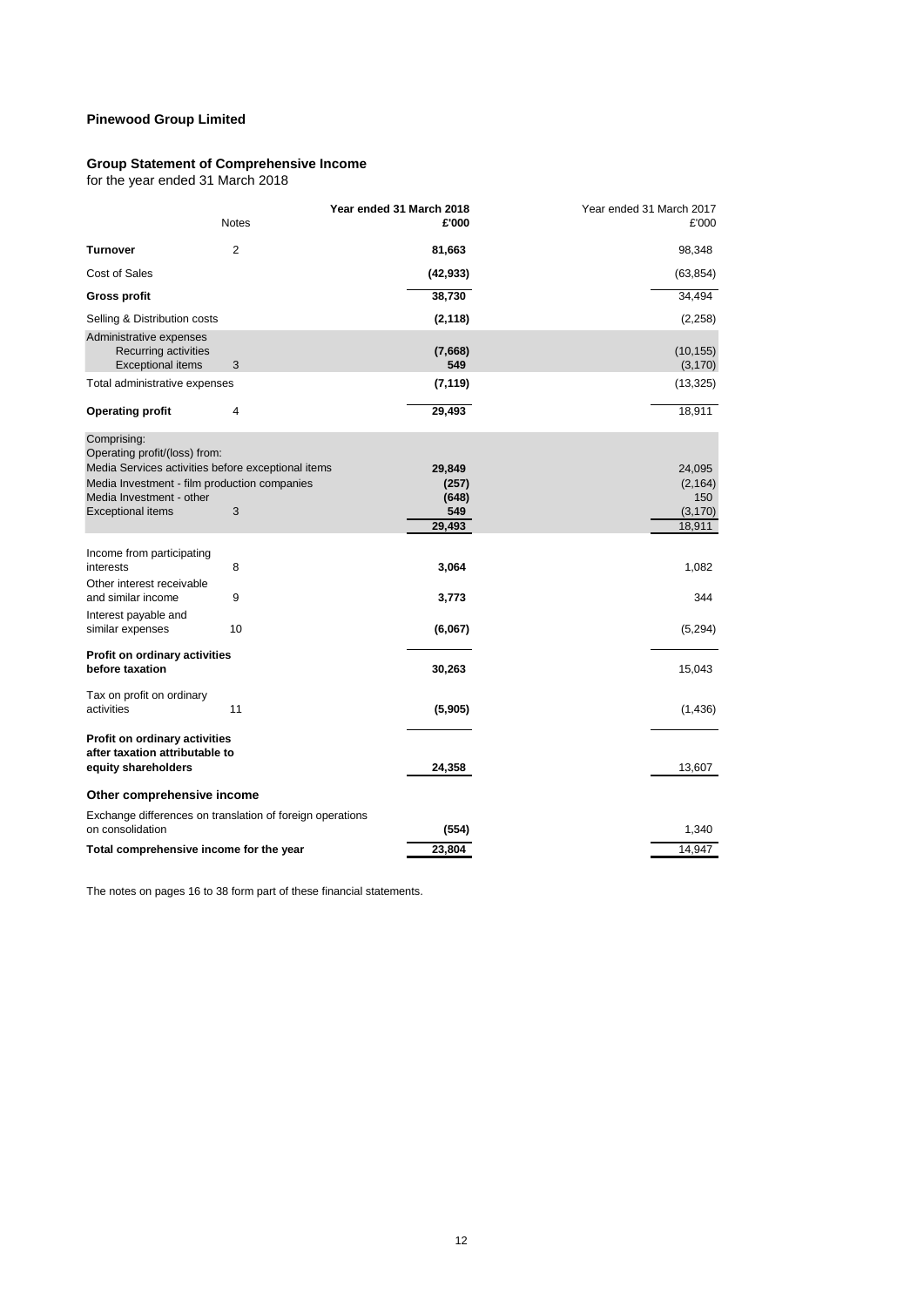#### **Group Statement of Comprehensive Income**

for the year ended 31 March 2018

|                                                                                                                                                                                                            | <b>Notes</b>                                              | Year ended 31 March 2018<br>£'000         | Year ended 31 March 2017<br>£'000               |
|------------------------------------------------------------------------------------------------------------------------------------------------------------------------------------------------------------|-----------------------------------------------------------|-------------------------------------------|-------------------------------------------------|
| <b>Turnover</b>                                                                                                                                                                                            | $\overline{2}$                                            | 81,663                                    | 98,348                                          |
| <b>Cost of Sales</b>                                                                                                                                                                                       |                                                           | (42, 933)                                 | (63, 854)                                       |
| Gross profit                                                                                                                                                                                               |                                                           | 38,730                                    | 34,494                                          |
| Selling & Distribution costs                                                                                                                                                                               |                                                           | (2, 118)                                  | (2,258)                                         |
| Administrative expenses<br>Recurring activities<br><b>Exceptional items</b>                                                                                                                                | 3                                                         | (7,668)<br>549                            | (10, 155)<br>(3, 170)                           |
| Total administrative expenses                                                                                                                                                                              |                                                           | (7, 119)                                  | (13, 325)                                       |
| <b>Operating profit</b>                                                                                                                                                                                    | 4                                                         | 29,493                                    | 18,911                                          |
| Comprising:<br>Operating profit/(loss) from:<br>Media Services activities before exceptional items<br>Media Investment - film production companies<br>Media Investment - other<br><b>Exceptional items</b> | 3                                                         | 29,849<br>(257)<br>(648)<br>549<br>29,493 | 24,095<br>(2, 164)<br>150<br>(3, 170)<br>18,911 |
| Income from participating<br>interests<br>Other interest receivable<br>and similar income                                                                                                                  | 8<br>9                                                    | 3,064<br>3,773                            | 1,082<br>344                                    |
| Interest payable and<br>similar expenses                                                                                                                                                                   | 10                                                        | (6,067)                                   | (5, 294)                                        |
| Profit on ordinary activities<br>before taxation                                                                                                                                                           |                                                           | 30,263                                    | 15,043                                          |
| Tax on profit on ordinary<br>activities                                                                                                                                                                    | 11                                                        | (5,905)                                   | (1, 436)                                        |
| <b>Profit on ordinary activities</b><br>after taxation attributable to<br>equity shareholders                                                                                                              |                                                           | 24,358                                    | 13,607                                          |
| Other comprehensive income                                                                                                                                                                                 |                                                           |                                           |                                                 |
| on consolidation                                                                                                                                                                                           | Exchange differences on translation of foreign operations | (554)                                     | 1,340                                           |
| Total comprehensive income for the year                                                                                                                                                                    |                                                           | 23,804                                    | 14,947                                          |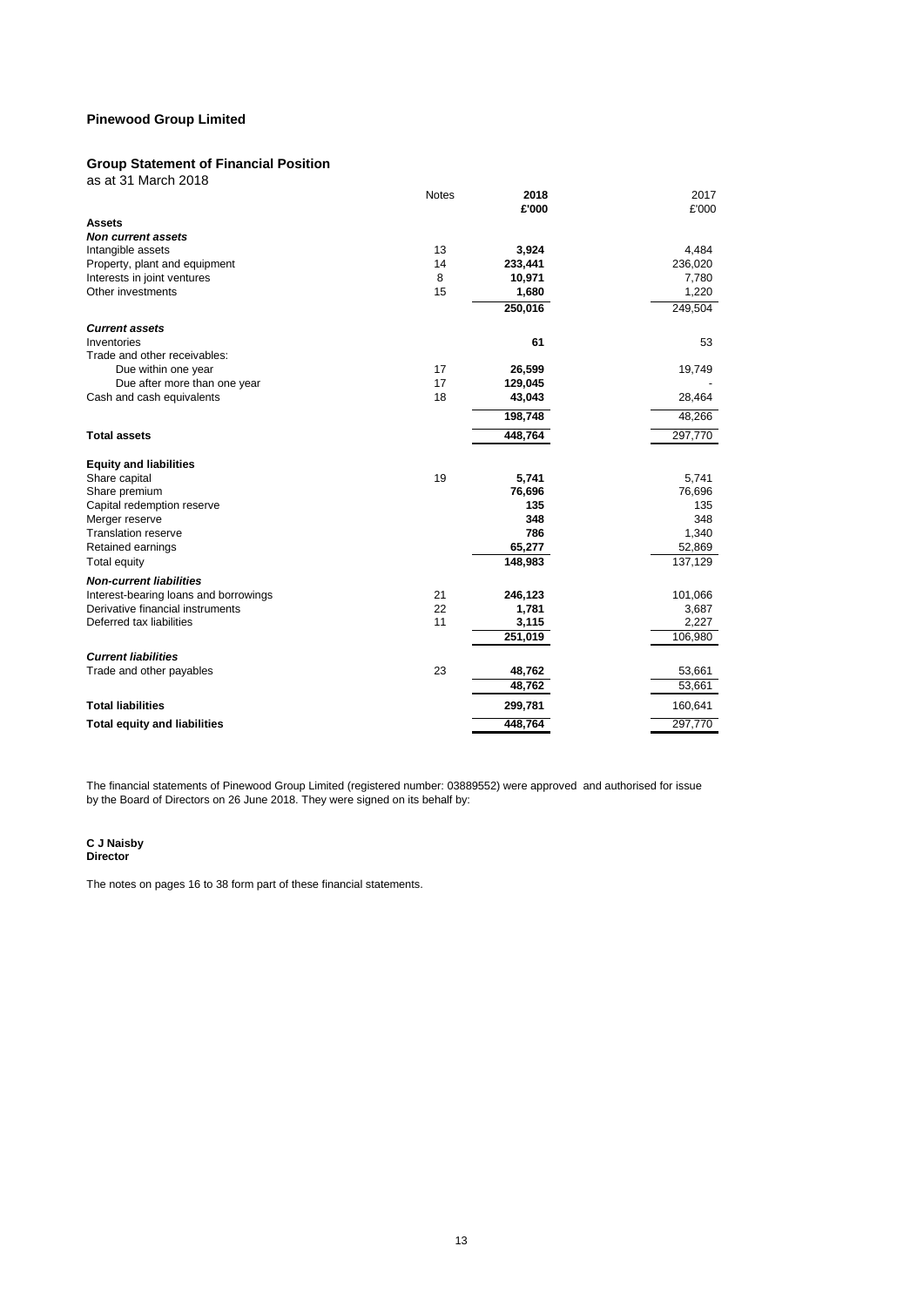## **Group Statement of Financial Position**

as at 31 March 2018

|                                       | <b>Notes</b> | 2018    | 2017    |
|---------------------------------------|--------------|---------|---------|
|                                       |              | £'000   | £'000   |
| <b>Assets</b>                         |              |         |         |
| Non current assets                    |              |         |         |
| Intangible assets                     | 13           | 3,924   | 4,484   |
| Property, plant and equipment         | 14           | 233,441 | 236,020 |
| Interests in joint ventures           | 8            | 10,971  | 7,780   |
| Other investments                     | 15           | 1,680   | 1,220   |
|                                       |              | 250,016 | 249,504 |
| <b>Current assets</b>                 |              |         |         |
| Inventories                           |              | 61      | 53      |
| Trade and other receivables:          |              |         |         |
| Due within one year                   | 17           | 26,599  | 19,749  |
| Due after more than one year          | 17           | 129,045 |         |
| Cash and cash equivalents             | 18           | 43,043  | 28,464  |
|                                       |              | 198,748 | 48,266  |
| <b>Total assets</b>                   |              | 448,764 | 297,770 |
| <b>Equity and liabilities</b>         |              |         |         |
| Share capital                         | 19           | 5,741   | 5,741   |
| Share premium                         |              | 76,696  | 76,696  |
| Capital redemption reserve            |              | 135     | 135     |
| Merger reserve                        |              | 348     | 348     |
| <b>Translation reserve</b>            |              | 786     | 1,340   |
| Retained earnings                     |              | 65,277  | 52,869  |
| <b>Total equity</b>                   |              | 148,983 | 137,129 |
| <b>Non-current liabilities</b>        |              |         |         |
| Interest-bearing loans and borrowings | 21           | 246,123 | 101,066 |
| Derivative financial instruments      | 22           | 1,781   | 3,687   |
| Deferred tax liabilities              | 11           | 3,115   | 2,227   |
|                                       |              | 251,019 | 106,980 |
| <b>Current liabilities</b>            |              |         |         |
| Trade and other payables              | 23           | 48,762  | 53,661  |
|                                       |              | 48,762  | 53,661  |
| <b>Total liabilities</b>              |              | 299,781 | 160,641 |
| <b>Total equity and liabilities</b>   |              | 448,764 | 297,770 |

The financial statements of Pinewood Group Limited (registered number: 03889552) were approved and authorised for issue by the Board of Directors on 26 June 2018. They were signed on its behalf by:

## **C J Naisby**

**Director**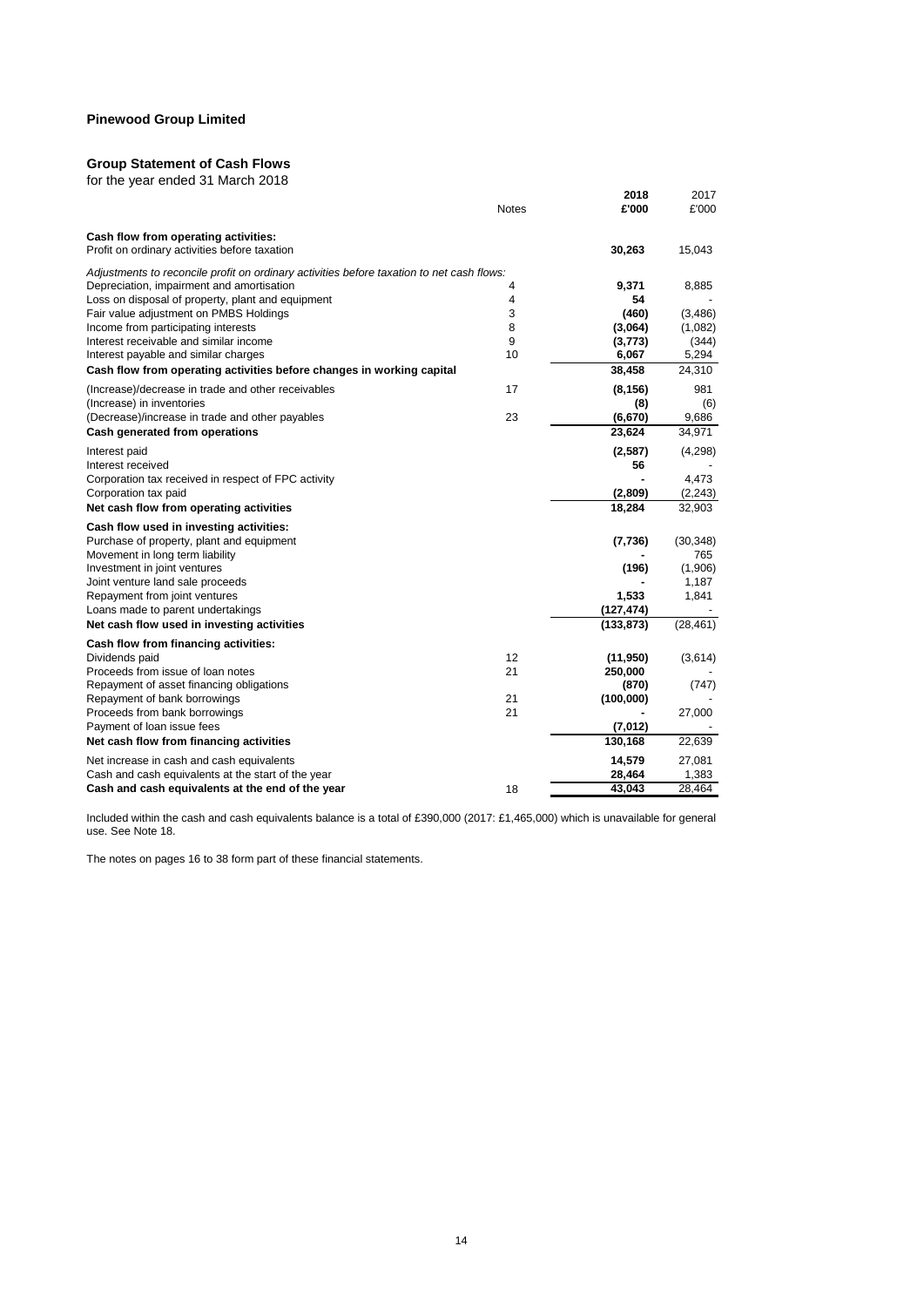## **Group Statement of Cash Flows**

for the year ended 31 March 2018

| $101$ and $100$ can be computed to the contract $\pm$                                                                                  | <b>Notes</b> | 2018<br>£'000                 | 2017<br>£'000       |
|----------------------------------------------------------------------------------------------------------------------------------------|--------------|-------------------------------|---------------------|
| Cash flow from operating activities:<br>Profit on ordinary activities before taxation                                                  |              | 30,263                        | 15,043              |
| Adjustments to reconcile profit on ordinary activities before taxation to net cash flows:<br>Depreciation, impairment and amortisation | 4            | 9,371                         | 8,885               |
| Loss on disposal of property, plant and equipment<br>Fair value adjustment on PMBS Holdings<br>Income from participating interests     | 4<br>3<br>8  | 54<br>(460)<br>(3,064)        | (3,486)<br>(1,082)  |
| Interest receivable and similar income<br>Interest payable and similar charges                                                         | 9<br>10      | (3,773)<br>6,067              | (344)<br>5,294      |
| Cash flow from operating activities before changes in working capital                                                                  |              | 38,458                        | 24,310              |
| (Increase)/decrease in trade and other receivables<br>(Increase) in inventories<br>(Decrease)/increase in trade and other payables     | 17<br>23     | (8, 156)<br>(8)<br>(6,670)    | 981<br>(6)<br>9,686 |
| Cash generated from operations                                                                                                         |              | 23,624                        | 34,971              |
| Interest paid<br>Interest received                                                                                                     |              | (2, 587)<br>56                | (4,298)             |
| Corporation tax received in respect of FPC activity<br>Corporation tax paid                                                            |              | (2,809)                       | 4,473<br>(2, 243)   |
| Net cash flow from operating activities                                                                                                |              | 18,284                        | 32,903              |
| Cash flow used in investing activities:<br>Purchase of property, plant and equipment<br>Movement in long term liability                |              | (7,736)                       | (30, 348)<br>765    |
| Investment in joint ventures<br>Joint venture land sale proceeds                                                                       |              | (196)                         | (1,906)<br>1,187    |
| Repayment from joint ventures<br>Loans made to parent undertakings                                                                     |              | 1,533<br>(127, 474)           | 1,841               |
| Net cash flow used in investing activities                                                                                             |              | (133, 873)                    | (28, 461)           |
| Cash flow from financing activities:<br>Dividends paid<br>Proceeds from issue of loan notes                                            | 12<br>21     | (11, 950)                     | (3,614)             |
| Repayment of asset financing obligations<br>Repayment of bank borrowings                                                               | 21           | 250,000<br>(870)<br>(100,000) | (747)               |
| Proceeds from bank borrowings<br>Payment of loan issue fees                                                                            | 21           | (7,012)                       | 27,000              |
| Net cash flow from financing activities                                                                                                |              | 130,168                       | 22,639              |
| Net increase in cash and cash equivalents<br>Cash and cash equivalents at the start of the year                                        |              | 14,579<br>28,464              | 27,081<br>1,383     |
| Cash and cash equivalents at the end of the year                                                                                       | 18           | 43,043                        | 28,464              |

Included within the cash and cash equivalents balance is a total of £390,000 (2017: £1,465,000) which is unavailable for general use. See Note 18.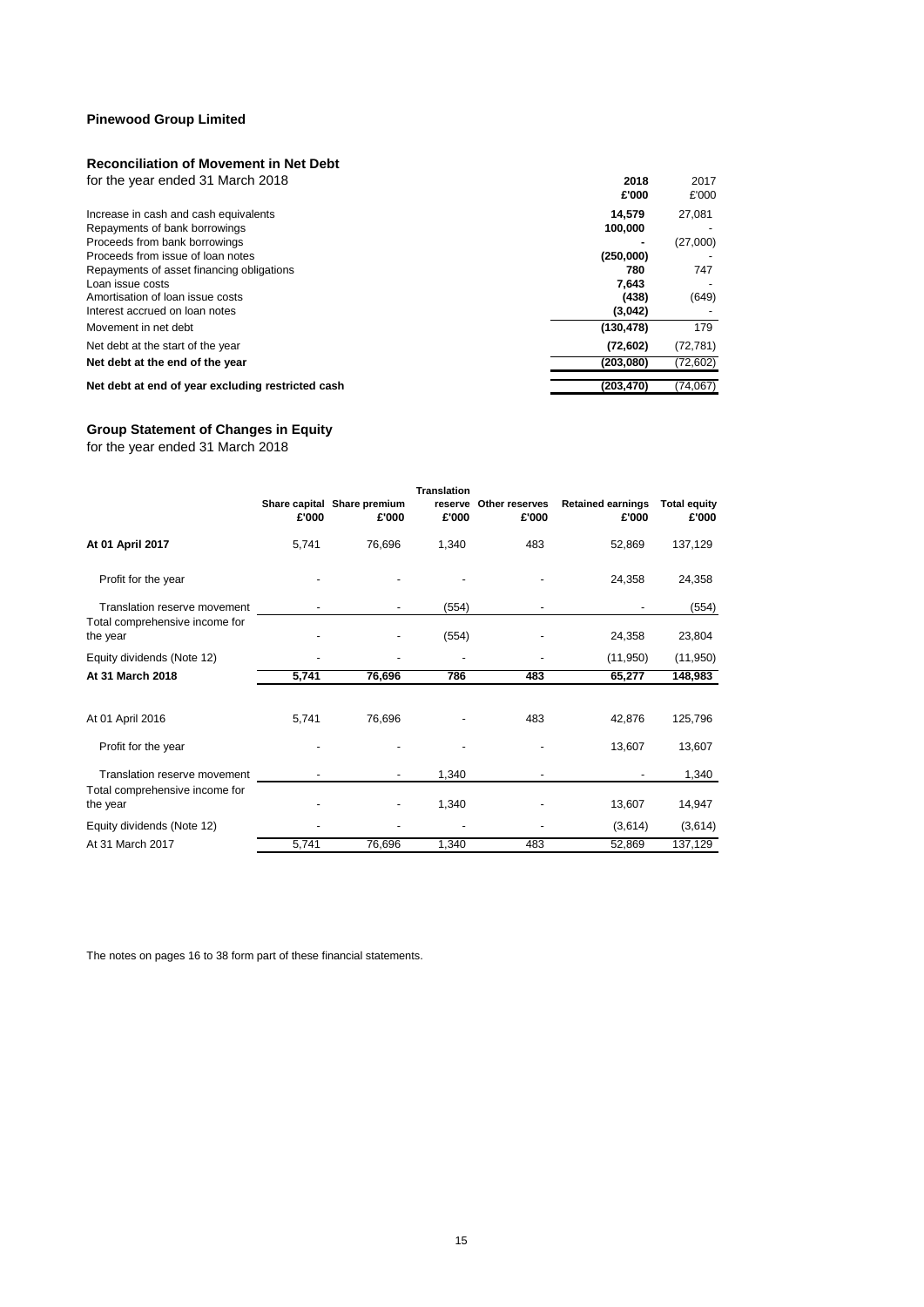## **Reconciliation of Movement in Net Debt**

| 179<br>(72, 781)<br>(72,602) |
|------------------------------|
|                              |
|                              |
|                              |
|                              |
| (649)                        |
|                              |
| 747                          |
|                              |
| (27,000)                     |
|                              |
| 27.081                       |
| 2017<br>£'000                |
|                              |

## **Group Statement of Changes in Equity**

for the year ended 31 March 2018

| 76,696<br>1,340<br>483<br>At 01 April 2017<br>5,741<br>Profit for the year<br>Translation reserve movement<br>(554)<br>Total comprehensive income for<br>(554)<br>the year<br>Equity dividends (Note 12) |           | £'000     |
|----------------------------------------------------------------------------------------------------------------------------------------------------------------------------------------------------------|-----------|-----------|
|                                                                                                                                                                                                          | 52,869    | 137,129   |
|                                                                                                                                                                                                          | 24,358    | 24,358    |
|                                                                                                                                                                                                          |           | (554)     |
|                                                                                                                                                                                                          | 24,358    | 23,804    |
|                                                                                                                                                                                                          | (11, 950) | (11, 950) |
| At 31 March 2018<br>5,741<br>76,696<br>786<br>483                                                                                                                                                        | 65,277    | 148,983   |
|                                                                                                                                                                                                          |           |           |
| 5,741<br>76,696<br>483<br>At 01 April 2016                                                                                                                                                               | 42,876    | 125,796   |
| Profit for the year                                                                                                                                                                                      | 13,607    | 13,607    |
| Translation reserve movement<br>1,340<br>$\overline{\phantom{a}}$                                                                                                                                        |           | 1,340     |
| Total comprehensive income for<br>1,340<br>the year<br>٠                                                                                                                                                 | 13,607    | 14,947    |
| Equity dividends (Note 12)                                                                                                                                                                               | (3,614)   | (3,614)   |
| At 31 March 2017<br>5,741<br>76,696<br>1,340<br>483                                                                                                                                                      | 52,869    |           |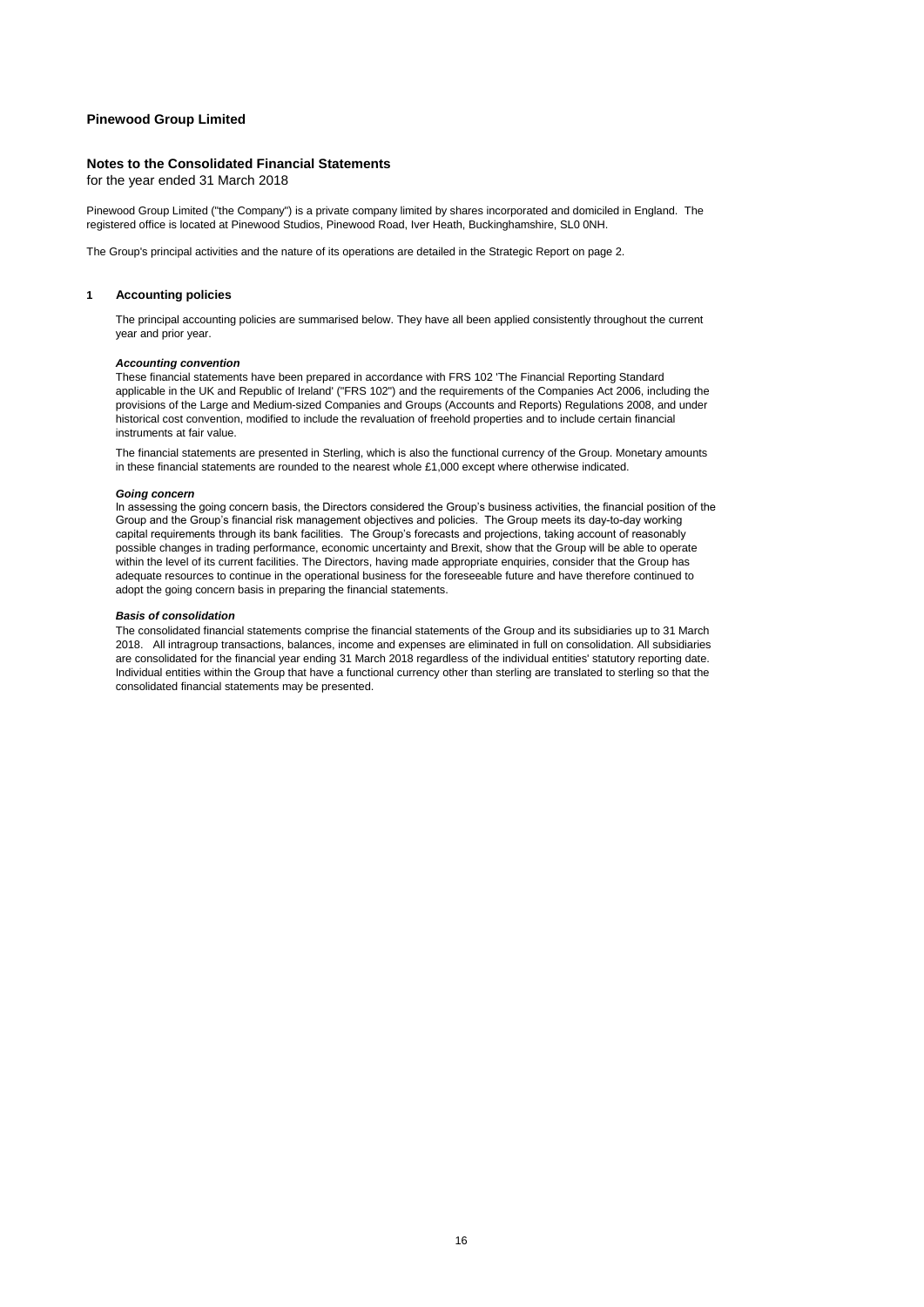### **Notes to the Consolidated Financial Statements**

for the year ended 31 March 2018

Pinewood Group Limited ("the Company") is a private company limited by shares incorporated and domiciled in England. The registered office is located at Pinewood Studios, Pinewood Road, Iver Heath, Buckinghamshire, SL0 0NH.

The Group's principal activities and the nature of its operations are detailed in the Strategic Report on page 2.

### **1 Accounting policies**

The principal accounting policies are summarised below. They have all been applied consistently throughout the current year and prior year.

### *Accounting convention*

These financial statements have been prepared in accordance with FRS 102 'The Financial Reporting Standard applicable in the UK and Republic of Ireland' ("FRS 102") and the requirements of the Companies Act 2006, including the provisions of the Large and Medium-sized Companies and Groups (Accounts and Reports) Regulations 2008, and under historical cost convention, modified to include the revaluation of freehold properties and to include certain financial instruments at fair value.

The financial statements are presented in Sterling, which is also the functional currency of the Group. Monetary amounts in these financial statements are rounded to the nearest whole £1,000 except where otherwise indicated.

#### *Going concern*

In assessing the going concern basis, the Directors considered the Group's business activities, the financial position of the Group and the Group's financial risk management objectives and policies. The Group meets its day-to-day working capital requirements through its bank facilities. The Group's forecasts and projections, taking account of reasonably possible changes in trading performance, economic uncertainty and Brexit, show that the Group will be able to operate within the level of its current facilities. The Directors, having made appropriate enquiries, consider that the Group has adequate resources to continue in the operational business for the foreseeable future and have therefore continued to adopt the going concern basis in preparing the financial statements.

#### *Basis of consolidation*

The consolidated financial statements comprise the financial statements of the Group and its subsidiaries up to 31 March 2018. All intragroup transactions, balances, income and expenses are eliminated in full on consolidation. All subsidiaries are consolidated for the financial year ending 31 March 2018 regardless of the individual entities' statutory reporting date. Individual entities within the Group that have a functional currency other than sterling are translated to sterling so that the consolidated financial statements may be presented.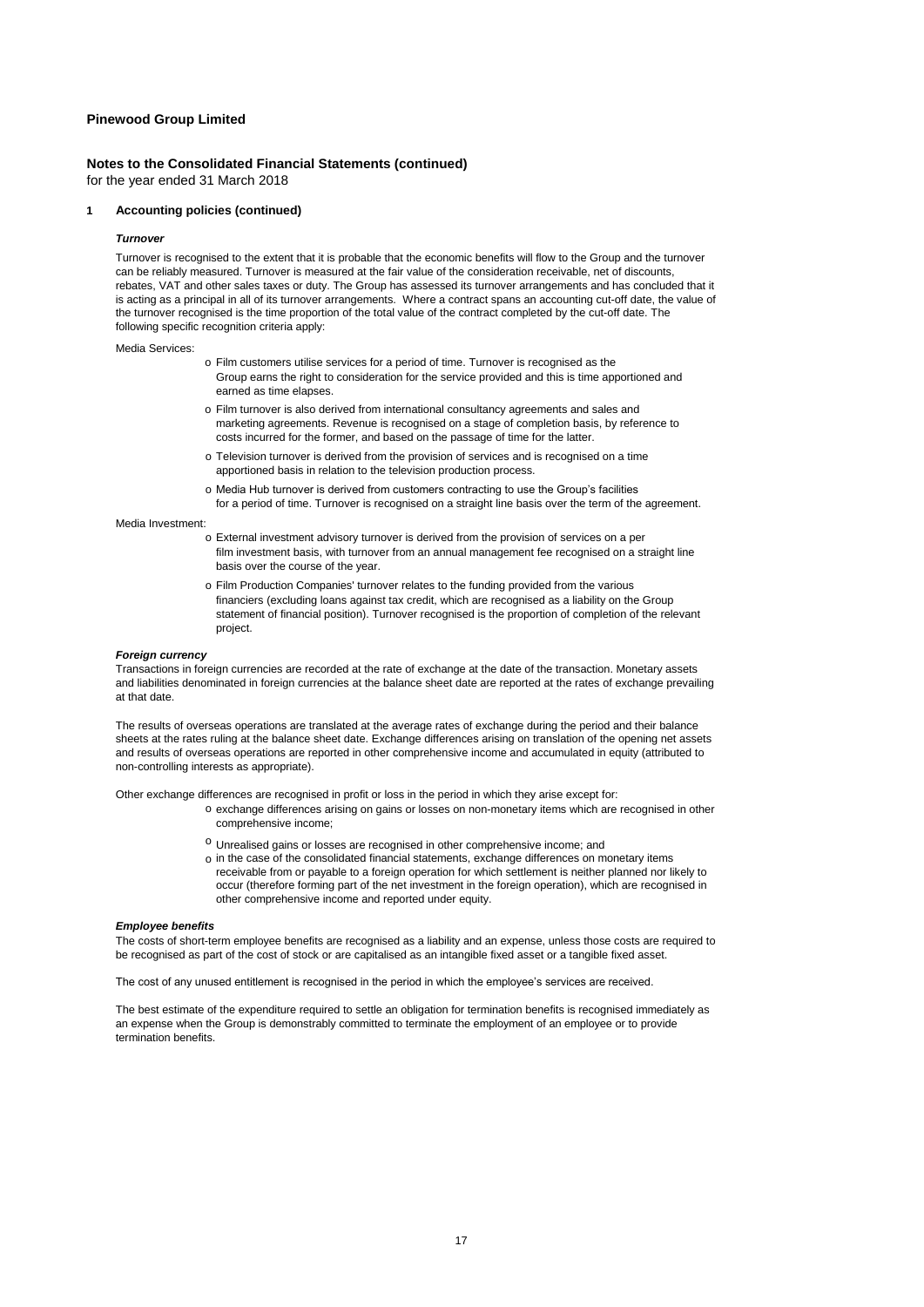### **Notes to the Consolidated Financial Statements (continued)** for the year ended 31 March 2018

## **1 Accounting policies (continued)**

#### *Turnover*

Turnover is recognised to the extent that it is probable that the economic benefits will flow to the Group and the turnover can be reliably measured. Turnover is measured at the fair value of the consideration receivable, net of discounts, rebates, VAT and other sales taxes or duty. The Group has assessed its turnover arrangements and has concluded that it is acting as a principal in all of its turnover arrangements. Where a contract spans an accounting cut-off date, the value of the turnover recognised is the time proportion of the total value of the contract completed by the cut-off date. The following specific recognition criteria apply:

Media Services:

- o Film customers utilise services for a period of time. Turnover is recognised as the Group earns the right to consideration for the service provided and this is time apportioned and earned as time elapses.
- o Film turnover is also derived from international consultancy agreements and sales and marketing agreements. Revenue is recognised on a stage of completion basis, by reference to costs incurred for the former, and based on the passage of time for the latter.
- o Television turnover is derived from the provision of services and is recognised on a time apportioned basis in relation to the television production process.
- o Media Hub turnover is derived from customers contracting to use the Group's facilities for a period of time. Turnover is recognised on a straight line basis over the term of the agreement.

Media Investment:

- o External investment advisory turnover is derived from the provision of services on a per film investment basis, with turnover from an annual management fee recognised on a straight line basis over the course of the year.
- o Film Production Companies' turnover relates to the funding provided from the various financiers (excluding loans against tax credit, which are recognised as a liability on the Group statement of financial position). Turnover recognised is the proportion of completion of the relevant project.

#### *Foreign currency*

Transactions in foreign currencies are recorded at the rate of exchange at the date of the transaction. Monetary assets and liabilities denominated in foreign currencies at the balance sheet date are reported at the rates of exchange prevailing at that date.

The results of overseas operations are translated at the average rates of exchange during the period and their balance sheets at the rates ruling at the balance sheet date. Exchange differences arising on translation of the opening net assets and results of overseas operations are reported in other comprehensive income and accumulated in equity (attributed to non-controlling interests as appropriate).

Other exchange differences are recognised in profit or loss in the period in which they arise except for:

- o exchange differences arising on gains or losses on non-monetary items which are recognised in other comprehensive income;
	- <sup>0</sup> Unrealised gains or losses are recognised in other comprehensive income; and
	- o in the case of the consolidated financial statements, exchange differences on monetary items receivable from or payable to a foreign operation for which settlement is neither planned nor likely to occur (therefore forming part of the net investment in the foreign operation), which are recognised in other comprehensive income and reported under equity.

### *Employee benefits*

The costs of short-term employee benefits are recognised as a liability and an expense, unless those costs are required to be recognised as part of the cost of stock or are capitalised as an intangible fixed asset or a tangible fixed asset.

The cost of any unused entitlement is recognised in the period in which the employee's services are received.

The best estimate of the expenditure required to settle an obligation for termination benefits is recognised immediately as an expense when the Group is demonstrably committed to terminate the employment of an employee or to provide termination benefits.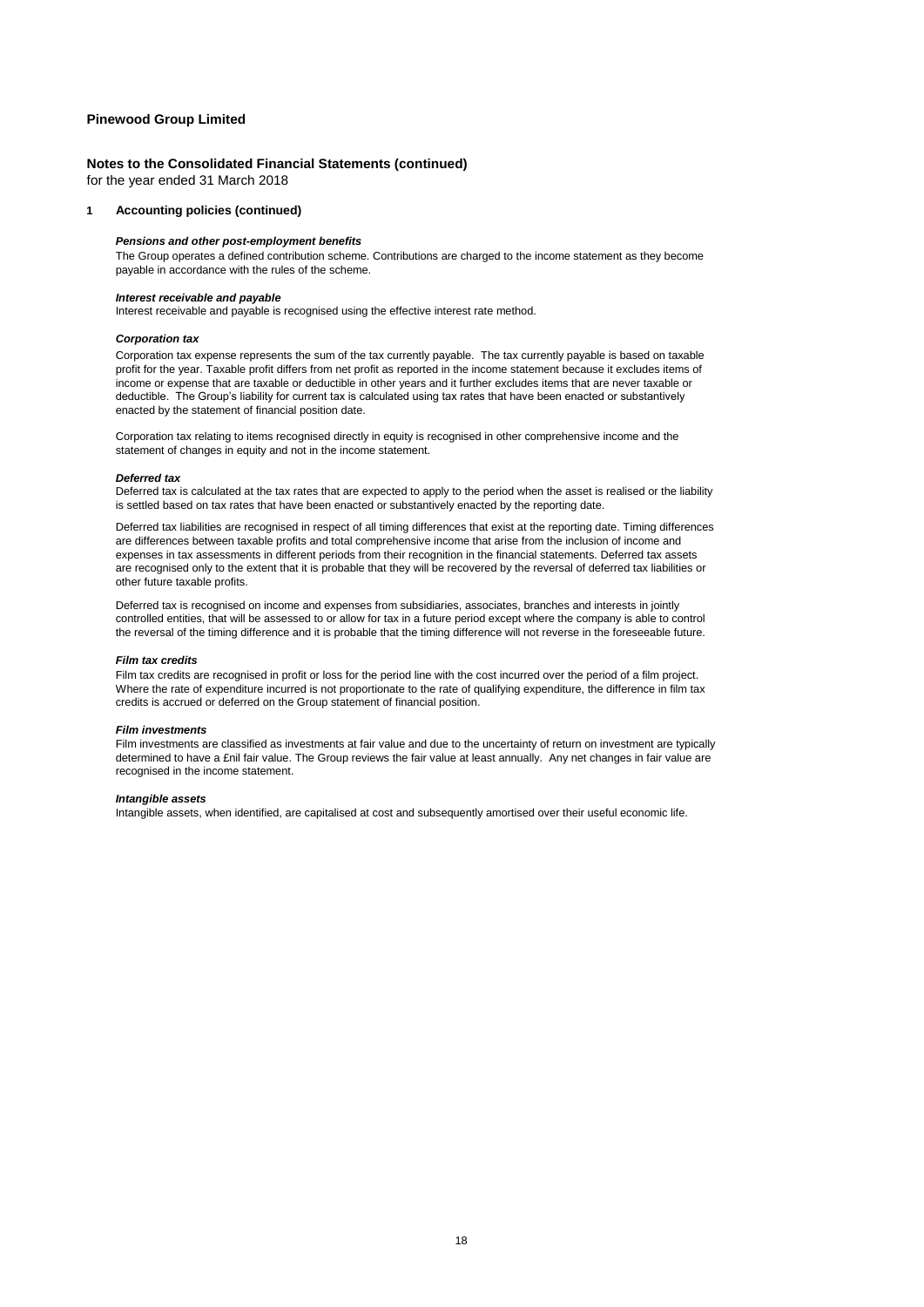### **Notes to the Consolidated Financial Statements (continued)** for the year ended 31 March 2018

**1 Accounting policies (continued)**

### *Pensions and other post-employment benefits*

The Group operates a defined contribution scheme. Contributions are charged to the income statement as they become payable in accordance with the rules of the scheme.

#### *Interest receivable and payable*

Interest receivable and payable is recognised using the effective interest rate method.

#### *Corporation tax*

Corporation tax expense represents the sum of the tax currently payable. The tax currently payable is based on taxable profit for the year. Taxable profit differs from net profit as reported in the income statement because it excludes items of income or expense that are taxable or deductible in other years and it further excludes items that are never taxable or deductible. The Group's liability for current tax is calculated using tax rates that have been enacted or substantively enacted by the statement of financial position date.

Corporation tax relating to items recognised directly in equity is recognised in other comprehensive income and the statement of changes in equity and not in the income statement.

#### *Deferred tax*

Deferred tax is calculated at the tax rates that are expected to apply to the period when the asset is realised or the liability is settled based on tax rates that have been enacted or substantively enacted by the reporting date.

Deferred tax liabilities are recognised in respect of all timing differences that exist at the reporting date. Timing differences are differences between taxable profits and total comprehensive income that arise from the inclusion of income and expenses in tax assessments in different periods from their recognition in the financial statements. Deferred tax assets are recognised only to the extent that it is probable that they will be recovered by the reversal of deferred tax liabilities or other future taxable profits.

Deferred tax is recognised on income and expenses from subsidiaries, associates, branches and interests in jointly controlled entities, that will be assessed to or allow for tax in a future period except where the company is able to control the reversal of the timing difference and it is probable that the timing difference will not reverse in the foreseeable future.

#### *Film tax credits*

Film tax credits are recognised in profit or loss for the period line with the cost incurred over the period of a film project. Where the rate of expenditure incurred is not proportionate to the rate of qualifying expenditure, the difference in film tax credits is accrued or deferred on the Group statement of financial position.

#### *Film investments*

Film investments are classified as investments at fair value and due to the uncertainty of return on investment are typically determined to have a £nil fair value. The Group reviews the fair value at least annually. Any net changes in fair value are recognised in the income statement.

#### *Intangible assets*

Intangible assets, when identified, are capitalised at cost and subsequently amortised over their useful economic life.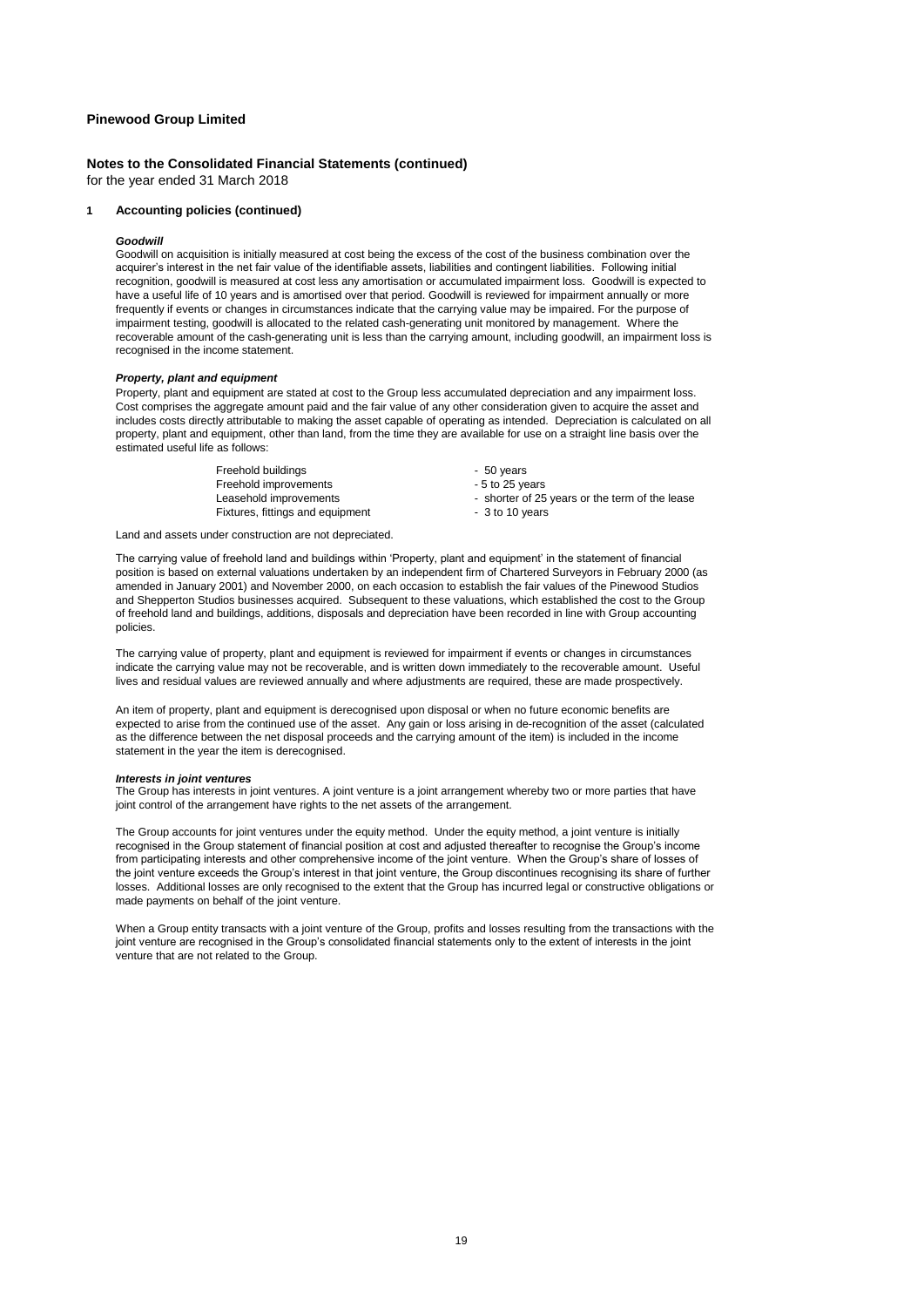### **Notes to the Consolidated Financial Statements (continued)** for the year ended 31 March 2018

**1 Accounting policies (continued)**

#### *Goodwill*

Goodwill on acquisition is initially measured at cost being the excess of the cost of the business combination over the acquirer's interest in the net fair value of the identifiable assets, liabilities and contingent liabilities. Following initial recognition, goodwill is measured at cost less any amortisation or accumulated impairment loss. Goodwill is expected to have a useful life of 10 years and is amortised over that period. Goodwill is reviewed for impairment annually or more frequently if events or changes in circumstances indicate that the carrying value may be impaired. For the purpose of impairment testing, goodwill is allocated to the related cash-generating unit monitored by management. Where the recoverable amount of the cash-generating unit is less than the carrying amount, including goodwill, an impairment loss is recognised in the income statement.

#### *Property, plant and equipment*

Property, plant and equipment are stated at cost to the Group less accumulated depreciation and any impairment loss. Cost comprises the aggregate amount paid and the fair value of any other consideration given to acquire the asset and includes costs directly attributable to making the asset capable of operating as intended. Depreciation is calculated on all property, plant and equipment, other than land, from the time they are available for use on a straight line basis over the estimated useful life as follows:

> Freehold buildings<br>
> Freehold improvements<br>
> - 5 to 25 years
> - 5 to 25 years
> - 5 to 25 years
> - 5 to 25 years
> - 5 to 25 years
> - 9 years
> - 5 to 25 year and the state of the state of the state of the state of the state of the s Freehold improvements<br>Leasehold improvements Fixtures, fittings and equipment - 3 to 10 years

- shorter of 25 years or the term of the lease
- 

Land and assets under construction are not depreciated.

The carrying value of freehold land and buildings within 'Property, plant and equipment' in the statement of financial position is based on external valuations undertaken by an independent firm of Chartered Surveyors in February 2000 (as amended in January 2001) and November 2000, on each occasion to establish the fair values of the Pinewood Studios and Shepperton Studios businesses acquired. Subsequent to these valuations, which established the cost to the Group of freehold land and buildings, additions, disposals and depreciation have been recorded in line with Group accounting policies.

The carrying value of property, plant and equipment is reviewed for impairment if events or changes in circumstances indicate the carrying value may not be recoverable, and is written down immediately to the recoverable amount. Useful lives and residual values are reviewed annually and where adjustments are required, these are made prospectively.

An item of property, plant and equipment is derecognised upon disposal or when no future economic benefits are expected to arise from the continued use of the asset. Any gain or loss arising in de-recognition of the asset (calculated as the difference between the net disposal proceeds and the carrying amount of the item) is included in the income statement in the year the item is derecognised.

#### *Interests in joint ventures*

The Group has interests in joint ventures. A joint venture is a joint arrangement whereby two or more parties that have joint control of the arrangement have rights to the net assets of the arrangement.

The Group accounts for joint ventures under the equity method. Under the equity method, a joint venture is initially recognised in the Group statement of financial position at cost and adjusted thereafter to recognise the Group's income from participating interests and other comprehensive income of the joint venture. When the Group's share of losses of the joint venture exceeds the Group's interest in that joint venture, the Group discontinues recognising its share of further losses. Additional losses are only recognised to the extent that the Group has incurred legal or constructive obligations or made payments on behalf of the joint venture.

When a Group entity transacts with a joint venture of the Group, profits and losses resulting from the transactions with the joint venture are recognised in the Group's consolidated financial statements only to the extent of interests in the joint venture that are not related to the Group.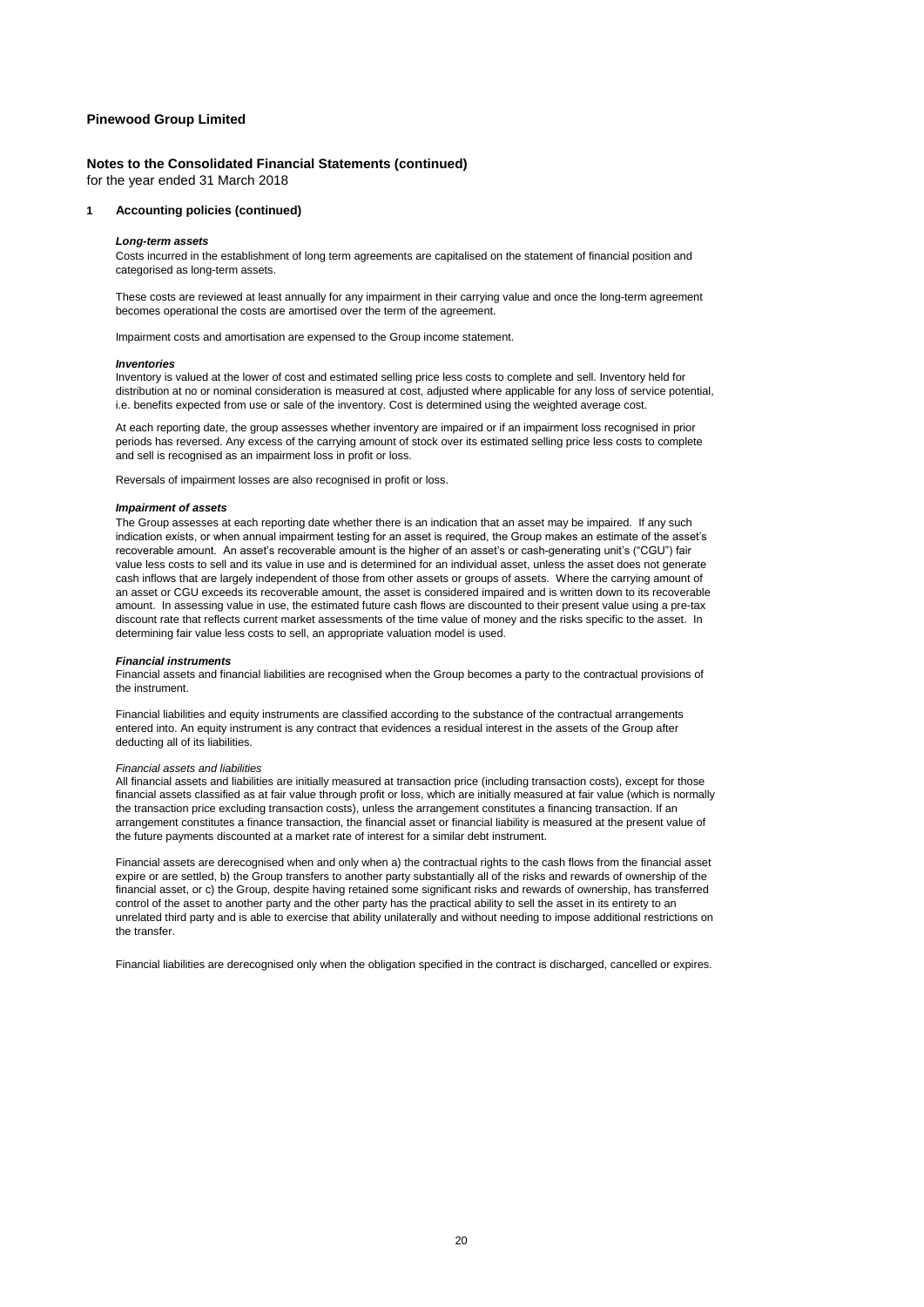### **Notes to the Consolidated Financial Statements (continued)**

for the year ended 31 March 2018

#### **1 Accounting policies (continued)**

### *Long-term assets*

Costs incurred in the establishment of long term agreements are capitalised on the statement of financial position and categorised as long-term assets.

These costs are reviewed at least annually for any impairment in their carrying value and once the long-term agreement becomes operational the costs are amortised over the term of the agreement.

Impairment costs and amortisation are expensed to the Group income statement.

#### *Inventories*

Inventory is valued at the lower of cost and estimated selling price less costs to complete and sell. Inventory held for distribution at no or nominal consideration is measured at cost, adjusted where applicable for any loss of service potential, i.e. benefits expected from use or sale of the inventory. Cost is determined using the weighted average cost.

At each reporting date, the group assesses whether inventory are impaired or if an impairment loss recognised in prior periods has reversed. Any excess of the carrying amount of stock over its estimated selling price less costs to complete and sell is recognised as an impairment loss in profit or loss.

Reversals of impairment losses are also recognised in profit or loss.

#### *Impairment of assets*

The Group assesses at each reporting date whether there is an indication that an asset may be impaired. If any such indication exists, or when annual impairment testing for an asset is required, the Group makes an estimate of the asset's recoverable amount. An asset's recoverable amount is the higher of an asset's or cash-generating unit's ("CGU") fair value less costs to sell and its value in use and is determined for an individual asset, unless the asset does not generate cash inflows that are largely independent of those from other assets or groups of assets. Where the carrying amount of an asset or CGU exceeds its recoverable amount, the asset is considered impaired and is written down to its recoverable amount. In assessing value in use, the estimated future cash flows are discounted to their present value using a pre-tax discount rate that reflects current market assessments of the time value of money and the risks specific to the asset. In determining fair value less costs to sell, an appropriate valuation model is used.

#### *Financial instruments*

Financial assets and financial liabilities are recognised when the Group becomes a party to the contractual provisions of the instrument.

Financial liabilities and equity instruments are classified according to the substance of the contractual arrangements entered into. An equity instrument is any contract that evidences a residual interest in the assets of the Group after deducting all of its liabilities.

#### *Financial assets and liabilities*

All financial assets and liabilities are initially measured at transaction price (including transaction costs), except for those financial assets classified as at fair value through profit or loss, which are initially measured at fair value (which is normally the transaction price excluding transaction costs), unless the arrangement constitutes a financing transaction. If an arrangement constitutes a finance transaction, the financial asset or financial liability is measured at the present value of the future payments discounted at a market rate of interest for a similar debt instrument.

Financial assets are derecognised when and only when a) the contractual rights to the cash flows from the financial asset expire or are settled, b) the Group transfers to another party substantially all of the risks and rewards of ownership of the financial asset, or c) the Group, despite having retained some significant risks and rewards of ownership, has transferred control of the asset to another party and the other party has the practical ability to sell the asset in its entirety to an unrelated third party and is able to exercise that ability unilaterally and without needing to impose additional restrictions on the transfer.

Financial liabilities are derecognised only when the obligation specified in the contract is discharged, cancelled or expires.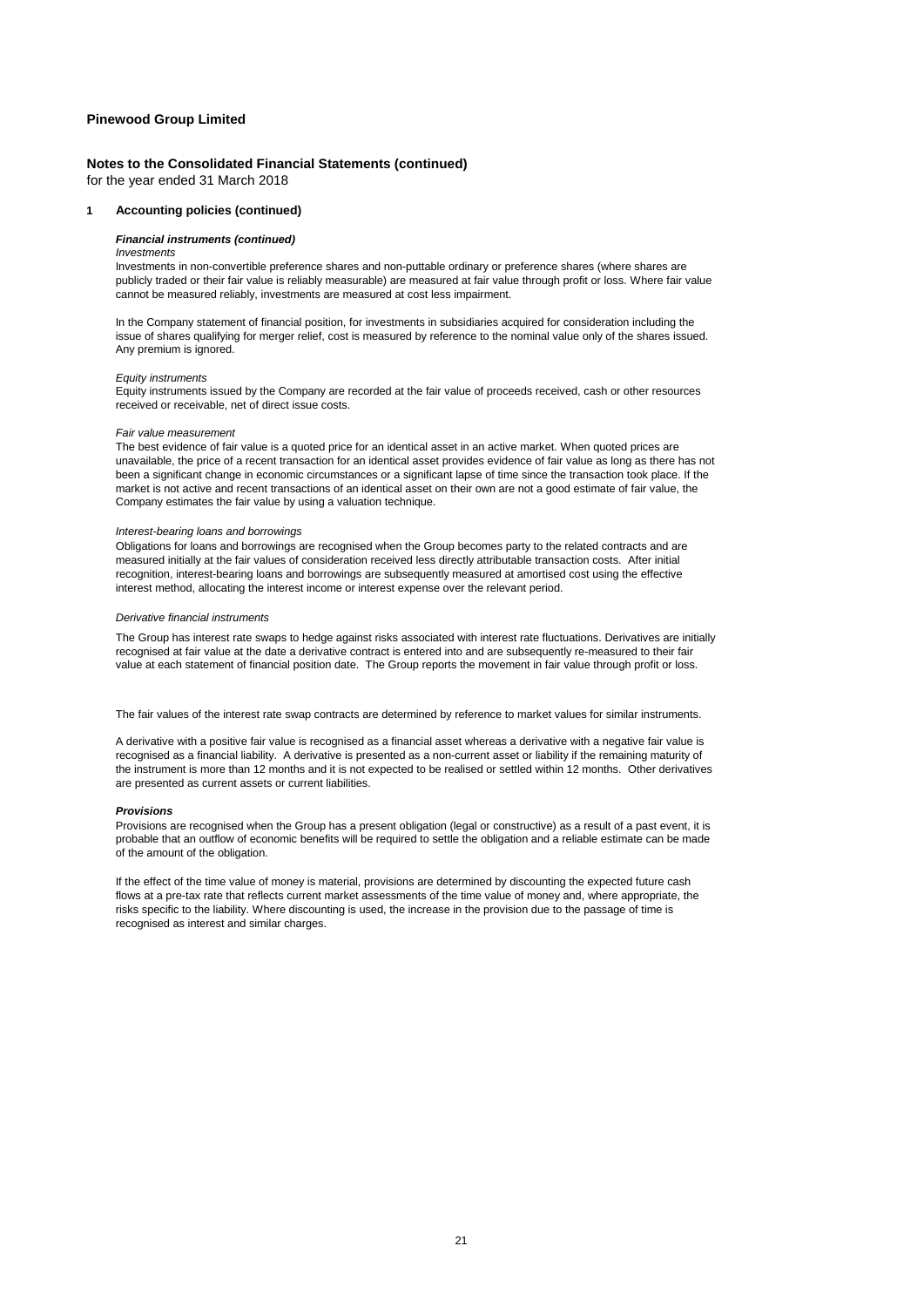### **Notes to the Consolidated Financial Statements (continued)** for the year ended 31 March 2018

# **1 Accounting policies (continued)**

### *Financial instruments (continued)*

#### *Investments*

Investments in non-convertible preference shares and non-puttable ordinary or preference shares (where shares are publicly traded or their fair value is reliably measurable) are measured at fair value through profit or loss. Where fair value cannot be measured reliably, investments are measured at cost less impairment.

In the Company statement of financial position, for investments in subsidiaries acquired for consideration including the issue of shares qualifying for merger relief, cost is measured by reference to the nominal value only of the shares issued. Any premium is ignored.

#### *Equity instruments*

Equity instruments issued by the Company are recorded at the fair value of proceeds received, cash or other resources received or receivable, net of direct issue costs.

#### *Fair value measurement*

The best evidence of fair value is a quoted price for an identical asset in an active market. When quoted prices are unavailable, the price of a recent transaction for an identical asset provides evidence of fair value as long as there has not been a significant change in economic circumstances or a significant lapse of time since the transaction took place. If the market is not active and recent transactions of an identical asset on their own are not a good estimate of fair value, the Company estimates the fair value by using a valuation technique.

#### *Interest-bearing loans and borrowings*

Obligations for loans and borrowings are recognised when the Group becomes party to the related contracts and are measured initially at the fair values of consideration received less directly attributable transaction costs. After initial recognition, interest-bearing loans and borrowings are subsequently measured at amortised cost using the effective interest method, allocating the interest income or interest expense over the relevant period.

#### *Derivative financial instruments*

The Group has interest rate swaps to hedge against risks associated with interest rate fluctuations. Derivatives are initially recognised at fair value at the date a derivative contract is entered into and are subsequently re-measured to their fair value at each statement of financial position date. The Group reports the movement in fair value through profit or loss.

The fair values of the interest rate swap contracts are determined by reference to market values for similar instruments.

A derivative with a positive fair value is recognised as a financial asset whereas a derivative with a negative fair value is recognised as a financial liability. A derivative is presented as a non-current asset or liability if the remaining maturity of the instrument is more than 12 months and it is not expected to be realised or settled within 12 months. Other derivatives are presented as current assets or current liabilities.

#### *Provisions*

Provisions are recognised when the Group has a present obligation (legal or constructive) as a result of a past event, it is probable that an outflow of economic benefits will be required to settle the obligation and a reliable estimate can be made of the amount of the obligation.

If the effect of the time value of money is material, provisions are determined by discounting the expected future cash flows at a pre-tax rate that reflects current market assessments of the time value of money and, where appropriate, the risks specific to the liability. Where discounting is used, the increase in the provision due to the passage of time is recognised as interest and similar charges.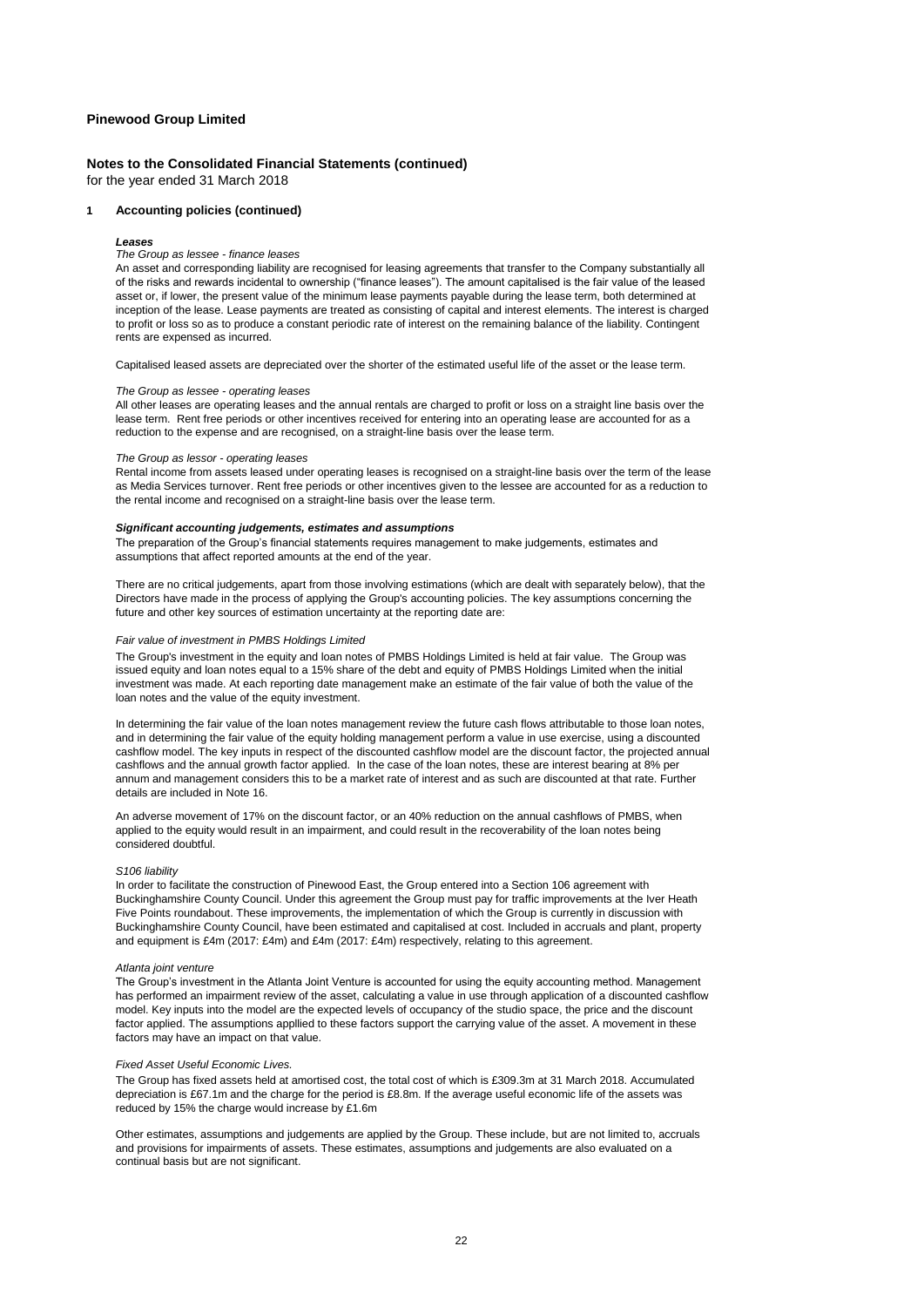### **Notes to the Consolidated Financial Statements (continued)** for the year ended 31 March 2018

## **1 Accounting policies (continued)**

### *Leases*

### *The Group as lessee - finance leases*

An asset and corresponding liability are recognised for leasing agreements that transfer to the Company substantially all of the risks and rewards incidental to ownership ("finance leases"). The amount capitalised is the fair value of the leased asset or, if lower, the present value of the minimum lease payments payable during the lease term, both determined at inception of the lease. Lease payments are treated as consisting of capital and interest elements. The interest is charged to profit or loss so as to produce a constant periodic rate of interest on the remaining balance of the liability. Contingent rents are expensed as incurred.

Capitalised leased assets are depreciated over the shorter of the estimated useful life of the asset or the lease term.

#### *The Group as lessee - operating leases*

All other leases are operating leases and the annual rentals are charged to profit or loss on a straight line basis over the lease term. Rent free periods or other incentives received for entering into an operating lease are accounted for as a reduction to the expense and are recognised, on a straight-line basis over the lease term.

#### *The Group as lessor - operating leases*

Rental income from assets leased under operating leases is recognised on a straight-line basis over the term of the lease as Media Services turnover. Rent free periods or other incentives given to the lessee are accounted for as a reduction to the rental income and recognised on a straight-line basis over the lease term.

#### *Significant accounting judgements, estimates and assumptions*

The preparation of the Group's financial statements requires management to make judgements, estimates and assumptions that affect reported amounts at the end of the year.

There are no critical judgements, apart from those involving estimations (which are dealt with separately below), that the Directors have made in the process of applying the Group's accounting policies. The key assumptions concerning the future and other key sources of estimation uncertainty at the reporting date are:

#### *Fair value of investment in PMBS Holdings Limited*

The Group's investment in the equity and loan notes of PMBS Holdings Limited is held at fair value. The Group was issued equity and loan notes equal to a 15% share of the debt and equity of PMBS Holdings Limited when the initial investment was made. At each reporting date management make an estimate of the fair value of both the value of the loan notes and the value of the equity investment.

In determining the fair value of the loan notes management review the future cash flows attributable to those loan notes, and in determining the fair value of the equity holding management perform a value in use exercise, using a discounted cashflow model. The key inputs in respect of the discounted cashflow model are the discount factor, the projected annual cashflows and the annual growth factor applied. In the case of the loan notes, these are interest bearing at 8% per annum and management considers this to be a market rate of interest and as such are discounted at that rate. Further details are included in Note 16.

An adverse movement of 17% on the discount factor, or an 40% reduction on the annual cashflows of PMBS, when applied to the equity would result in an impairment, and could result in the recoverability of the loan notes being considered doubtful.

### *S106 liability*

In order to facilitate the construction of Pinewood East, the Group entered into a Section 106 agreement with Buckinghamshire County Council. Under this agreement the Group must pay for traffic improvements at the Iver Heath Five Points roundabout. These improvements, the implementation of which the Group is currently in discussion with Buckinghamshire County Council, have been estimated and capitalised at cost. Included in accruals and plant, property and equipment is £4m (2017: £4m) and £4m (2017: £4m) respectively, relating to this agreement.

#### *Atlanta joint venture*

The Group's investment in the Atlanta Joint Venture is accounted for using the equity accounting method. Management has performed an impairment review of the asset, calculating a value in use through application of a discounted cashflow model. Key inputs into the model are the expected levels of occupancy of the studio space, the price and the discount factor applied. The assumptions appllied to these factors support the carrying value of the asset. A movement in these factors may have an impact on that value.

#### *Fixed Asset Useful Economic Lives.*

The Group has fixed assets held at amortised cost, the total cost of which is £309.3m at 31 March 2018. Accumulated depreciation is £67.1m and the charge for the period is £8.8m. If the average useful economic life of the assets was reduced by 15% the charge would increase by £1.6m

Other estimates, assumptions and judgements are applied by the Group. These include, but are not limited to, accruals and provisions for impairments of assets. These estimates, assumptions and judgements are also evaluated on a continual basis but are not significant.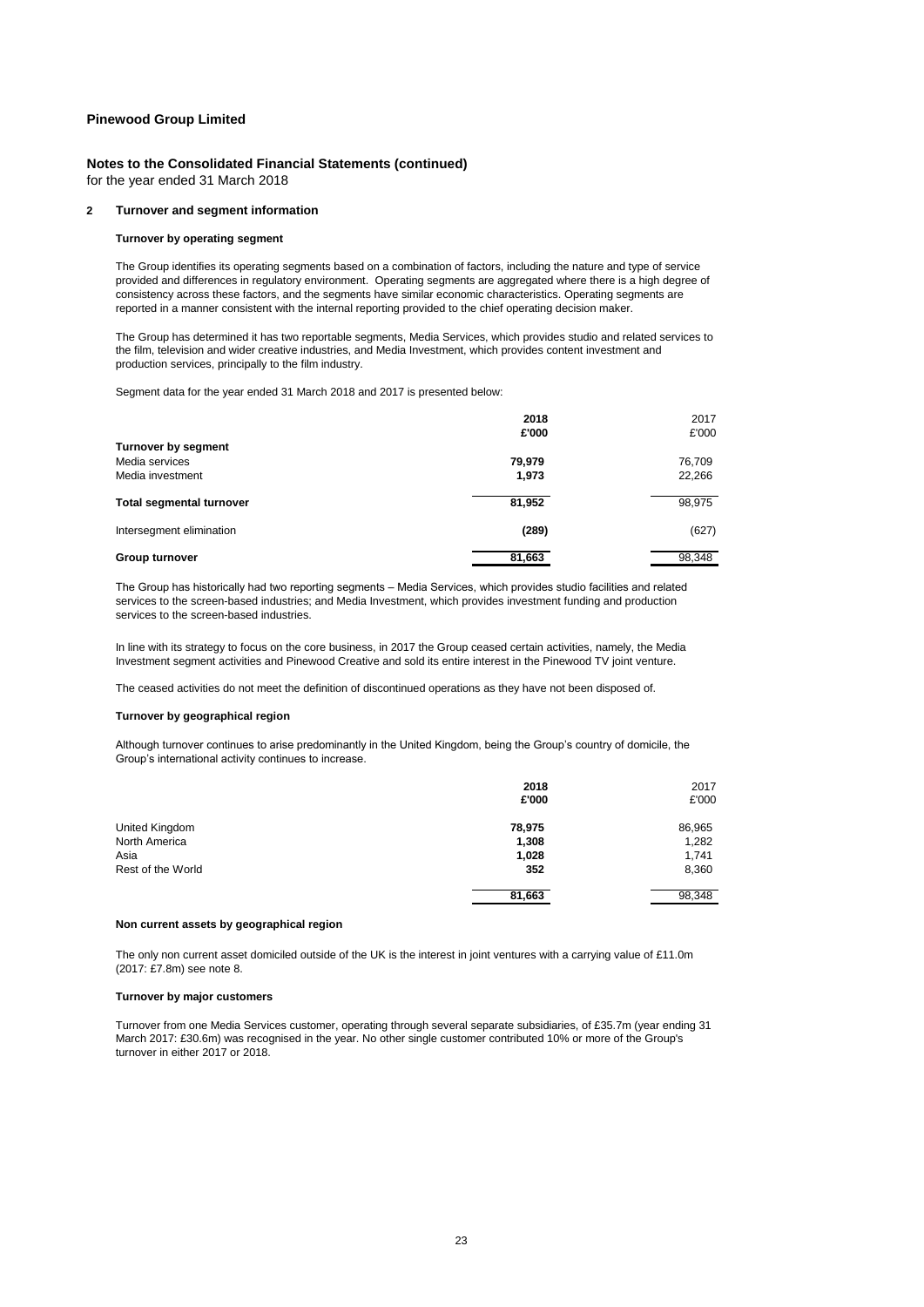### **Notes to the Consolidated Financial Statements (continued)** for the year ended 31 March 2018

**2 Turnover and segment information**

### **Turnover by operating segment**

The Group identifies its operating segments based on a combination of factors, including the nature and type of service provided and differences in regulatory environment. Operating segments are aggregated where there is a high degree of consistency across these factors, and the segments have similar economic characteristics. Operating segments are reported in a manner consistent with the internal reporting provided to the chief operating decision maker.

The Group has determined it has two reportable segments, Media Services, which provides studio and related services to the film, television and wider creative industries, and Media Investment, which provides content investment and production services, principally to the film industry.

Segment data for the year ended 31 March 2018 and 2017 is presented below:

|                                 | 2018   | 2017   |
|---------------------------------|--------|--------|
|                                 | £'000  | £'000  |
| <b>Turnover by segment</b>      |        |        |
| Media services                  | 79.979 | 76,709 |
| Media investment                | 1,973  | 22,266 |
| <b>Total segmental turnover</b> | 81,952 | 98,975 |
| Intersegment elimination        | (289)  | (627)  |
| Group turnover                  | 81,663 | 98,348 |

The Group has historically had two reporting segments – Media Services, which provides studio facilities and related services to the screen-based industries; and Media Investment, which provides investment funding and production services to the screen-based industries.

In line with its strategy to focus on the core business, in 2017 the Group ceased certain activities, namely, the Media Investment segment activities and Pinewood Creative and sold its entire interest in the Pinewood TV joint venture.

The ceased activities do not meet the definition of discontinued operations as they have not been disposed of.

#### **Turnover by geographical region**

Although turnover continues to arise predominantly in the United Kingdom, being the Group's country of domicile, the Group's international activity continues to increase.

|                   | 2018<br>£'000 | 2017<br>£'000 |
|-------------------|---------------|---------------|
| United Kingdom    | 78,975        | 86,965        |
| North America     | 1,308         | 1,282         |
| Asia              | 1,028         | 1,741         |
| Rest of the World | 352           | 8,360         |
|                   | 81,663        | 98.348        |

### **Non current assets by geographical region**

The only non current asset domiciled outside of the UK is the interest in joint ventures with a carrying value of £11.0m (2017: £7.8m) see note 8.

### **Turnover by major customers**

Turnover from one Media Services customer, operating through several separate subsidiaries, of £35.7m (year ending 31 March 2017: £30.6m) was recognised in the year. No other single customer contributed 10% or more of the Group's turnover in either 2017 or 2018.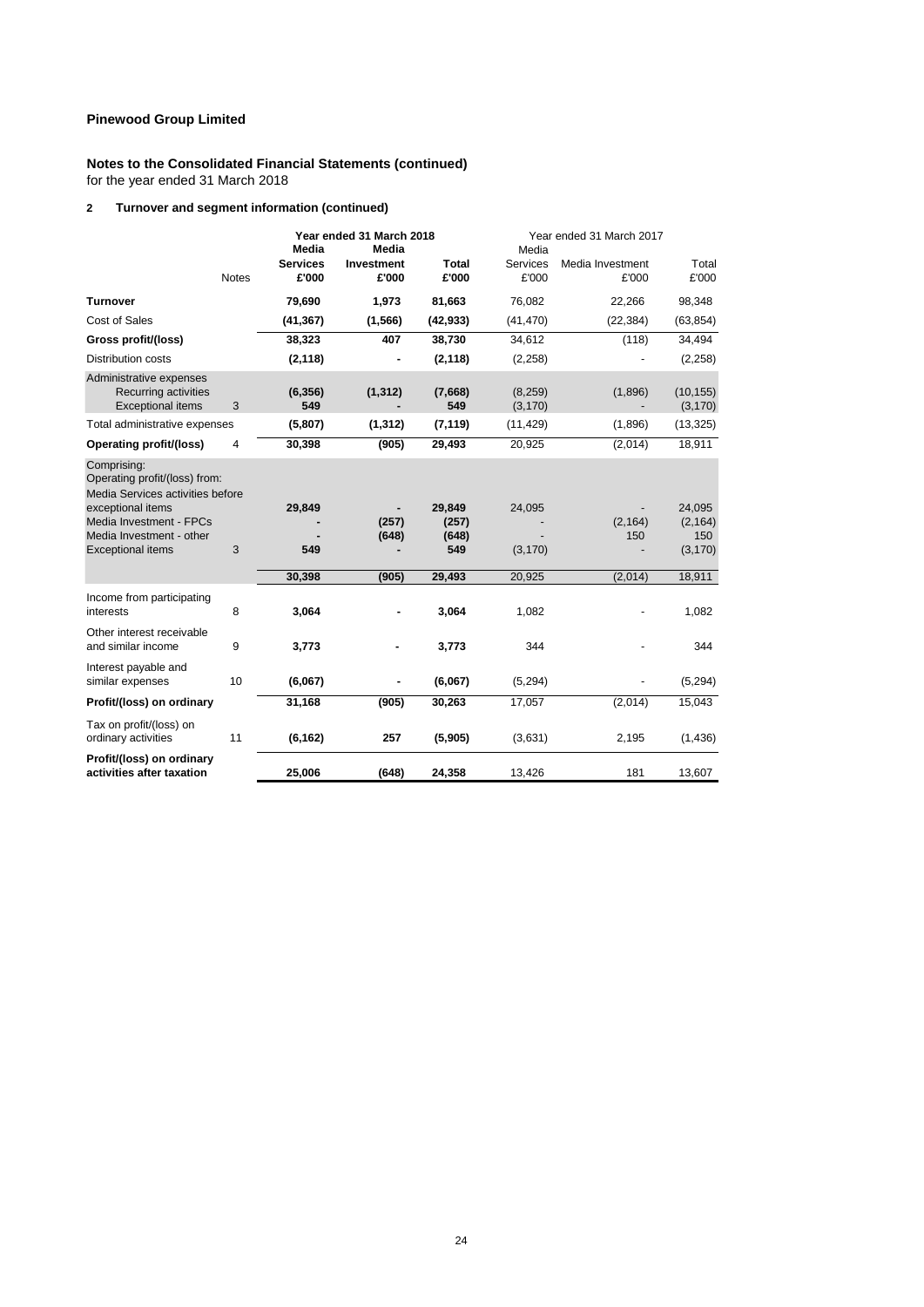**Notes to the Consolidated Financial Statements (continued)** for the year ended 31 March 2018

## **2 Turnover and segment information (continued)**

|                                                                                                                                                                                          |              | Year ended 31 March 2018<br>Media<br>Media |                     | Media                           | Year ended 31 March 2017 |                           |                                       |
|------------------------------------------------------------------------------------------------------------------------------------------------------------------------------------------|--------------|--------------------------------------------|---------------------|---------------------------------|--------------------------|---------------------------|---------------------------------------|
|                                                                                                                                                                                          | <b>Notes</b> | <b>Services</b><br>£'000                   | Investment<br>£'000 | <b>Total</b><br>£'000           | Services<br>£'000        | Media Investment<br>£'000 | Total<br>£'000                        |
| <b>Turnover</b>                                                                                                                                                                          |              | 79,690                                     | 1,973               | 81,663                          | 76,082                   | 22,266                    | 98,348                                |
| Cost of Sales                                                                                                                                                                            |              | (41, 367)                                  | (1, 566)            | (42, 933)                       | (41, 470)                | (22, 384)                 | (63, 854)                             |
| Gross profit/(loss)                                                                                                                                                                      |              | 38,323                                     | 407                 | 38,730                          | 34,612                   | (118)                     | 34,494                                |
| <b>Distribution costs</b>                                                                                                                                                                |              | (2, 118)                                   |                     | (2, 118)                        | (2, 258)                 |                           | (2,258)                               |
| Administrative expenses<br>Recurring activities<br><b>Exceptional items</b>                                                                                                              | 3            | (6, 356)<br>549                            | (1, 312)            | (7,668)<br>549                  | (8, 259)<br>(3, 170)     | (1,896)                   | (10, 155)<br>(3, 170)                 |
| Total administrative expenses                                                                                                                                                            |              | (5,807)                                    | (1, 312)            | (7, 119)                        | (11, 429)                | (1,896)                   | (13, 325)                             |
| <b>Operating profit/(loss)</b>                                                                                                                                                           | 4            | 30,398                                     | (905)               | 29,493                          | 20,925                   | (2,014)                   | 18,911                                |
| Comprising:<br>Operating profit/(loss) from:<br>Media Services activities before<br>exceptional items<br>Media Investment - FPCs<br>Media Investment - other<br><b>Exceptional items</b> | 3            | 29,849<br>549                              | (257)<br>(648)      | 29,849<br>(257)<br>(648)<br>549 | 24,095<br>(3, 170)       | (2, 164)<br>150           | 24,095<br>(2, 164)<br>150<br>(3, 170) |
|                                                                                                                                                                                          |              | 30,398                                     | (905)               | 29,493                          | 20,925                   | (2,014)                   | 18,911                                |
| Income from participating<br>interests                                                                                                                                                   | 8            | 3,064                                      |                     | 3,064                           | 1,082                    |                           | 1,082                                 |
| Other interest receivable<br>and similar income                                                                                                                                          | 9            | 3,773                                      |                     | 3,773                           | 344                      |                           | 344                                   |
| Interest payable and<br>similar expenses                                                                                                                                                 | 10           | (6,067)                                    |                     | (6,067)                         | (5, 294)                 |                           | (5, 294)                              |
| Profit/(loss) on ordinary                                                                                                                                                                |              | 31,168                                     | (905)               | 30,263                          | 17,057                   | (2,014)                   | 15,043                                |
| Tax on profit/(loss) on<br>ordinary activities                                                                                                                                           | 11           | (6, 162)                                   | 257                 | (5,905)                         | (3,631)                  | 2,195                     | (1, 436)                              |
| Profit/(loss) on ordinary<br>activities after taxation                                                                                                                                   |              | 25,006                                     | (648)               | 24,358                          | 13,426                   | 181                       | 13,607                                |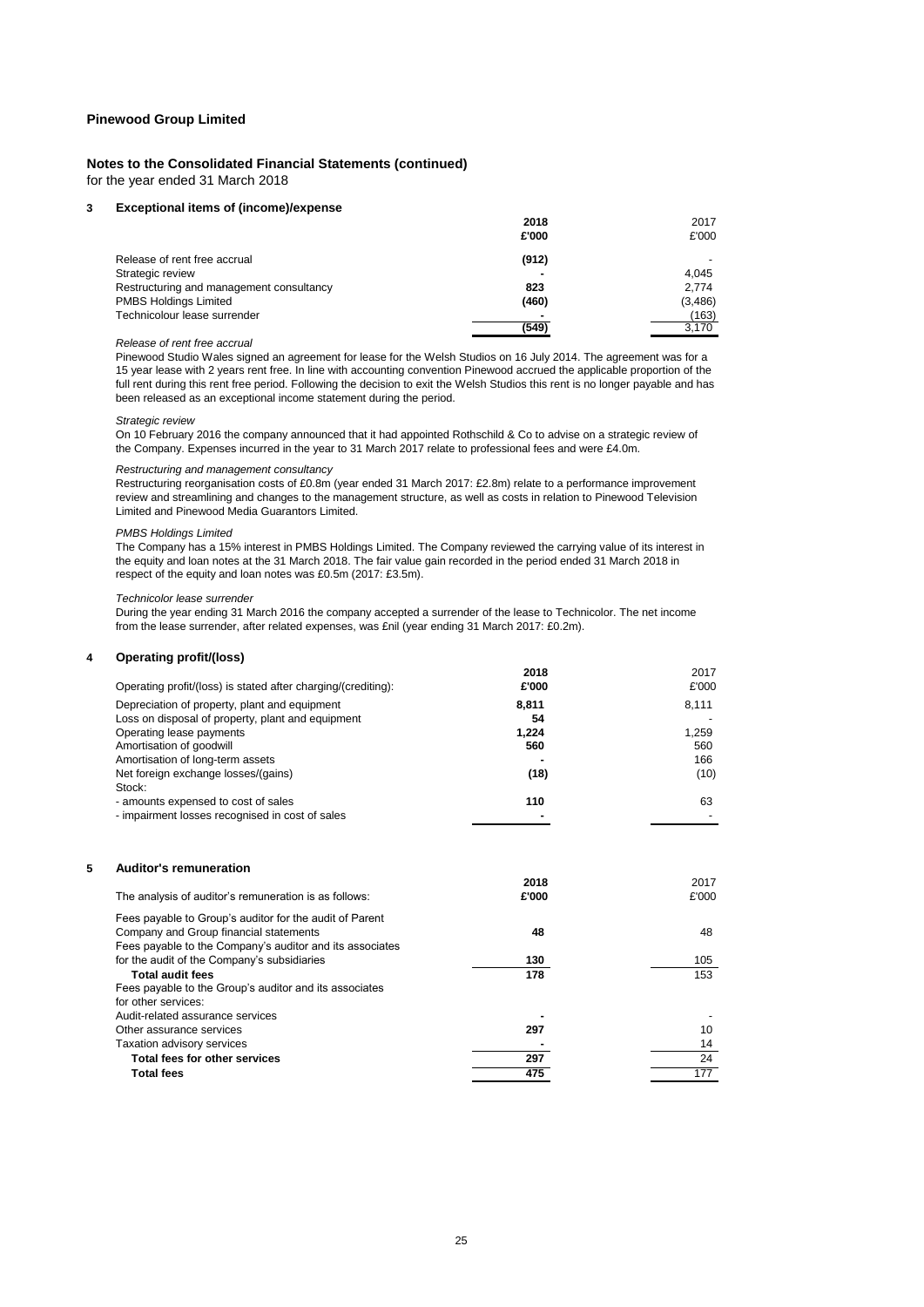## **Notes to the Consolidated Financial Statements (continued)**

for the year ended 31 March 2018

### **3 Exceptional items of (income)/expense**

|                                          | 2018  | 2017    |
|------------------------------------------|-------|---------|
|                                          | £'000 | £'000   |
| Release of rent free accrual             | (912) |         |
| Strategic review                         | ٠     | 4,045   |
| Restructuring and management consultancy | 823   | 2.774   |
| <b>PMBS Holdings Limited</b>             | (460) | (3,486) |
| Technicolour lease surrender             |       | (163)   |
|                                          | (549) | 3.170   |

### *Release of rent free accrual*

Pinewood Studio Wales signed an agreement for lease for the Welsh Studios on 16 July 2014. The agreement was for a 15 year lease with 2 years rent free. In line with accounting convention Pinewood accrued the applicable proportion of the full rent during this rent free period. Following the decision to exit the Welsh Studios this rent is no longer payable and has been released as an exceptional income statement during the period.

#### *Strategic review*

On 10 February 2016 the company announced that it had appointed Rothschild & Co to advise on a strategic review of the Company. Expenses incurred in the year to 31 March 2017 relate to professional fees and were £4.0m.

#### *Restructuring and management consultancy*

Restructuring reorganisation costs of £0.8m (year ended 31 March 2017: £2.8m) relate to a performance improvement review and streamlining and changes to the management structure, as well as costs in relation to Pinewood Television Limited and Pinewood Media Guarantors Limited.

### *PMBS Holdings Limited*

The Company has a 15% interest in PMBS Holdings Limited. The Company reviewed the carrying value of its interest in the equity and loan notes at the 31 March 2018. The fair value gain recorded in the period ended 31 March 2018 in respect of the equity and loan notes was £0.5m (2017: £3.5m).

#### *Technicolor lease surrender*

During the year ending 31 March 2016 the company accepted a surrender of the lease to Technicolor. The net income from the lease surrender, after related expenses, was £nil (year ending 31 March 2017: £0.2m).

### **4 Operating profit/(loss)**

| Operating profit/(loss) is stated after charging/(crediting): | 2018<br>£'000 | 2017<br>£'000 |
|---------------------------------------------------------------|---------------|---------------|
| Depreciation of property, plant and equipment                 | 8.811         | 8.111         |
| Loss on disposal of property, plant and equipment             | 54            |               |
| Operating lease payments                                      | 1.224         | 1.259         |
| Amortisation of goodwill                                      | 560           | 560           |
| Amortisation of long-term assets                              |               | 166           |
| Net foreign exchange losses/(gains)<br>Stock:                 | (18)          | (10)          |
| - amounts expensed to cost of sales                           | 110           | 63            |
| - impairment losses recognised in cost of sales               |               |               |

#### **5 Auditor's remuneration**

|                                                          | 2018  | 2017  |
|----------------------------------------------------------|-------|-------|
| The analysis of auditor's remuneration is as follows:    | £'000 | £'000 |
| Fees payable to Group's auditor for the audit of Parent  |       |       |
| Company and Group financial statements                   | 48    | 48    |
| Fees payable to the Company's auditor and its associates |       |       |
| for the audit of the Company's subsidiaries              | 130   | 105   |
| <b>Total audit fees</b>                                  | 178   | 153   |
| Fees payable to the Group's auditor and its associates   |       |       |
| for other services:                                      |       |       |
| Audit-related assurance services                         |       |       |
| Other assurance services                                 | 297   | 10    |
| Taxation advisory services                               |       | 14    |
| Total fees for other services                            | 297   | 24    |
| <b>Total fees</b>                                        | 475   | 177   |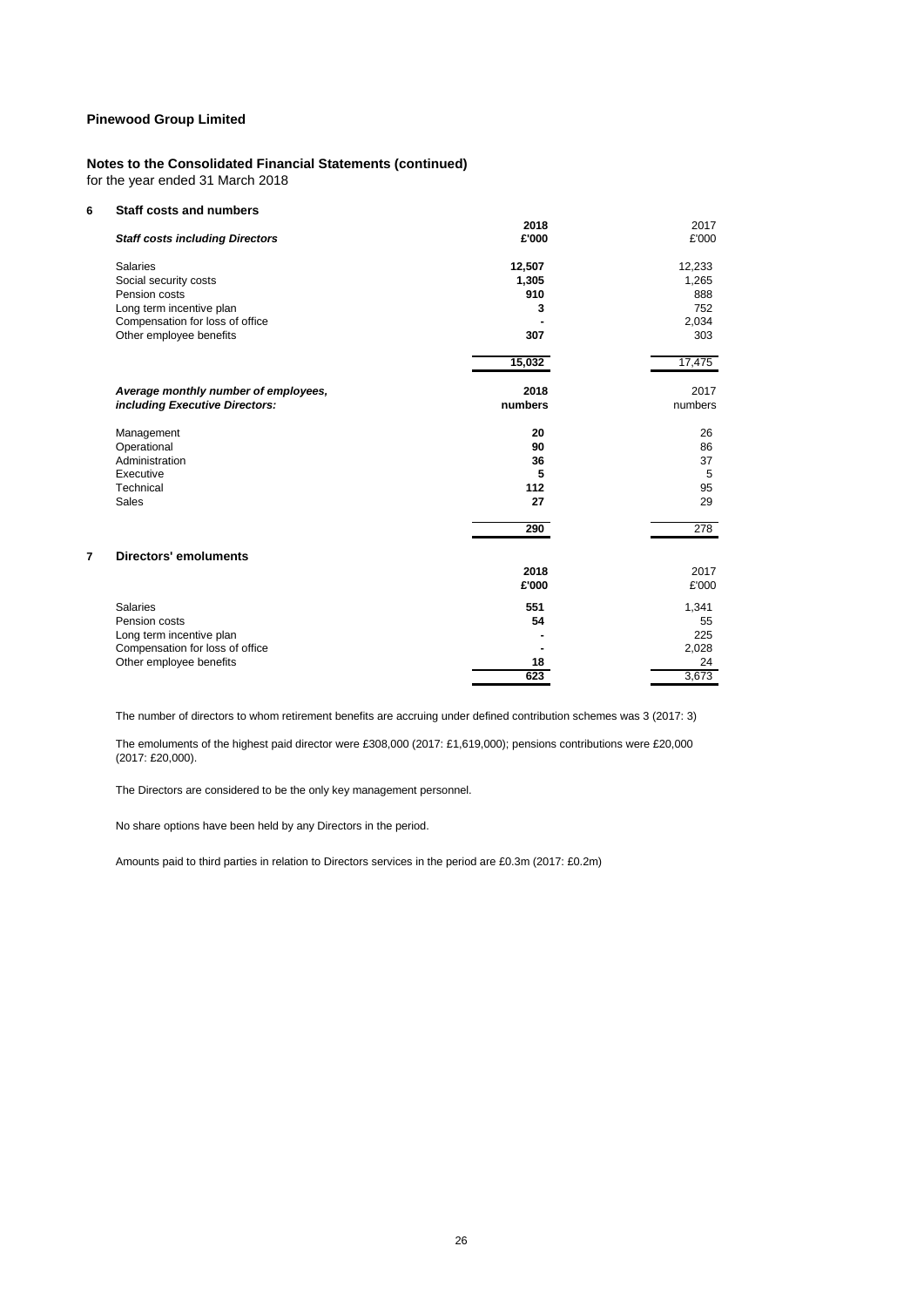## **Notes to the Consolidated Financial Statements (continued)** for the year ended 31 March 2018

### **6 Staff costs and numbers**

|                                        | 2018    | 2017             |
|----------------------------------------|---------|------------------|
| <b>Staff costs including Directors</b> | £'000   | £'000            |
| <b>Salaries</b>                        | 12,507  | 12,233           |
| Social security costs                  | 1,305   | 1,265            |
| Pension costs                          | 910     | 888              |
| Long term incentive plan               | 3       | 752              |
| Compensation for loss of office        |         | 2,034            |
| Other employee benefits                | 307     | 303              |
|                                        | 15,032  | 17,475           |
| Average monthly number of employees,   | 2018    | 2017             |
| including Executive Directors:         | numbers | numbers          |
| Management                             | 20      | 26               |
| Operational                            | 90      | 86               |
| Administration                         | 36      | 37               |
| Executive                              | 5       | 5                |
| Technical                              | 112     | 95               |
| Sales                                  | 27      | 29               |
|                                        | 290     | $\overline{278}$ |
| <b>Directors' emoluments</b><br>7      |         |                  |
|                                        | 2018    | 2017             |
|                                        | £'000   | £'000            |
| Salaries                               | 551     | 1,341            |
| Pension costs                          | 54      | 55               |
| Long term incentive plan               |         | 225              |
| Compensation for loss of office        |         | 2,028            |
| Other employee benefits                | 18      | 24               |
|                                        | 623     | 3,673            |

The number of directors to whom retirement benefits are accruing under defined contribution schemes was 3 (2017: 3)

The emoluments of the highest paid director were £308,000 (2017: £1,619,000); pensions contributions were £20,000 (2017: £20,000).

The Directors are considered to be the only key management personnel.

No share options have been held by any Directors in the period.

Amounts paid to third parties in relation to Directors services in the period are £0.3m (2017: £0.2m)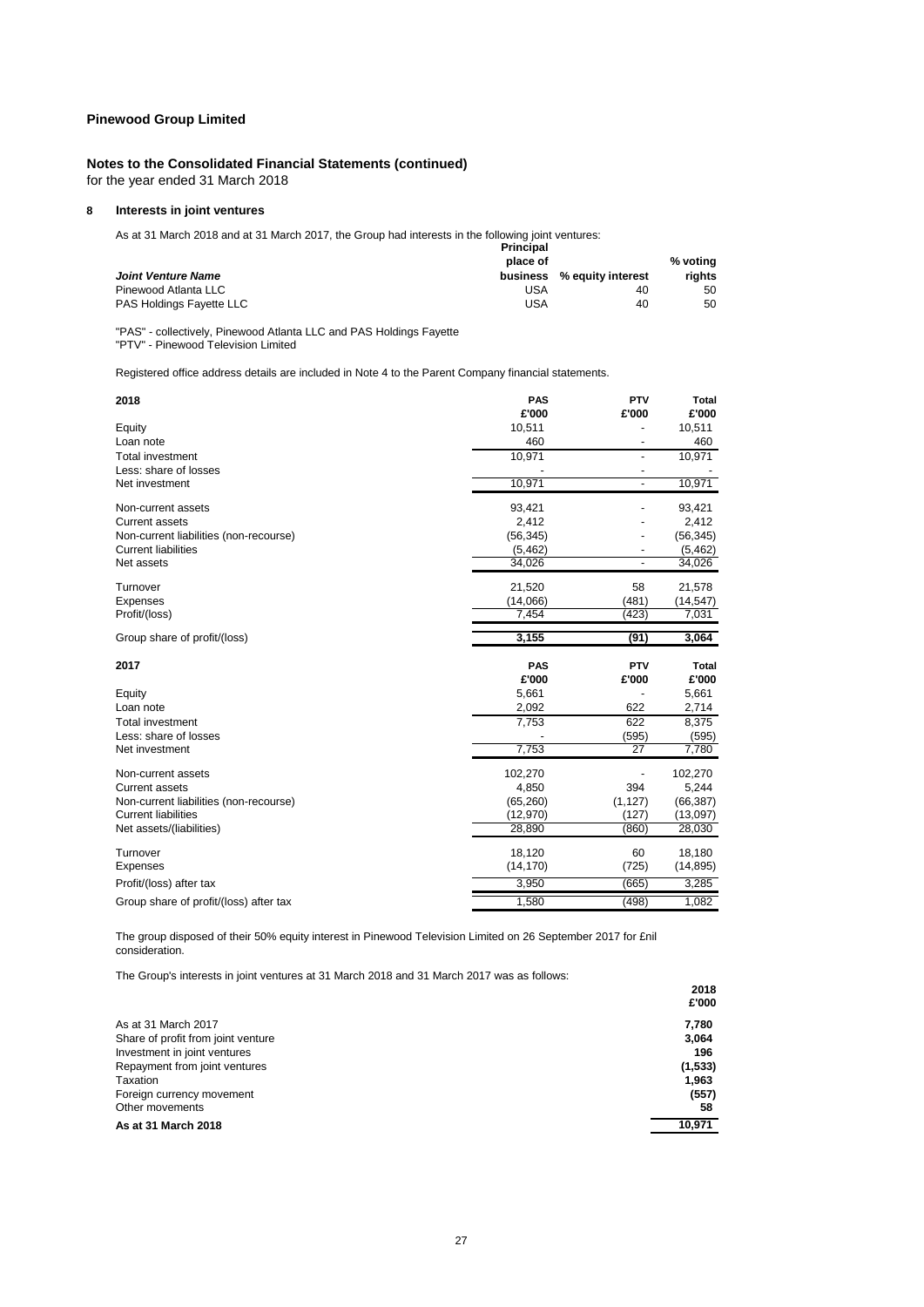## **Notes to the Consolidated Financial Statements (continued)**

for the year ended 31 March 2018

### **8 Interests in joint ventures**

As at 31 March 2018 and at 31 March 2017, the Group had interests in the following joint ventures:

|                           | <b>Principal</b> |                            |          |
|---------------------------|------------------|----------------------------|----------|
|                           | place of         |                            | % voting |
| <b>Joint Venture Name</b> |                  | business % equity interest | riahts   |
| Pinewood Atlanta LLC      | USA              | 40                         | 50       |
| PAS Holdings Fayette LLC  | USA              | 40                         | 50       |

"PAS" - collectively, Pinewood Atlanta LLC and PAS Holdings Fayette

"PTV" - Pinewood Television Limited

Registered office address details are included in Note 4 to the Parent Company financial statements.

| 2018                                   | PAS<br>£'000 | <b>PTV</b><br>£'000 | Total<br>£'000 |
|----------------------------------------|--------------|---------------------|----------------|
| Equity                                 | 10,511       |                     | 10,511         |
| Loan note                              | 460          |                     | 460            |
| <b>Total investment</b>                | 10,971       |                     | 10,971         |
| Less: share of losses                  |              |                     |                |
| Net investment                         | 10,971       |                     | 10,971         |
| Non-current assets                     | 93,421       |                     | 93,421         |
| <b>Current assets</b>                  | 2,412        |                     | 2,412          |
| Non-current liabilities (non-recourse) | (56, 345)    |                     | (56, 345)      |
| <b>Current liabilities</b>             | (5,462)      |                     | (5, 462)       |
| Net assets                             | 34,026       | $\overline{a}$      | 34,026         |
| Turnover                               | 21,520       | 58                  | 21,578         |
| <b>Expenses</b>                        | (14,066)     | (481)               | (14, 547)      |
| Profit/(loss)                          | 7.454        | (423)               | 7,031          |
| Group share of profit/(loss)           | 3,155        | (91)                | 3.064          |
| 2017                                   | <b>PAS</b>   | <b>PTV</b>          | Total          |
|                                        | £'000        | £'000               | £'000          |
| Equity                                 | 5,661        |                     | 5,661          |
| Loan note                              | 2,092        | 622                 | 2,714          |
| <b>Total investment</b>                | 7,753        | 622                 | 8,375          |
| Less: share of losses                  |              | (595)               | (595)          |
| Net investment                         | 7,753        | 27                  | 7,780          |
| Non-current assets                     | 102,270      |                     | 102,270        |
| <b>Current assets</b>                  | 4,850        | 394                 | 5,244          |
| Non-current liabilities (non-recourse) | (65, 260)    | (1, 127)            | (66, 387)      |
| <b>Current liabilities</b>             | (12, 970)    | (127)               | (13,097)       |
| Net assets/(liabilities)               | 28,890       | (860)               | 28,030         |
| Turnover                               | 18,120       | 60                  | 18,180         |
| Expenses                               | (14, 170)    | (725)               | (14, 895)      |
| Profit/(loss) after tax                | 3,950        | (665)               | 3,285          |
| Group share of profit/(loss) after tax | 1,580        | (498)               | 1,082          |

The group disposed of their 50% equity interest in Pinewood Television Limited on 26 September 2017 for £nil consideration.

The Group's interests in joint ventures at 31 March 2018 and 31 March 2017 was as follows:

|                                    | 2018    |
|------------------------------------|---------|
|                                    | £'000   |
| As at 31 March 2017                | 7,780   |
| Share of profit from joint venture | 3,064   |
| Investment in joint ventures       | 196     |
| Repayment from joint ventures      | (1,533) |
| Taxation                           | 1,963   |
| Foreign currency movement          | (557)   |
| Other movements                    | 58      |
| As at 31 March 2018                | 10,971  |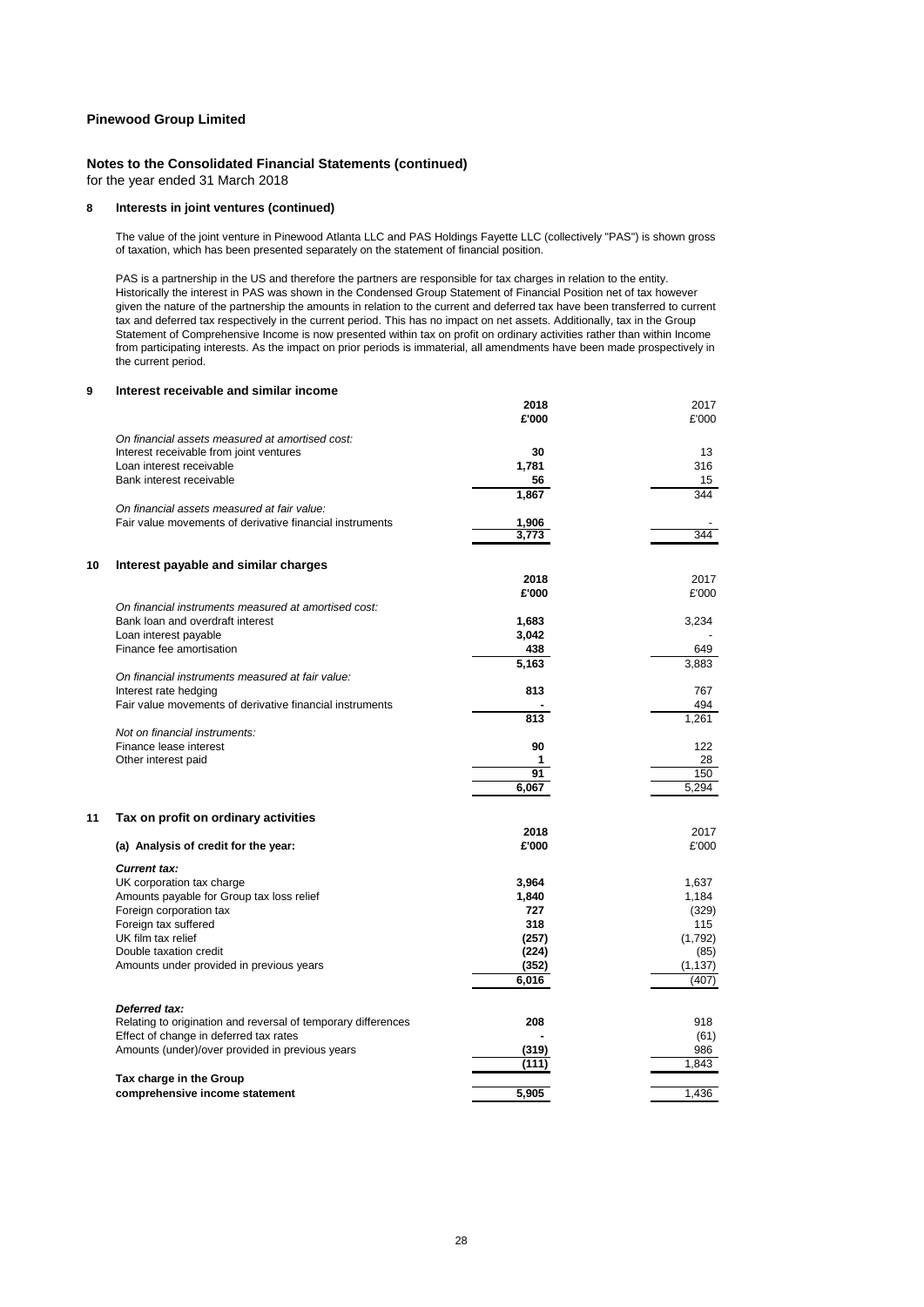### **Notes to the Consolidated Financial Statements (continued)** for the year ended 31 March 2018

## **8 Interests in joint ventures (continued)**

The value of the joint venture in Pinewood Atlanta LLC and PAS Holdings Fayette LLC (collectively "PAS") is shown gross of taxation, which has been presented separately on the statement of financial position.

PAS is a partnership in the US and therefore the partners are responsible for tax charges in relation to the entity. Historically the interest in PAS was shown in the Condensed Group Statement of Financial Position net of tax however given the nature of the partnership the amounts in relation to the current and deferred tax have been transferred to current tax and deferred tax respectively in the current period. This has no impact on net assets. Additionally, tax in the Group Statement of Comprehensive Income is now presented within tax on profit on ordinary activities rather than within Income from participating interests. As the impact on prior periods is immaterial, all amendments have been made prospectively in the current period.

### **9 Interest receivable and similar income**

|    |                                                                    | 2018           | 2017             |
|----|--------------------------------------------------------------------|----------------|------------------|
|    |                                                                    | £'000          | £'000            |
|    | On financial assets measured at amortised cost:                    |                |                  |
|    | Interest receivable from joint ventures                            | 30             | 13               |
|    | Loan interest receivable                                           | 1,781          | 316              |
|    | Bank interest receivable                                           | 56             | 15               |
|    |                                                                    | 1,867          | 344              |
|    | On financial assets measured at fair value:                        |                |                  |
|    | Fair value movements of derivative financial instruments           | 1,906          |                  |
|    |                                                                    | 3,773          | 344              |
| 10 | Interest payable and similar charges                               |                |                  |
|    |                                                                    | 2018           | 2017             |
|    |                                                                    | £'000          | £'000            |
|    | On financial instruments measured at amortised cost:               |                |                  |
|    | Bank loan and overdraft interest                                   | 1,683          | 3,234            |
|    | Loan interest payable                                              | 3,042          |                  |
|    | Finance fee amortisation                                           | 438            | 649              |
|    |                                                                    | 5,163          | 3,883            |
|    | On financial instruments measured at fair value:                   |                |                  |
|    | Interest rate hedging                                              | 813            | 767              |
|    | Fair value movements of derivative financial instruments           |                | 494              |
|    |                                                                    | 813            | 1,261            |
|    | Not on financial instruments:                                      |                |                  |
|    | Finance lease interest                                             | 90             | 122              |
|    | Other interest paid                                                |                | 28               |
|    |                                                                    | 91             | 150              |
|    |                                                                    | 6,067          | 5,294            |
| 11 | Tax on profit on ordinary activities                               |                |                  |
|    |                                                                    | 2018           | 2017             |
|    | (a) Analysis of credit for the year:                               | £'000          | £'000            |
|    | <b>Current tax:</b>                                                |                |                  |
|    | UK corporation tax charge                                          | 3,964          | 1,637            |
|    | Amounts payable for Group tax loss relief                          | 1,840          | 1,184            |
|    | Foreign corporation tax                                            | 727            | (329)            |
|    | Foreign tax suffered                                               | 318            | 115              |
|    | UK film tax relief                                                 | (257)          | (1,792)          |
|    | Double taxation credit<br>Amounts under provided in previous years | (224)          | (85)<br>(1, 137) |
|    |                                                                    | (352)<br>6,016 | (407)            |
|    |                                                                    |                |                  |
|    | Deferred tax:                                                      |                |                  |
|    | Relating to origination and reversal of temporary differences      | 208            | 918              |
|    | Effect of change in deferred tax rates                             |                | (61)             |
|    | Amounts (under)/over provided in previous years                    | (319)          | 986              |
|    |                                                                    | (111)          | 1.843            |
|    | Tax charge in the Group                                            |                |                  |
|    | comprehensive income statement                                     | 5.905          | 1.436            |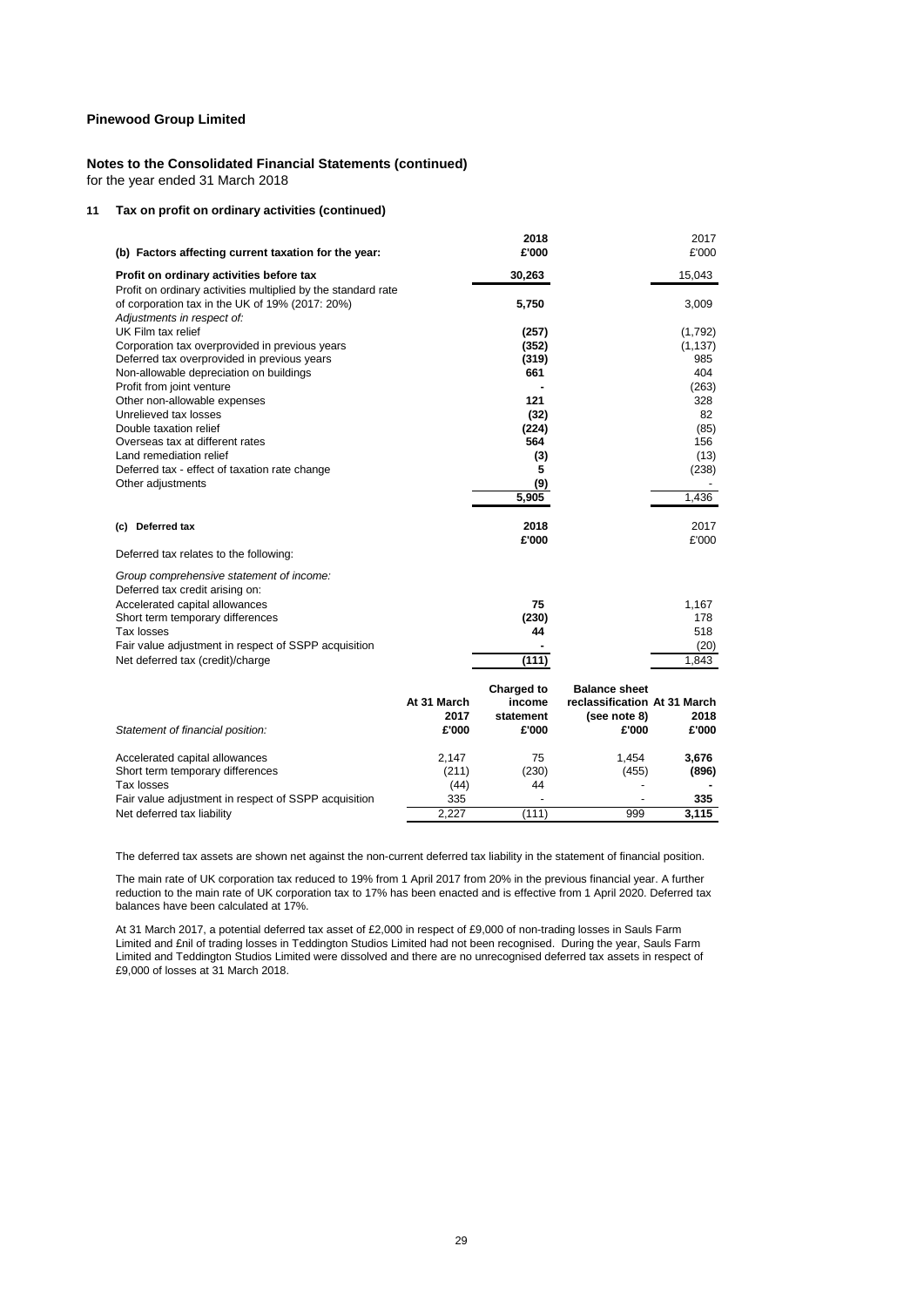### **Notes to the Consolidated Financial Statements (continued)** for the year ended 31 March 2018

### **11 Tax on profit on ordinary activities (continued)**

| (b) Factors affecting current taxation for the year:                                                                                                                                                                                                                                                                                                                                                               |                               | 2018<br>£'000                                                                    |                                                                               | 2017<br>£'000                                                                           |
|--------------------------------------------------------------------------------------------------------------------------------------------------------------------------------------------------------------------------------------------------------------------------------------------------------------------------------------------------------------------------------------------------------------------|-------------------------------|----------------------------------------------------------------------------------|-------------------------------------------------------------------------------|-----------------------------------------------------------------------------------------|
| Profit on ordinary activities before tax                                                                                                                                                                                                                                                                                                                                                                           |                               | 30,263                                                                           |                                                                               | 15,043                                                                                  |
| Profit on ordinary activities multiplied by the standard rate<br>of corporation tax in the UK of 19% (2017: 20%)<br>Adjustments in respect of:                                                                                                                                                                                                                                                                     |                               | 5,750                                                                            |                                                                               | 3,009                                                                                   |
| UK Film tax relief<br>Corporation tax overprovided in previous years<br>Deferred tax overprovided in previous years<br>Non-allowable depreciation on buildings<br>Profit from joint venture<br>Other non-allowable expenses<br>Unrelieved tax losses<br>Double taxation relief<br>Overseas tax at different rates<br>Land remediation relief<br>Deferred tax - effect of taxation rate change<br>Other adjustments |                               | (257)<br>(352)<br>(319)<br>661<br>121<br>(32)<br>(224)<br>564<br>(3)<br>5<br>(9) |                                                                               | (1,792)<br>(1, 137)<br>985<br>404<br>(263)<br>328<br>82<br>(85)<br>156<br>(13)<br>(238) |
|                                                                                                                                                                                                                                                                                                                                                                                                                    |                               | 5,905                                                                            |                                                                               | 1,436                                                                                   |
| Deferred tax<br>(c)<br>Deferred tax relates to the following:                                                                                                                                                                                                                                                                                                                                                      |                               | 2018<br>£'000                                                                    |                                                                               | 2017<br>£'000                                                                           |
| Group comprehensive statement of income:<br>Deferred tax credit arising on:<br>Accelerated capital allowances<br>Short term temporary differences<br>Tax losses<br>Fair value adjustment in respect of SSPP acquisition<br>Net deferred tax (credit)/charge                                                                                                                                                        |                               | 75<br>(230)<br>44<br>(111)                                                       |                                                                               | 1,167<br>178<br>518<br>(20)<br>1.843                                                    |
| Statement of financial position:                                                                                                                                                                                                                                                                                                                                                                                   | At 31 March<br>2017<br>£'000  | Charged to<br>income<br>statement<br>£'000                                       | <b>Balance sheet</b><br>reclassification At 31 March<br>(see note 8)<br>£'000 | 2018<br>£'000                                                                           |
| Accelerated capital allowances<br>Short term temporary differences<br>Tax losses<br>Fair value adjustment in respect of SSPP acquisition                                                                                                                                                                                                                                                                           | 2,147<br>(211)<br>(44)<br>335 | 75<br>(230)<br>44                                                                | 1,454<br>(455)                                                                | 3,676<br>(896)<br>335                                                                   |
| Net deferred tax liability                                                                                                                                                                                                                                                                                                                                                                                         | 2.227                         | (111)                                                                            | 999                                                                           | 3,115                                                                                   |

The deferred tax assets are shown net against the non-current deferred tax liability in the statement of financial position.

The main rate of UK corporation tax reduced to 19% from 1 April 2017 from 20% in the previous financial year. A further reduction to the main rate of UK corporation tax to 17% has been enacted and is effective from 1 April 2020. Deferred tax balances have been calculated at 17%.

At 31 March 2017, a potential deferred tax asset of £2,000 in respect of £9,000 of non-trading losses in Sauls Farm Limited and £nil of trading losses in Teddington Studios Limited had not been recognised. During the year, Sauls Farm Limited and Teddington Studios Limited were dissolved and there are no unrecognised deferred tax assets in respect of £9,000 of losses at 31 March 2018.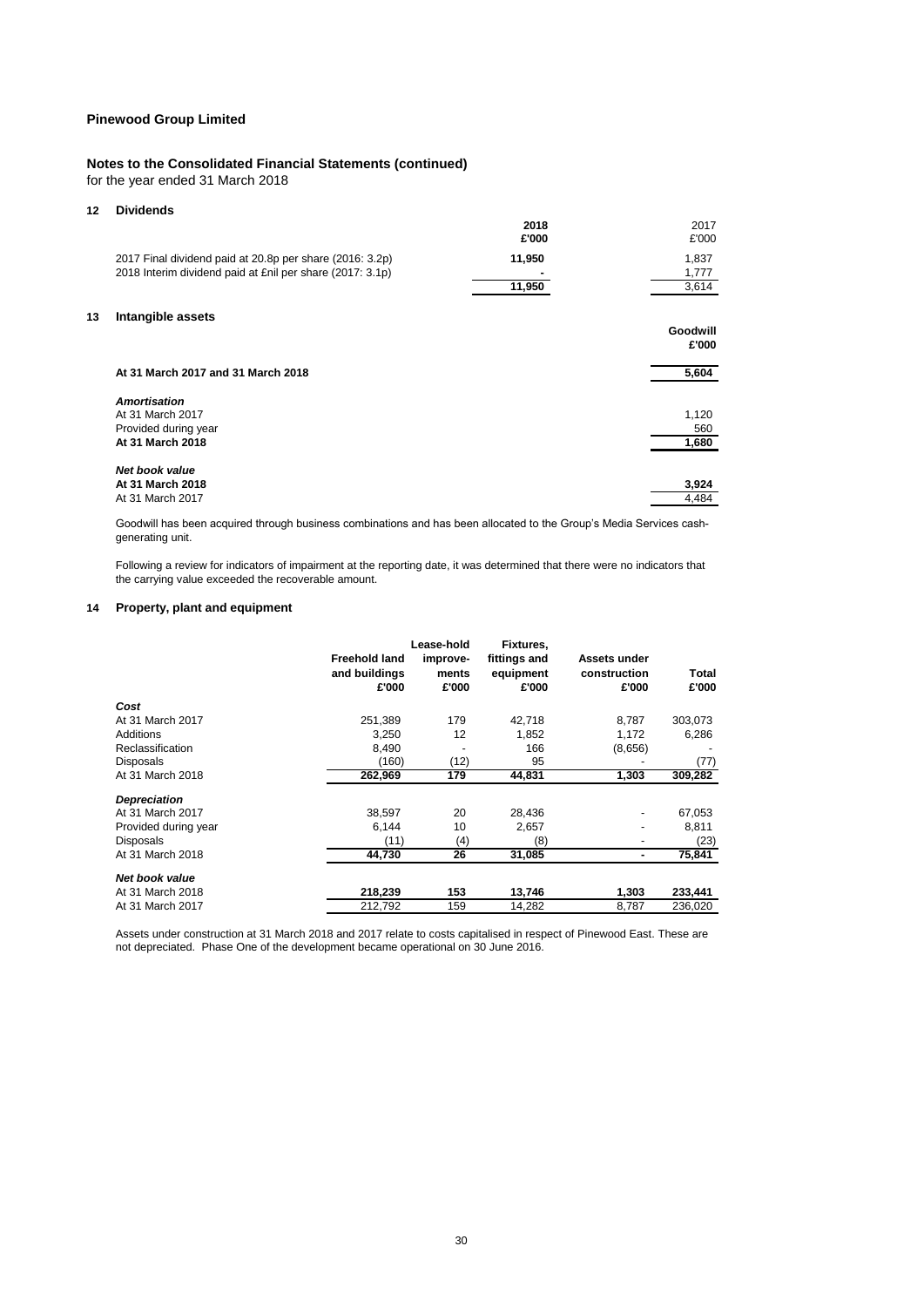## **Notes to the Consolidated Financial Statements (continued)**

for the year ended 31 March 2018

### **12 Dividends**

|    |                                                                                                                       | 2018<br>£'000    | 2017<br>£'000           |
|----|-----------------------------------------------------------------------------------------------------------------------|------------------|-------------------------|
|    | 2017 Final dividend paid at 20.8p per share (2016: 3.2p)<br>2018 Interim dividend paid at £nil per share (2017: 3.1p) | 11,950<br>11,950 | 1,837<br>1,777<br>3,614 |
| 13 | Intangible assets                                                                                                     |                  | Goodwill<br>£'000       |
|    | At 31 March 2017 and 31 March 2018                                                                                    |                  | 5.604                   |

| Amortisation         |       |
|----------------------|-------|
| At 31 March 2017     | 1.120 |
| Provided during year | 560   |
| At 31 March 2018     | 1,680 |
| Net book value       |       |
| At 31 March 2018     | 3.924 |
| At 31 March 2017     | 4.484 |

Goodwill has been acquired through business combinations and has been allocated to the Group's Media Services cashgenerating unit.

Following a review for indicators of impairment at the reporting date, it was determined that there were no indicators that the carrying value exceeded the recoverable amount.

## **14 Property, plant and equipment**

|                      | <b>Freehold land</b><br>and buildings<br>£'000 | Lease-hold<br>improve-<br>ments<br>£'000 | Fixtures,<br>fittings and<br>equipment<br>£'000 | Assets under<br>construction<br>£'000 | Total<br>£'000 |
|----------------------|------------------------------------------------|------------------------------------------|-------------------------------------------------|---------------------------------------|----------------|
| Cost                 |                                                |                                          |                                                 |                                       |                |
| At 31 March 2017     | 251,389                                        | 179                                      | 42,718                                          | 8,787                                 | 303,073        |
| Additions            | 3,250                                          | 12                                       | 1,852                                           | 1,172                                 | 6,286          |
| Reclassification     | 8,490                                          | ٠                                        | 166                                             | (8,656)                               |                |
| <b>Disposals</b>     | (160)                                          | (12)                                     | 95                                              |                                       | (77)           |
| At 31 March 2018     | 262,969                                        | 179                                      | 44,831                                          | 1,303                                 | 309,282        |
| <b>Depreciation</b>  |                                                |                                          |                                                 |                                       |                |
| At 31 March 2017     | 38,597                                         | 20                                       | 28,436                                          | -                                     | 67,053         |
| Provided during year | 6,144                                          | 10                                       | 2,657                                           | -                                     | 8,811          |
| <b>Disposals</b>     | (11)                                           | (4)                                      | (8)                                             |                                       | (23)           |
| At 31 March 2018     | 44,730                                         | 26                                       | 31,085                                          | ۰                                     | 75,841         |
| Net book value       |                                                |                                          |                                                 |                                       |                |
| At 31 March 2018     | 218,239                                        | 153                                      | 13,746                                          | 1,303                                 | 233,441        |
| At 31 March 2017     | 212,792                                        | 159                                      | 14,282                                          | 8,787                                 | 236,020        |
|                      |                                                |                                          |                                                 |                                       |                |

Assets under construction at 31 March 2018 and 2017 relate to costs capitalised in respect of Pinewood East. These are not depreciated. Phase One of the development became operational on 30 June 2016.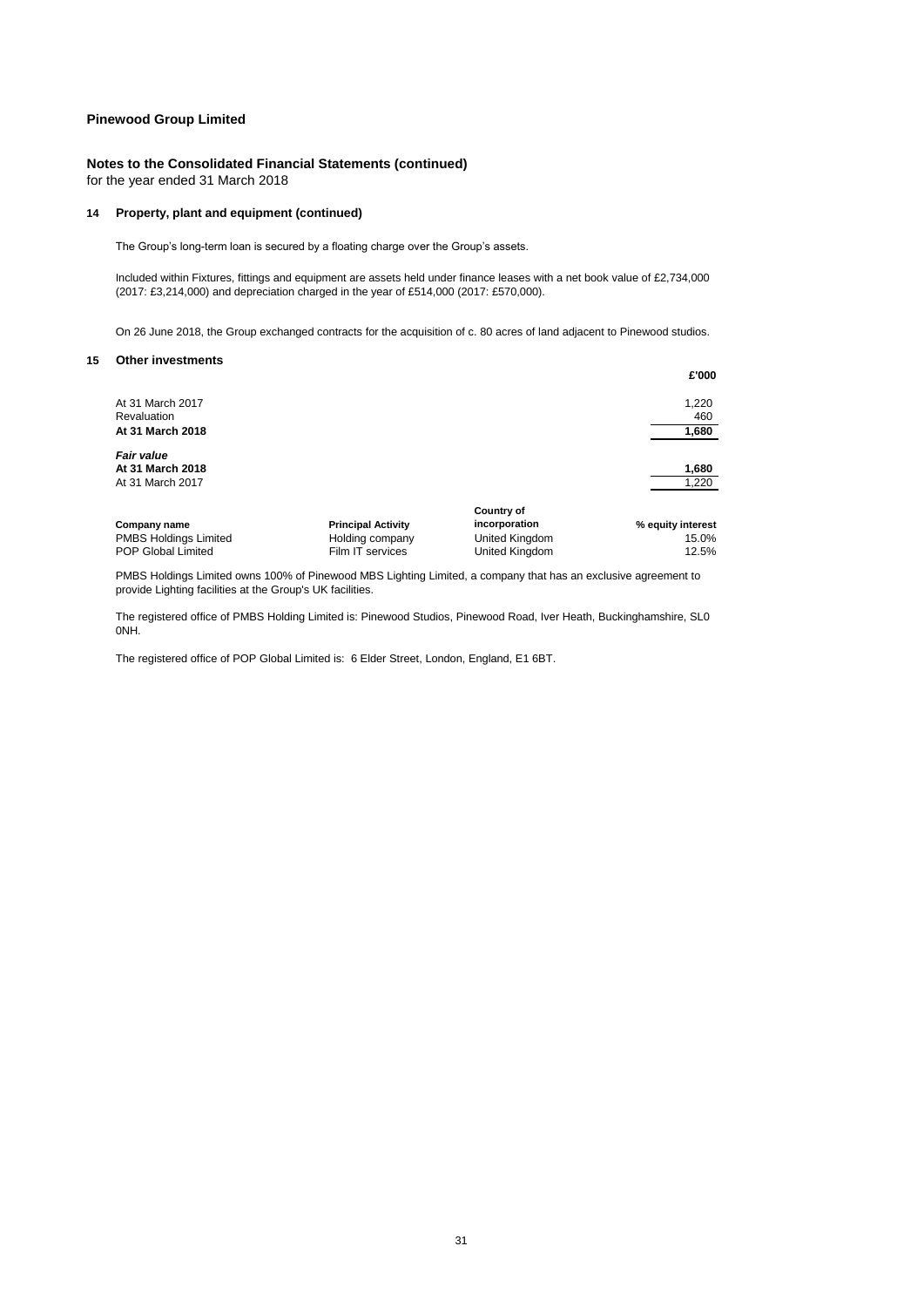## **Notes to the Consolidated Financial Statements (continued)**

for the year ended 31 March 2018

### **14 Property, plant and equipment (continued)**

The Group's long-term loan is secured by a floating charge over the Group's assets.

Included within Fixtures, fittings and equipment are assets held under finance leases with a net book value of £2,734,000 (2017: £3,214,000) and depreciation charged in the year of £514,000 (2017: £570,000).

On 26 June 2018, the Group exchanged contracts for the acquisition of c. 80 acres of land adjacent to Pinewood studios.

### **15 Other investments**

|                  |                                              | £'000                                         |
|------------------|----------------------------------------------|-----------------------------------------------|
|                  |                                              | 1,220                                         |
|                  |                                              | 460                                           |
|                  |                                              | 1,680                                         |
|                  |                                              |                                               |
|                  |                                              | 1,680                                         |
|                  |                                              | 1,220                                         |
|                  |                                              |                                               |
|                  |                                              | % equity interest                             |
|                  |                                              | 15.0%                                         |
| Film IT services | United Kingdom                               | 12.5%                                         |
|                  | <b>Principal Activity</b><br>Holding company | Country of<br>incorporation<br>United Kingdom |

PMBS Holdings Limited owns 100% of Pinewood MBS Lighting Limited, a company that has an exclusive agreement to provide Lighting facilities at the Group's UK facilities.

The registered office of PMBS Holding Limited is: Pinewood Studios, Pinewood Road, Iver Heath, Buckinghamshire, SL0 0NH.

The registered office of POP Global Limited is: 6 Elder Street, London, England, E1 6BT.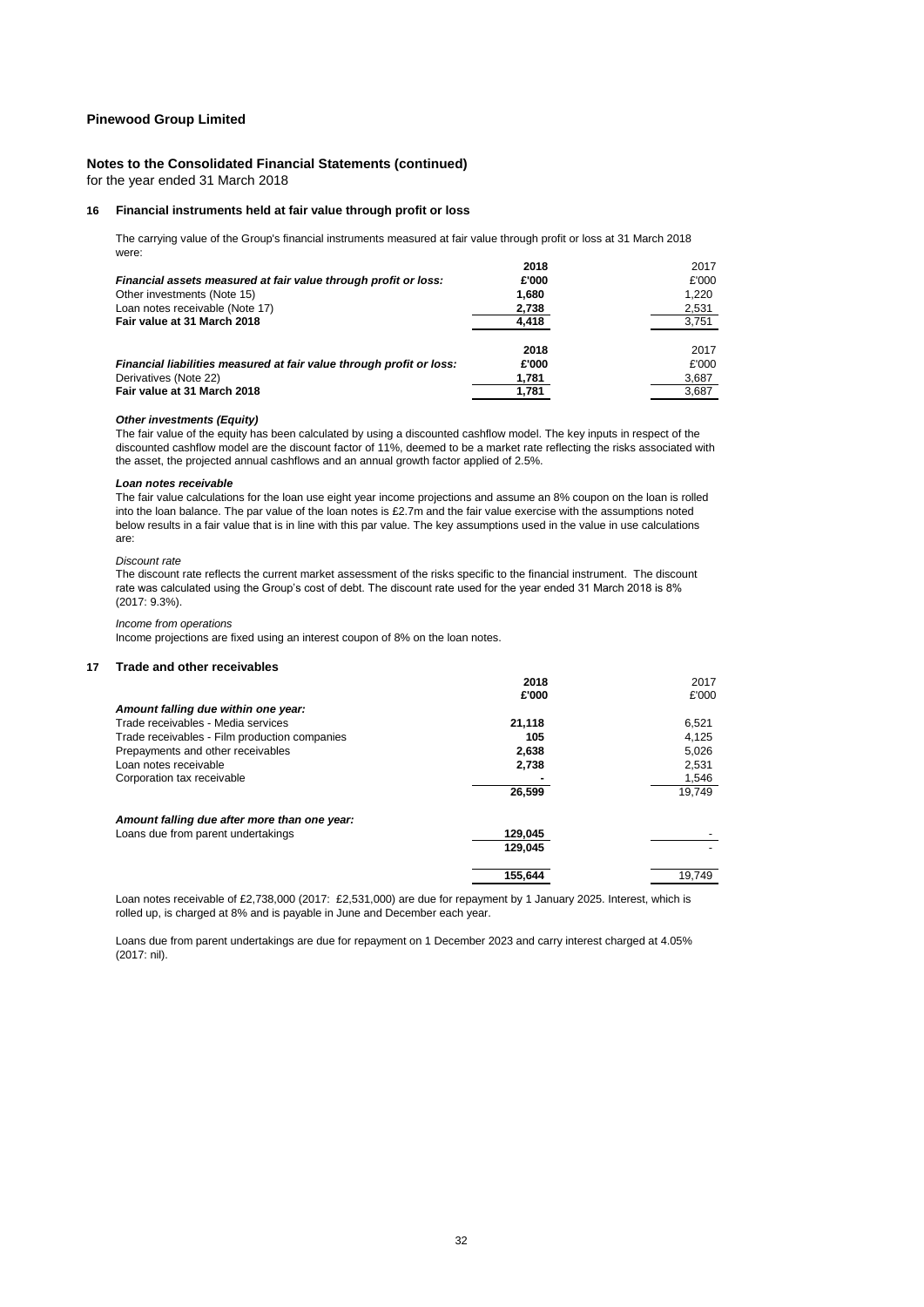## **Notes to the Consolidated Financial Statements (continued)**

for the year ended 31 March 2018

### **16 Financial instruments held at fair value through profit or loss**

The carrying value of the Group's financial instruments measured at fair value through profit or loss at 31 March 2018 were:

|                                                                      | 2018  | 2017  |
|----------------------------------------------------------------------|-------|-------|
| Financial assets measured at fair value through profit or loss:      | £'000 | £'000 |
| Other investments (Note 15)                                          | 1,680 | 1.220 |
| Loan notes receivable (Note 17)                                      | 2,738 | 2,531 |
| Fair value at 31 March 2018                                          | 4.418 | 3,751 |
|                                                                      | 2018  | 2017  |
| Financial liabilities measured at fair value through profit or loss: | £'000 | £'000 |
| Derivatives (Note 22)                                                | 1,781 | 3,687 |
| Fair value at 31 March 2018                                          | 1.781 | 3.687 |

### *Other investments (Equity)*

The fair value of the equity has been calculated by using a discounted cashflow model. The key inputs in respect of the discounted cashflow model are the discount factor of 11%, deemed to be a market rate reflecting the risks associated with the asset, the projected annual cashflows and an annual growth factor applied of 2.5%.

### *Loan notes receivable*

The fair value calculations for the loan use eight year income projections and assume an 8% coupon on the loan is rolled into the loan balance. The par value of the loan notes is £2.7m and the fair value exercise with the assumptions noted below results in a fair value that is in line with this par value. The key assumptions used in the value in use calculations are:

#### *Discount rate*

The discount rate reflects the current market assessment of the risks specific to the financial instrument. The discount rate was calculated using the Group's cost of debt. The discount rate used for the year ended 31 March 2018 is 8% (2017: 9.3%).

#### *Income from operations*

Income projections are fixed using an interest coupon of 8% on the loan notes.

### **17 Trade and other receivables**

|                                               | 2018    | 2017   |
|-----------------------------------------------|---------|--------|
|                                               | £'000   | £'000  |
| Amount falling due within one year:           |         |        |
| Trade receivables - Media services            | 21.118  | 6.521  |
| Trade receivables - Film production companies | 105     | 4.125  |
| Prepayments and other receivables             | 2,638   | 5,026  |
| Loan notes receivable                         | 2,738   | 2,531  |
| Corporation tax receivable                    |         | 1,546  |
|                                               | 26,599  | 19.749 |
| Amount falling due after more than one year:  |         |        |
| Loans due from parent undertakings            | 129,045 |        |
|                                               | 129.045 |        |
|                                               | 155.644 | 19.749 |

Loan notes receivable of £2,738,000 (2017: £2,531,000) are due for repayment by 1 January 2025. Interest, which is rolled up, is charged at 8% and is payable in June and December each year.

Loans due from parent undertakings are due for repayment on 1 December 2023 and carry interest charged at 4.05% (2017: nil).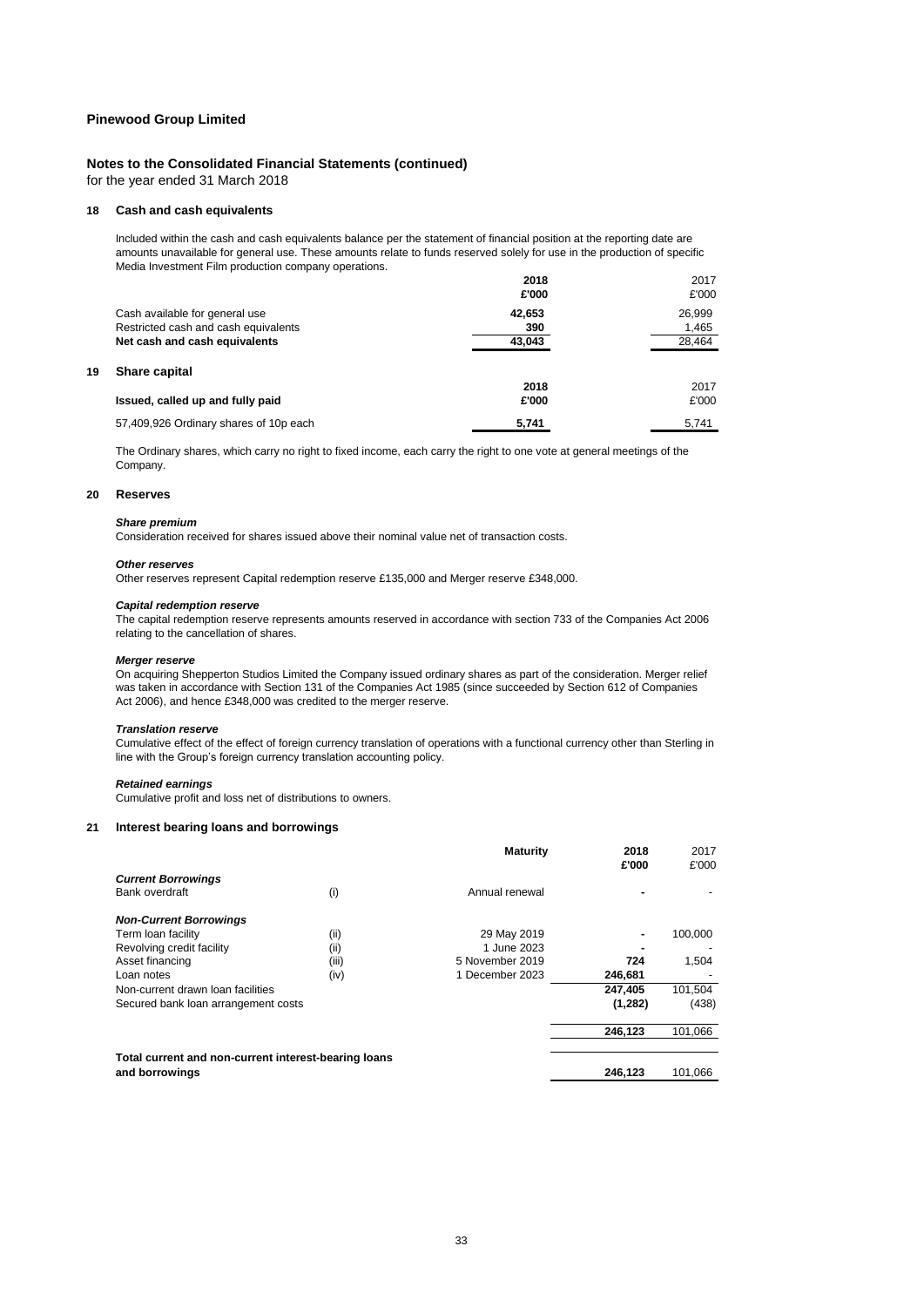## **Notes to the Consolidated Financial Statements (continued)**

for the year ended 31 March 2018

### **18 Cash and cash equivalents**

Included within the cash and cash equivalents balance per the statement of financial position at the reporting date are amounts unavailable for general use. These amounts relate to funds reserved solely for use in the production of specific Media Investment Film production company operations.

|    |                                        | 2018   | 2017   |
|----|----------------------------------------|--------|--------|
|    |                                        | £'000  | £'000  |
|    | Cash available for general use         | 42,653 | 26,999 |
|    | Restricted cash and cash equivalents   | 390    | 1,465  |
|    | Net cash and cash equivalents          | 43,043 | 28,464 |
| 19 | Share capital                          |        |        |
|    |                                        | 2018   | 2017   |
|    | Issued, called up and fully paid       | £'000  | £'000  |
|    | 57,409,926 Ordinary shares of 10p each | 5.741  | 5.741  |

The Ordinary shares, which carry no right to fixed income, each carry the right to one vote at general meetings of the Company.

#### **20 Reserves**

#### *Share premium*

Consideration received for shares issued above their nominal value net of transaction costs.

#### *Other reserves*

Other reserves represent Capital redemption reserve £135,000 and Merger reserve £348,000.

#### *Capital redemption reserve*

The capital redemption reserve represents amounts reserved in accordance with section 733 of the Companies Act 2006 relating to the cancellation of shares.

#### *Merger reserve*

On acquiring Shepperton Studios Limited the Company issued ordinary shares as part of the consideration. Merger relief was taken in accordance with Section 131 of the Companies Act 1985 (since succeeded by Section 612 of Companies Act 2006), and hence £348,000 was credited to the merger reserve.

#### *Translation reserve*

Cumulative effect of the effect of foreign currency translation of operations with a functional currency other than Sterling in line with the Group's foreign currency translation accounting policy.

#### *Retained earnings*

Cumulative profit and loss net of distributions to owners.

### **21 Interest bearing loans and borrowings**

|                                                      |       | <b>Maturity</b> | 2018<br>£'000 | 2017<br>£'000 |
|------------------------------------------------------|-------|-----------------|---------------|---------------|
| <b>Current Borrowings</b>                            |       |                 |               |               |
| Bank overdraft                                       | (i)   | Annual renewal  |               |               |
| <b>Non-Current Borrowings</b>                        |       |                 |               |               |
| Term loan facility                                   | (iii) | 29 May 2019     |               | 100,000       |
| Revolving credit facility                            | (i)   | 1 June 2023     |               |               |
| Asset financing                                      | (iii) | 5 November 2019 | 724           | 1,504         |
| Loan notes                                           | (iv)  | 1 December 2023 | 246,681       |               |
| Non-current drawn loan facilities                    |       |                 | 247.405       | 101,504       |
| Secured bank loan arrangement costs                  |       |                 | (1,282)       | (438)         |
|                                                      |       |                 | 246,123       | 101,066       |
| Total current and non-current interest-bearing loans |       |                 |               |               |
| and borrowings                                       |       |                 | 246,123       | 101,066       |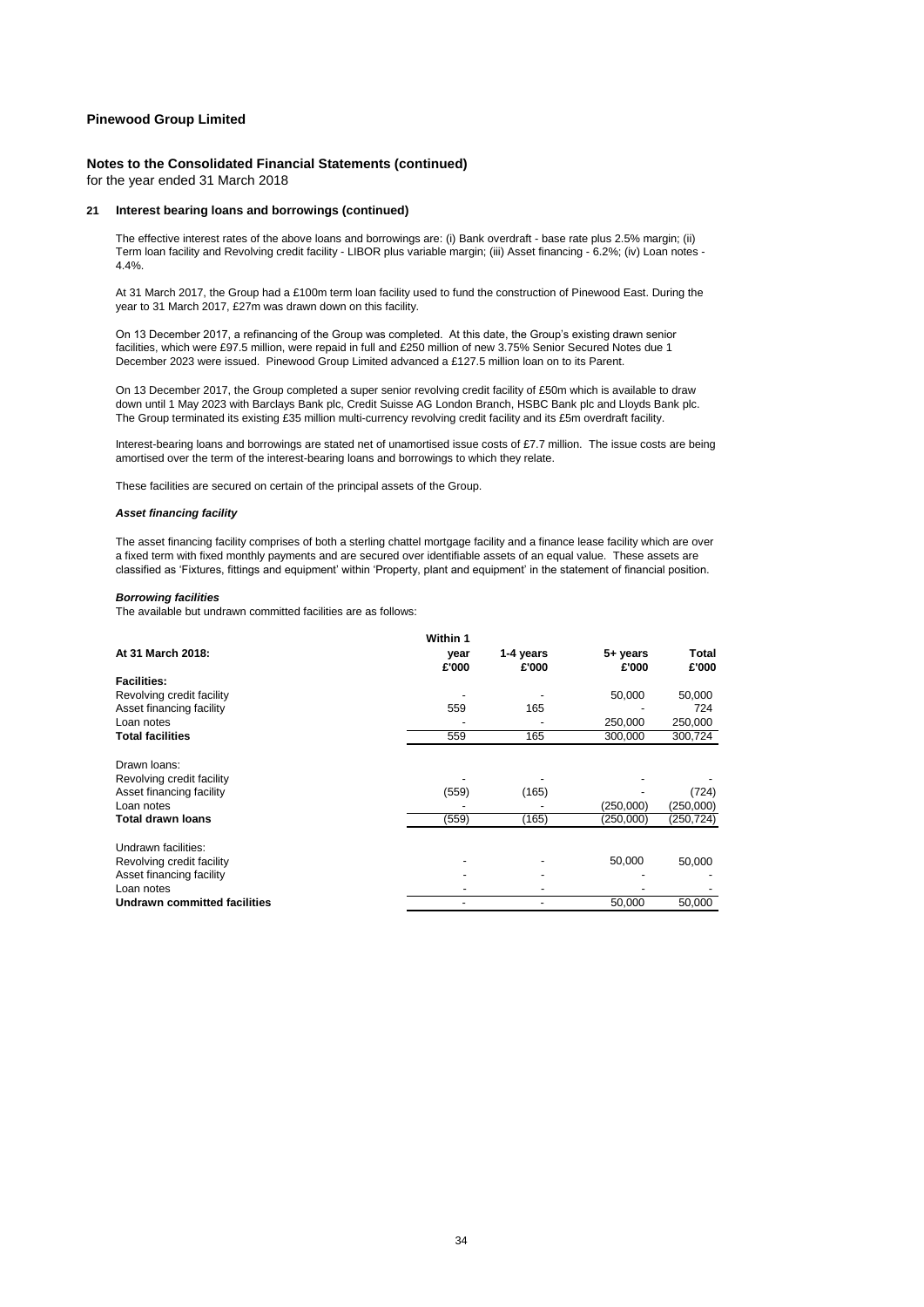### **Notes to the Consolidated Financial Statements (continued)** for the year ended 31 March 2018

#### **21 Interest bearing loans and borrowings (continued)**

The effective interest rates of the above loans and borrowings are: (i) Bank overdraft - base rate plus 2.5% margin; (ii) Term loan facility and Revolving credit facility - LIBOR plus variable margin; (iii) Asset financing - 6.2%; (iv) Loan notes - 4.4%.

At 31 March 2017, the Group had a £100m term loan facility used to fund the construction of Pinewood East. During the year to 31 March 2017, £27m was drawn down on this facility.

On 13 December 2017, a refinancing of the Group was completed. At this date, the Group's existing drawn senior facilities, which were £97.5 million, were repaid in full and £250 million of new 3.75% Senior Secured Notes due 1 December 2023 were issued. Pinewood Group Limited advanced a £127.5 million loan on to its Parent.

On 13 December 2017, the Group completed a super senior revolving credit facility of £50m which is available to draw down until 1 May 2023 with Barclays Bank plc, Credit Suisse AG London Branch, HSBC Bank plc and Lloyds Bank plc. The Group terminated its existing £35 million multi-currency revolving credit facility and its £5m overdraft facility.

Interest-bearing loans and borrowings are stated net of unamortised issue costs of £7.7 million. The issue costs are being amortised over the term of the interest-bearing loans and borrowings to which they relate.

These facilities are secured on certain of the principal assets of the Group.

#### *Asset financing facility*

The asset financing facility comprises of both a sterling chattel mortgage facility and a finance lease facility which are over a fixed term with fixed monthly payments and are secured over identifiable assets of an equal value. These assets are classified as 'Fixtures, fittings and equipment' within 'Property, plant and equipment' in the statement of financial position.

#### *Borrowing facilities*

The available but undrawn committed facilities are as follows:

|                                     | Within 1      |                    |                   |                |
|-------------------------------------|---------------|--------------------|-------------------|----------------|
| At 31 March 2018:                   | year<br>£'000 | 1-4 years<br>£'000 | 5+ years<br>£'000 | Total<br>£'000 |
| <b>Facilities:</b>                  |               |                    |                   |                |
| Revolving credit facility           |               |                    | 50,000            | 50,000         |
| Asset financing facility            | 559           | 165                |                   | 724            |
| Loan notes                          |               |                    | 250,000           | 250,000        |
| <b>Total facilities</b>             | 559           | 165                | 300,000           | 300,724        |
| Drawn Ioans:                        |               |                    |                   |                |
| Revolving credit facility           |               |                    |                   |                |
| Asset financing facility            | (559)         | (165)              |                   | (724)          |
| Loan notes                          |               |                    | (250.000)         | (250,000)      |
| Total drawn Ioans                   | (559)         | (165)              | (250,000)         | (250,724)      |
| Undrawn facilities:                 |               |                    |                   |                |
| Revolving credit facility           |               |                    | 50,000            | 50,000         |
| Asset financing facility            |               |                    |                   |                |
| Loan notes                          |               |                    |                   |                |
| <b>Undrawn committed facilities</b> |               |                    | 50,000            | 50,000         |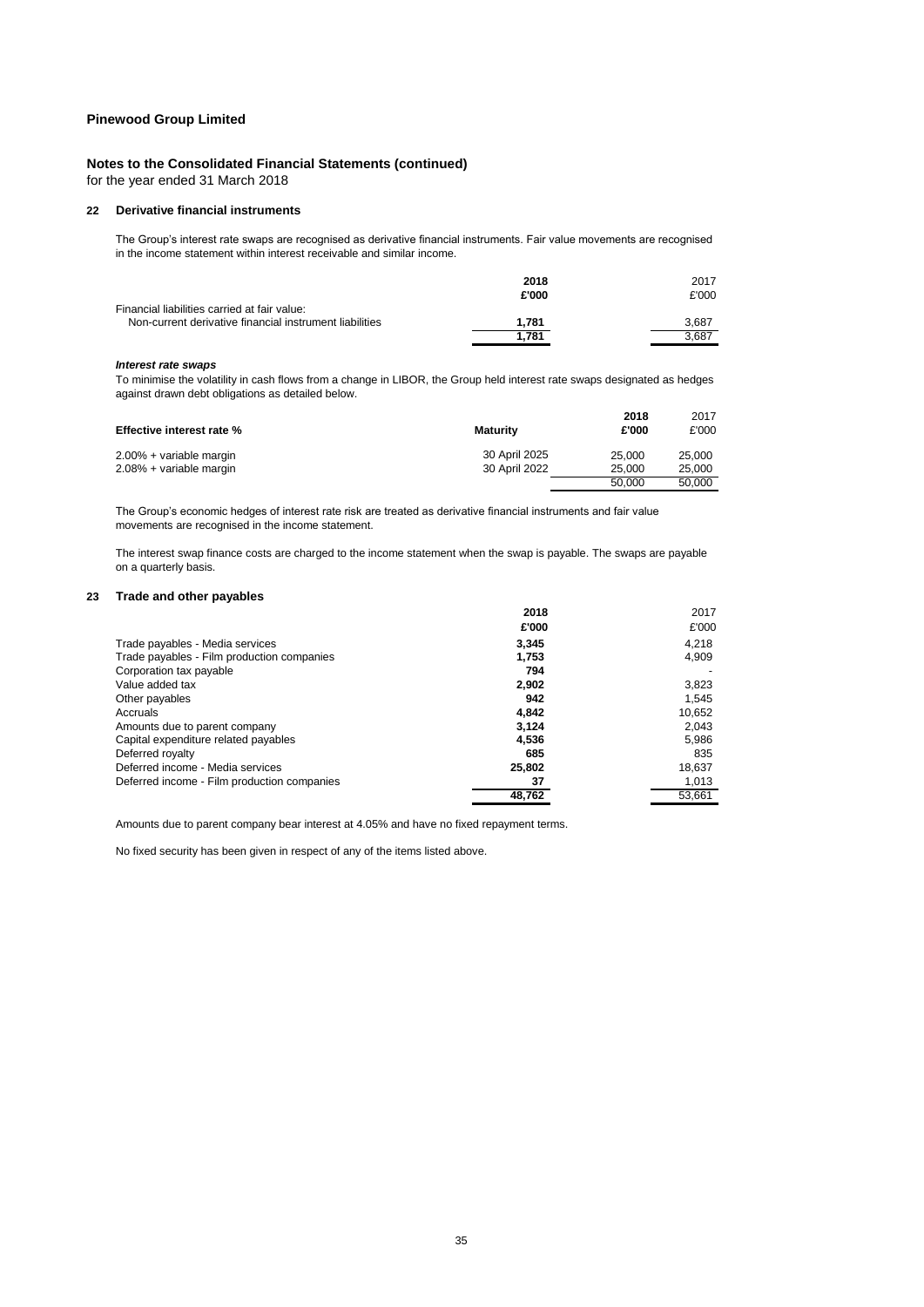### **Notes to the Consolidated Financial Statements (continued)** for the year ended 31 March 2018

### **22 Derivative financial instruments**

The Group's interest rate swaps are recognised as derivative financial instruments. Fair value movements are recognised in the income statement within interest receivable and similar income.

|                                                         | 2018  | 2017  |
|---------------------------------------------------------|-------|-------|
|                                                         | £'000 | £'000 |
| Financial liabilities carried at fair value:            |       |       |
| Non-current derivative financial instrument liabilities | 1.781 | 3.687 |
|                                                         | 1.781 | 3.687 |

### *Interest rate swaps*

To minimise the volatility in cash flows from a change in LIBOR, the Group held interest rate swaps designated as hedges against drawn debt obligations as detailed below.

| Effective interest rate % | <b>Maturity</b> | 2018<br>£'000 | 2017<br>£'000 |
|---------------------------|-----------------|---------------|---------------|
| 2.00% + variable margin   | 30 April 2025   | 25.000        | 25.000        |
| 2.08% + variable margin   | 30 April 2022   | 25,000        | 25,000        |
|                           |                 | 50.000        | 50.000        |

The Group's economic hedges of interest rate risk are treated as derivative financial instruments and fair value movements are recognised in the income statement.

The interest swap finance costs are charged to the income statement when the swap is payable. The swaps are payable on a quarterly basis.

### **23 Trade and other payables**

|                                             | 2018   | 2017   |
|---------------------------------------------|--------|--------|
|                                             | £'000  | £'000  |
| Trade payables - Media services             | 3.345  | 4.218  |
| Trade payables - Film production companies  | 1.753  | 4,909  |
| Corporation tax payable                     | 794    |        |
| Value added tax                             | 2.902  | 3,823  |
| Other payables                              | 942    | 1.545  |
| Accruals                                    | 4.842  | 10.652 |
| Amounts due to parent company               | 3,124  | 2,043  |
| Capital expenditure related payables        | 4.536  | 5.986  |
| Deferred royalty                            | 685    | 835    |
| Deferred income - Media services            | 25,802 | 18.637 |
| Deferred income - Film production companies | 37     | 1,013  |
|                                             | 48.762 | 53.661 |

Amounts due to parent company bear interest at 4.05% and have no fixed repayment terms.

No fixed security has been given in respect of any of the items listed above.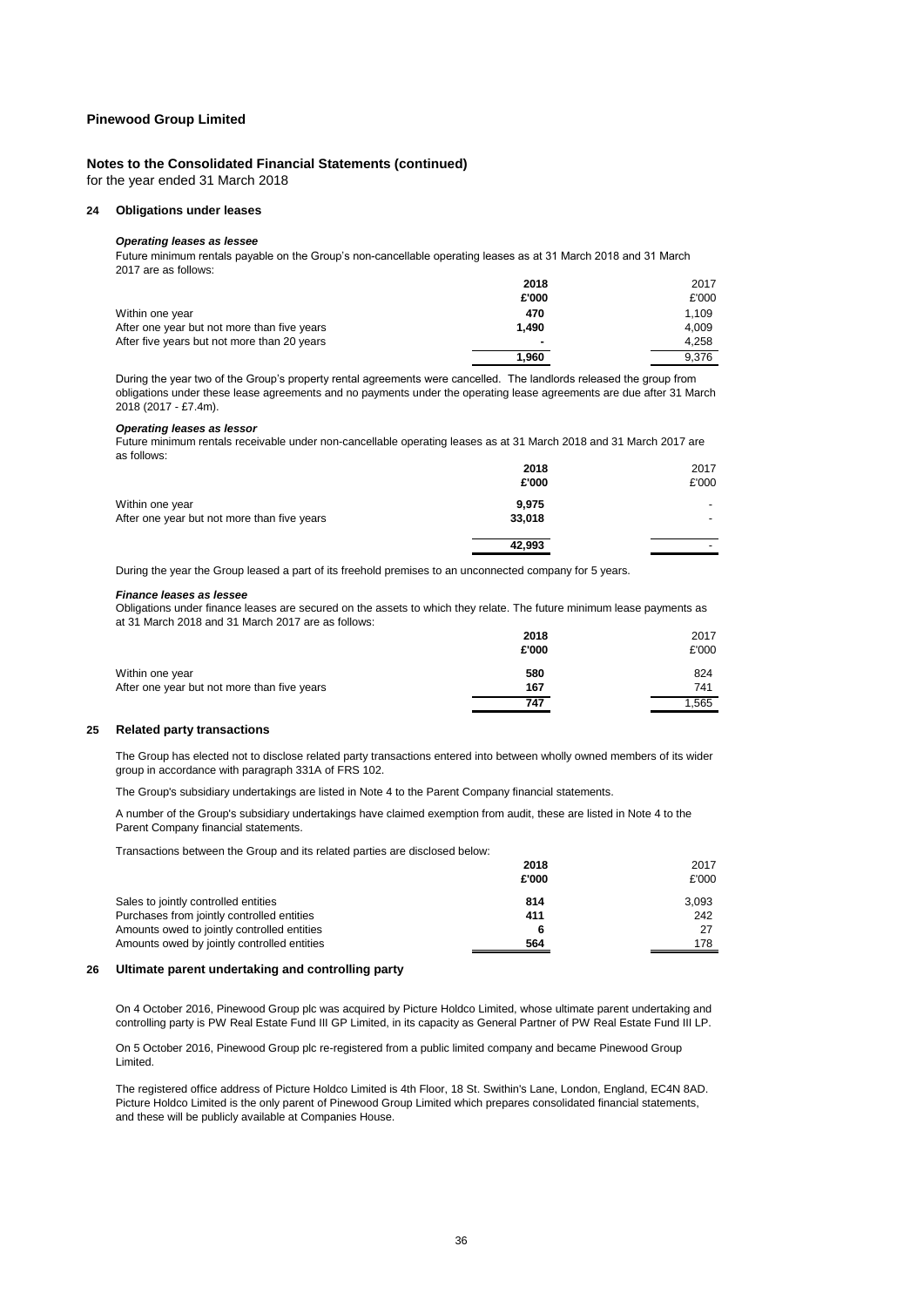### **Notes to the Consolidated Financial Statements (continued)**

for the year ended 31 March 2018

#### **24 Obligations under leases**

#### *Operating leases as lessee*

Future minimum rentals payable on the Group's non-cancellable operating leases as at 31 March 2018 and 31 March 2017 are as follows:

|                                             | 2018  | 2017  |
|---------------------------------------------|-------|-------|
|                                             | £'000 | £'000 |
| Within one year                             | 470   | 1.109 |
| After one year but not more than five years | 1.490 | 4.009 |
| After five years but not more than 20 years | ٠     | 4.258 |
|                                             | 1.960 | 9.376 |

During the year two of the Group's property rental agreements were cancelled. The landlords released the group from obligations under these lease agreements and no payments under the operating lease agreements are due after 31 March 2018 (2017 - £7.4m).

### *Operating leases as lessor*

Future minimum rentals receivable under non-cancellable operating leases as at 31 March 2018 and 31 March 2017 are as follows:

|                                             | 2018   | 2017                     |
|---------------------------------------------|--------|--------------------------|
|                                             | £'000  | £'000                    |
| Within one year                             | 9,975  |                          |
| After one year but not more than five years | 33.018 | $\overline{\phantom{a}}$ |
|                                             | 42.993 | $\overline{\phantom{a}}$ |
|                                             |        |                          |

During the year the Group leased a part of its freehold premises to an unconnected company for 5 years.

#### *Finance leases as lessee*

Obligations under finance leases are secured on the assets to which they relate. The future minimum lease payments as at 31 March 2018 and 31 March 2017 are as follows:

|                                             | 2018  | 2017  |
|---------------------------------------------|-------|-------|
|                                             | £'000 | £'000 |
| Within one year                             | 580   | 824   |
| After one year but not more than five years | 167   | 741   |
|                                             | 747   | .565  |

### **25 Related party transactions**

The Group has elected not to disclose related party transactions entered into between wholly owned members of its wider group in accordance with paragraph 331A of FRS 102.

The Group's subsidiary undertakings are listed in Note 4 to the Parent Company financial statements.

A number of the Group's subsidiary undertakings have claimed exemption from audit, these are listed in Note 4 to the Parent Company financial statements.

Transactions between the Group and its related parties are disclosed below:

|                                             | 2018  | 2017  |
|---------------------------------------------|-------|-------|
|                                             | £'000 | £'000 |
| Sales to jointly controlled entities        | 814   | 3.093 |
| Purchases from jointly controlled entities  | 411   | 242   |
| Amounts owed to jointly controlled entities |       | 27    |
| Amounts owed by jointly controlled entities | 564   | 178   |

### **26 Ultimate parent undertaking and controlling party**

On 4 October 2016, Pinewood Group plc was acquired by Picture Holdco Limited, whose ultimate parent undertaking and controlling party is PW Real Estate Fund III GP Limited, in its capacity as General Partner of PW Real Estate Fund III LP.

On 5 October 2016, Pinewood Group plc re-registered from a public limited company and became Pinewood Group Limited.

The registered office address of Picture Holdco Limited is 4th Floor, 18 St. Swithin's Lane, London, England, EC4N 8AD. Picture Holdco Limited is the only parent of Pinewood Group Limited which prepares consolidated financial statements, and these will be publicly available at Companies House.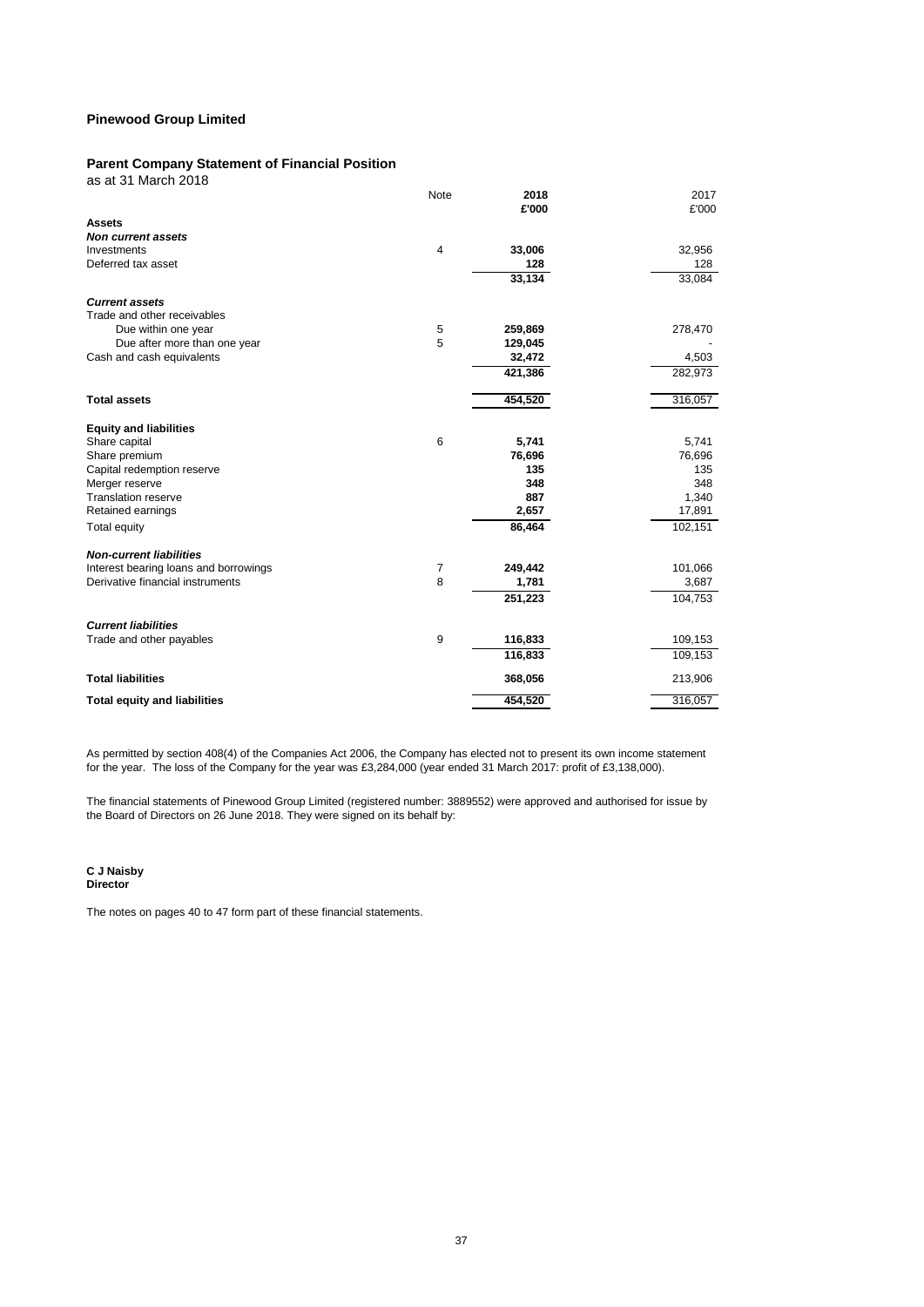## **Parent Company Statement of Financial Position**

as at 31 March 2018

|                                       | Note | 2018<br>£'000 | 2017<br>£'000 |
|---------------------------------------|------|---------------|---------------|
| Assets                                |      |               |               |
| <b>Non current assets</b>             |      |               |               |
| Investments                           | 4    | 33,006        | 32,956        |
| Deferred tax asset                    |      | 128           | 128           |
|                                       |      | 33,134        | 33,084        |
| <b>Current assets</b>                 |      |               |               |
| Trade and other receivables           |      |               |               |
| Due within one year                   | 5    | 259,869       | 278,470       |
| Due after more than one year          | 5    | 129,045       |               |
| Cash and cash equivalents             |      | 32,472        | 4,503         |
|                                       |      | 421,386       | 282,973       |
| <b>Total assets</b>                   |      | 454,520       | 316,057       |
| <b>Equity and liabilities</b>         |      |               |               |
| Share capital                         | 6    | 5,741         | 5,741         |
| Share premium                         |      | 76,696        | 76,696        |
| Capital redemption reserve            |      | 135           | 135           |
| Merger reserve                        |      | 348           | 348           |
| <b>Translation reserve</b>            |      | 887           | 1,340         |
| Retained earnings                     |      | 2,657         | 17,891        |
| Total equity                          |      | 86,464        | 102,151       |
| <b>Non-current liabilities</b>        |      |               |               |
| Interest bearing loans and borrowings | 7    | 249,442       | 101,066       |
| Derivative financial instruments      | 8    | 1,781         | 3,687         |
|                                       |      | 251,223       | 104,753       |
| <b>Current liabilities</b>            |      |               |               |
| Trade and other payables              | 9    | 116,833       | 109,153       |
|                                       |      | 116,833       | 109,153       |
| <b>Total liabilities</b>              |      | 368,056       | 213,906       |
| <b>Total equity and liabilities</b>   |      | 454,520       | 316,057       |

As permitted by section 408(4) of the Companies Act 2006, the Company has elected not to present its own income statement for the year. The loss of the Company for the year was £3,284,000 (year ended 31 March 2017: profit of £3,138,000).

The financial statements of Pinewood Group Limited (registered number: 3889552) were approved and authorised for issue by the Board of Directors on 26 June 2018. They were signed on its behalf by:

#### **C J Naisby Director**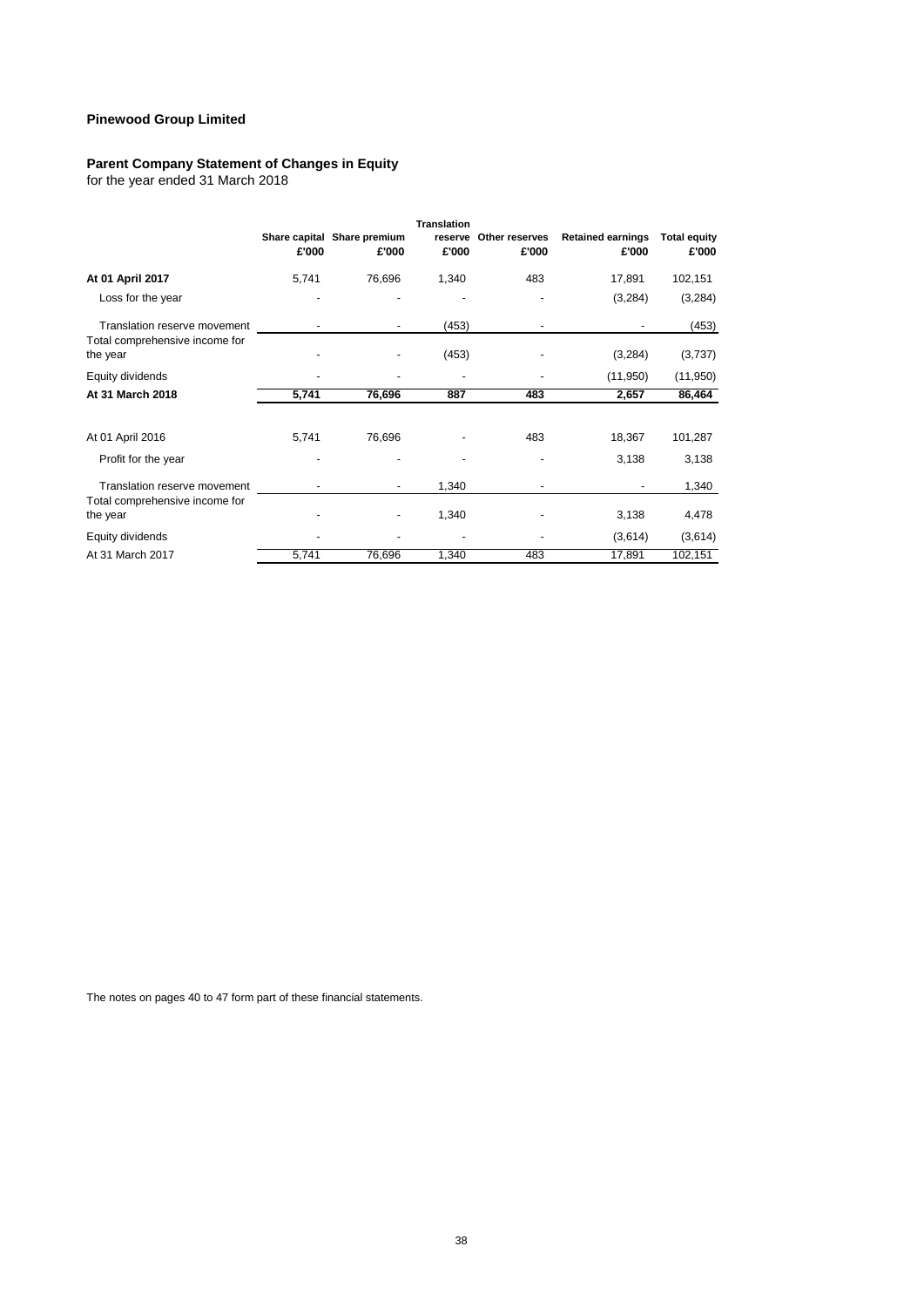### **Parent Company Statement of Changes in Equity**

for the year ended 31 March 2018

|                                            | £'000 | Share capital Share premium<br>£'000 | <b>Translation</b><br>reserve<br>£'000 | Other reserves<br>£'000 | <b>Retained earnings</b><br>£'000 | <b>Total equity</b><br>£'000 |
|--------------------------------------------|-------|--------------------------------------|----------------------------------------|-------------------------|-----------------------------------|------------------------------|
| At 01 April 2017                           | 5,741 | 76,696                               | 1,340                                  | 483                     | 17,891                            | 102,151                      |
| Loss for the year                          |       |                                      |                                        |                         | (3,284)                           | (3,284)                      |
| Translation reserve movement               |       |                                      | (453)                                  |                         |                                   | (453)                        |
| Total comprehensive income for<br>the year |       |                                      | (453)                                  |                         | (3,284)                           | (3,737)                      |
| Equity dividends                           |       |                                      |                                        |                         | (11, 950)                         | (11, 950)                    |
| At 31 March 2018                           | 5,741 | 76,696                               | 887                                    | 483                     | 2,657                             | 86,464                       |
| At 01 April 2016                           | 5,741 | 76,696                               |                                        | 483                     | 18,367                            | 101,287                      |
| Profit for the year                        |       |                                      |                                        |                         | 3,138                             | 3,138                        |
| Translation reserve movement               |       |                                      | 1,340                                  |                         |                                   | 1,340                        |
| Total comprehensive income for<br>the year |       |                                      | 1,340                                  |                         | 3,138                             | 4,478                        |
| Equity dividends                           |       |                                      |                                        |                         | (3,614)                           | (3,614)                      |
| At 31 March 2017                           | 5,741 | 76,696                               | 1,340                                  | 483                     | 17,891                            | 102,151                      |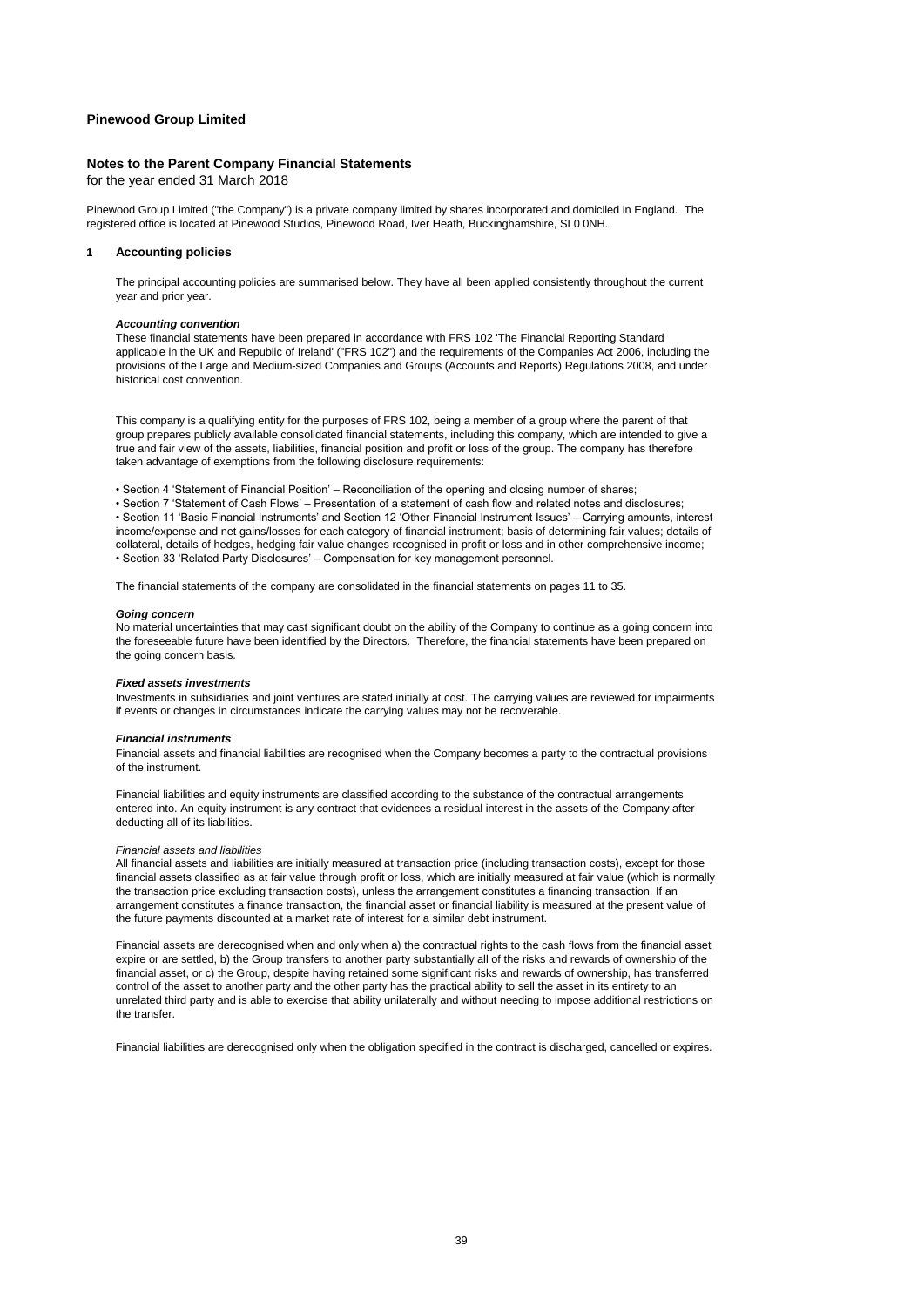### **Notes to the Parent Company Financial Statements**

for the year ended 31 March 2018

Pinewood Group Limited ("the Company") is a private company limited by shares incorporated and domiciled in England. The registered office is located at Pinewood Studios, Pinewood Road, Iver Heath, Buckinghamshire, SL0 0NH.

### **1 Accounting policies**

The principal accounting policies are summarised below. They have all been applied consistently throughout the current year and prior year.

#### *Accounting convention*

These financial statements have been prepared in accordance with FRS 102 'The Financial Reporting Standard applicable in the UK and Republic of Ireland' ("FRS 102") and the requirements of the Companies Act 2006, including the provisions of the Large and Medium-sized Companies and Groups (Accounts and Reports) Regulations 2008, and under historical cost convention.

This company is a qualifying entity for the purposes of FRS 102, being a member of a group where the parent of that group prepares publicly available consolidated financial statements, including this company, which are intended to give a true and fair view of the assets, liabilities, financial position and profit or loss of the group. The company has therefore taken advantage of exemptions from the following disclosure requirements:

• Section 4 'Statement of Financial Position' – Reconciliation of the opening and closing number of shares;

• Section 7 'Statement of Cash Flows' – Presentation of a statement of cash flow and related notes and disclosures; • Section 11 'Basic Financial Instruments' and Section 12 'Other Financial Instrument Issues' – Carrying amounts, interest income/expense and net gains/losses for each category of financial instrument; basis of determining fair values; details of collateral, details of hedges, hedging fair value changes recognised in profit or loss and in other comprehensive income; • Section 33 'Related Party Disclosures' – Compensation for key management personnel.

The financial statements of the company are consolidated in the financial statements on pages 11 to 35.

#### *Going concern*

No material uncertainties that may cast significant doubt on the ability of the Company to continue as a going concern into the foreseeable future have been identified by the Directors. Therefore, the financial statements have been prepared on the going concern basis.

#### *Fixed assets investments*

Investments in subsidiaries and joint ventures are stated initially at cost. The carrying values are reviewed for impairments if events or changes in circumstances indicate the carrying values may not be recoverable.

#### *Financial instruments*

Financial assets and financial liabilities are recognised when the Company becomes a party to the contractual provisions of the instrument.

Financial liabilities and equity instruments are classified according to the substance of the contractual arrangements entered into. An equity instrument is any contract that evidences a residual interest in the assets of the Company after deducting all of its liabilities.

#### *Financial assets and liabilities*

All financial assets and liabilities are initially measured at transaction price (including transaction costs), except for those financial assets classified as at fair value through profit or loss, which are initially measured at fair value (which is normally the transaction price excluding transaction costs), unless the arrangement constitutes a financing transaction. If an arrangement constitutes a finance transaction, the financial asset or financial liability is measured at the present value of the future payments discounted at a market rate of interest for a similar debt instrument.

Financial assets are derecognised when and only when a) the contractual rights to the cash flows from the financial asset expire or are settled, b) the Group transfers to another party substantially all of the risks and rewards of ownership of the financial asset, or c) the Group, despite having retained some significant risks and rewards of ownership, has transferred control of the asset to another party and the other party has the practical ability to sell the asset in its entirety to an unrelated third party and is able to exercise that ability unilaterally and without needing to impose additional restrictions on the transfer.

Financial liabilities are derecognised only when the obligation specified in the contract is discharged, cancelled or expires.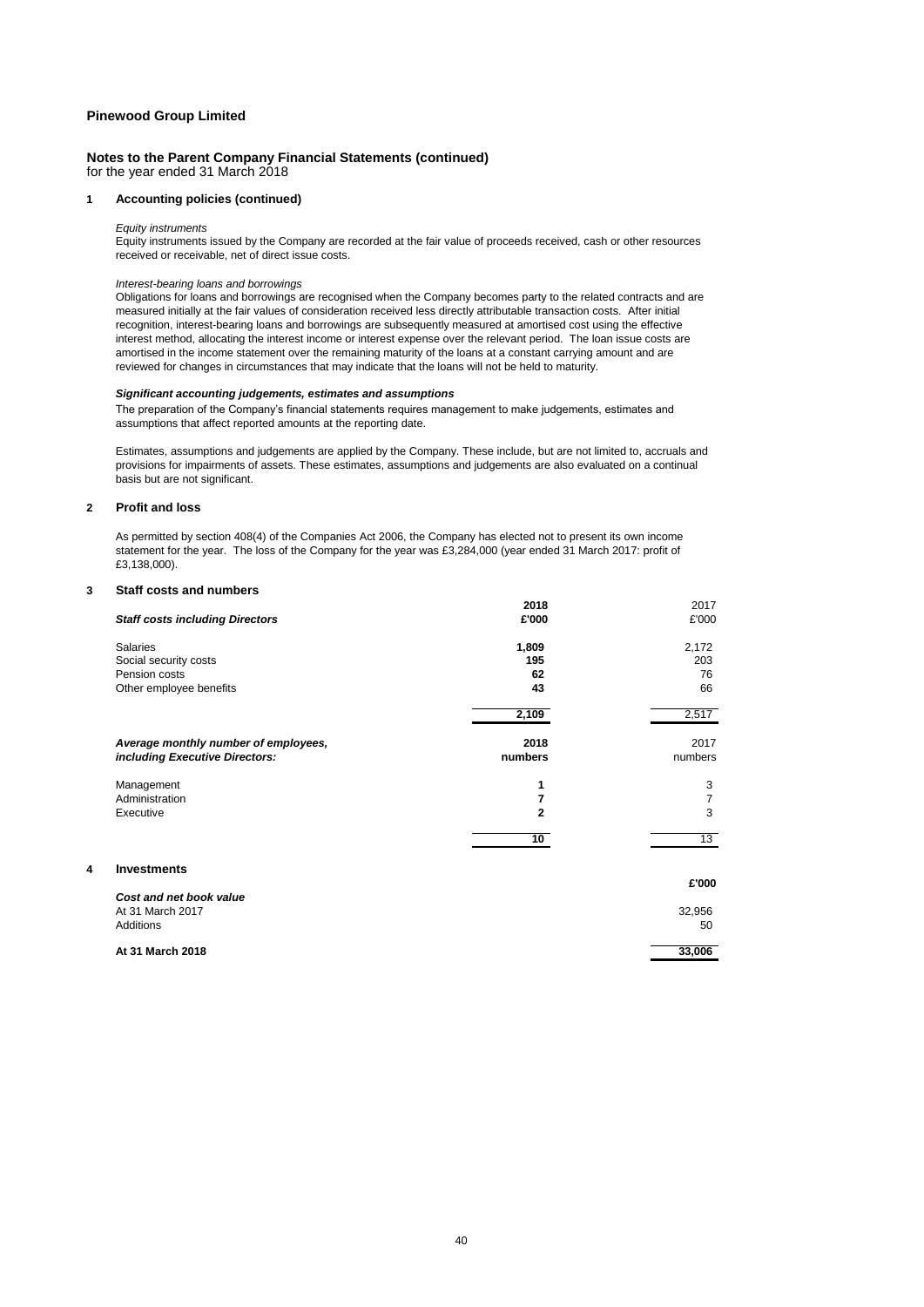### **Notes to the Parent Company Financial Statements (continued)**

for the year ended 31 March 2018

#### **1 Accounting policies (continued)**

#### *Equity instruments*

Equity instruments issued by the Company are recorded at the fair value of proceeds received, cash or other resources received or receivable, net of direct issue costs.

### *Interest-bearing loans and borrowings*

Obligations for loans and borrowings are recognised when the Company becomes party to the related contracts and are measured initially at the fair values of consideration received less directly attributable transaction costs. After initial recognition, interest-bearing loans and borrowings are subsequently measured at amortised cost using the effective interest method, allocating the interest income or interest expense over the relevant period. The loan issue costs are amortised in the income statement over the remaining maturity of the loans at a constant carrying amount and are reviewed for changes in circumstances that may indicate that the loans will not be held to maturity.

#### *Significant accounting judgements, estimates and assumptions*

The preparation of the Company's financial statements requires management to make judgements, estimates and assumptions that affect reported amounts at the reporting date.

Estimates, assumptions and judgements are applied by the Company. These include, but are not limited to, accruals and provisions for impairments of assets. These estimates, assumptions and judgements are also evaluated on a continual basis but are not significant.

### **2 Profit and loss**

As permitted by section 408(4) of the Companies Act 2006, the Company has elected not to present its own income statement for the year. The loss of the Company for the year was £3,284,000 (year ended 31 March 2017: profit of £3,138,000).

#### **3 Staff costs and numbers**

|   | <b>Staff costs including Directors</b> | 2018<br>£'000  | 2017<br>£'000  |
|---|----------------------------------------|----------------|----------------|
|   |                                        |                |                |
|   | <b>Salaries</b>                        | 1,809          | 2,172          |
|   | Social security costs                  | 195            | 203            |
|   | Pension costs                          | 62             | 76             |
|   | Other employee benefits                | 43             | 66             |
|   |                                        | 2,109          | 2,517          |
|   | Average monthly number of employees,   | 2018           | 2017           |
|   | including Executive Directors:         | numbers        | numbers        |
|   | Management                             | 1              | 3              |
|   | Administration                         | 7              | $\overline{7}$ |
|   | Executive                              | $\overline{2}$ | 3              |
|   |                                        | 10             | 13             |
| 4 | <b>Investments</b>                     |                |                |
|   | Cost and net book value                |                | £'000          |
|   | At 31 March 2017                       |                | 32,956         |
|   | Additions                              |                | 50             |
|   | At 31 March 2018                       |                | 33,006         |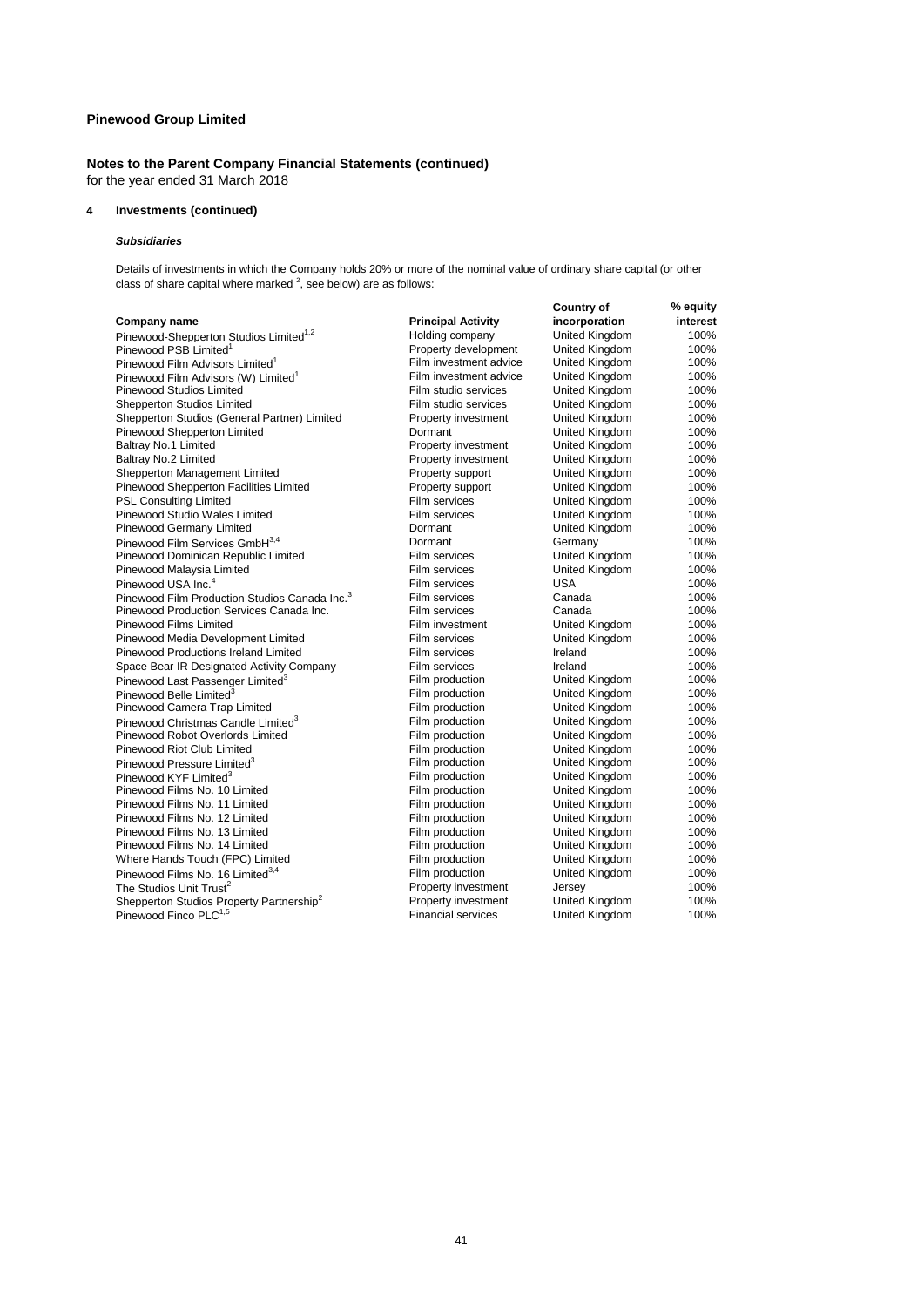## **Notes to the Parent Company Financial Statements (continued)** for the year ended 31 March 2018

## **4 Investments (continued)**

### *Subsidiaries*

Details of investments in which the Company holds 20% or more of the nominal value of ordinary share capital (or other class of share capital where marked  $2$ , see below) are as follows:

|                                                           |                           | <b>Country of</b>     | % equity |
|-----------------------------------------------------------|---------------------------|-----------------------|----------|
| Company name                                              | <b>Principal Activity</b> | incorporation         | interest |
| Pinewood-Shepperton Studios Limited <sup>1,2</sup>        | Holding company           | United Kingdom        | 100%     |
| Pinewood PSB Limited <sup>1</sup>                         | Property development      | United Kingdom        | 100%     |
| Pinewood Film Advisors Limited <sup>1</sup>               | Film investment advice    | United Kingdom        | 100%     |
| Pinewood Film Advisors (W) Limited <sup>1</sup>           | Film investment advice    | United Kingdom        | 100%     |
| <b>Pinewood Studios Limited</b>                           | Film studio services      | United Kingdom        | 100%     |
| <b>Shepperton Studios Limited</b>                         | Film studio services      | United Kingdom        | 100%     |
| Shepperton Studios (General Partner) Limited              | Property investment       | United Kingdom        | 100%     |
| Pinewood Shepperton Limited                               | Dormant                   | United Kingdom        | 100%     |
| Baltray No.1 Limited                                      | Property investment       | United Kingdom        | 100%     |
| Baltray No.2 Limited                                      | Property investment       | United Kingdom        | 100%     |
| Shepperton Management Limited                             | Property support          | United Kingdom        | 100%     |
| Pinewood Shepperton Facilities Limited                    | Property support          | United Kingdom        | 100%     |
| <b>PSL Consulting Limited</b>                             | Film services             | United Kingdom        | 100%     |
| Pinewood Studio Wales Limited                             | Film services             | United Kingdom        | 100%     |
| Pinewood Germany Limited                                  | Dormant                   | United Kingdom        | 100%     |
| Pinewood Film Services GmbH <sup>3,4</sup>                | Dormant                   | Germany               | 100%     |
| Pinewood Dominican Republic Limited                       | Film services             | <b>United Kingdom</b> | 100%     |
| Pinewood Malaysia Limited                                 | Film services             | United Kingdom        | 100%     |
| Pinewood USA Inc. <sup>4</sup>                            | Film services             | USA                   | 100%     |
| Pinewood Film Production Studios Canada Inc. <sup>3</sup> | Film services             | Canada                | 100%     |
| Pinewood Production Services Canada Inc.                  | Film services             | Canada                | 100%     |
| Pinewood Films Limited                                    | Film investment           | United Kingdom        | 100%     |
| Pinewood Media Development Limited                        | Film services             | United Kingdom        | 100%     |
| <b>Pinewood Productions Ireland Limited</b>               | Film services             | Ireland               | 100%     |
| Space Bear IR Designated Activity Company                 | Film services             | Ireland               | 100%     |
| Pinewood Last Passenger Limited <sup>3</sup>              | Film production           | United Kingdom        | 100%     |
| Pinewood Belle Limited <sup>3</sup>                       | Film production           | United Kingdom        | 100%     |
| Pinewood Camera Trap Limited                              | Film production           | United Kingdom        | 100%     |
| Pinewood Christmas Candle Limited <sup>3</sup>            | Film production           | United Kingdom        | 100%     |
| Pinewood Robot Overlords Limited                          | Film production           | United Kingdom        | 100%     |
| Pinewood Riot Club Limited                                | Film production           | United Kingdom        | 100%     |
| Pinewood Pressure Limited <sup>3</sup>                    | Film production           | United Kingdom        | 100%     |
| Pinewood KYF Limited <sup>3</sup>                         | Film production           | United Kingdom        | 100%     |
| Pinewood Films No. 10 Limited                             | Film production           | United Kingdom        | 100%     |
| Pinewood Films No. 11 Limited                             | Film production           | United Kingdom        | 100%     |
| Pinewood Films No. 12 Limited                             | Film production           | United Kingdom        | 100%     |
| Pinewood Films No. 13 Limited                             | Film production           | United Kingdom        | 100%     |
| Pinewood Films No. 14 Limited                             | Film production           | United Kingdom        | 100%     |
| Where Hands Touch (FPC) Limited                           | Film production           | United Kingdom        | 100%     |
| Pinewood Films No. 16 Limited <sup>3,4</sup>              | Film production           | United Kingdom        | 100%     |
| The Studios Unit Trust <sup>2</sup>                       | Property investment       | Jersey                | 100%     |
| Shepperton Studios Property Partnership <sup>2</sup>      | Property investment       | United Kingdom        | 100%     |
| Pinewood Finco PLC <sup>1,5</sup>                         | <b>Financial services</b> | <b>United Kingdom</b> | 100%     |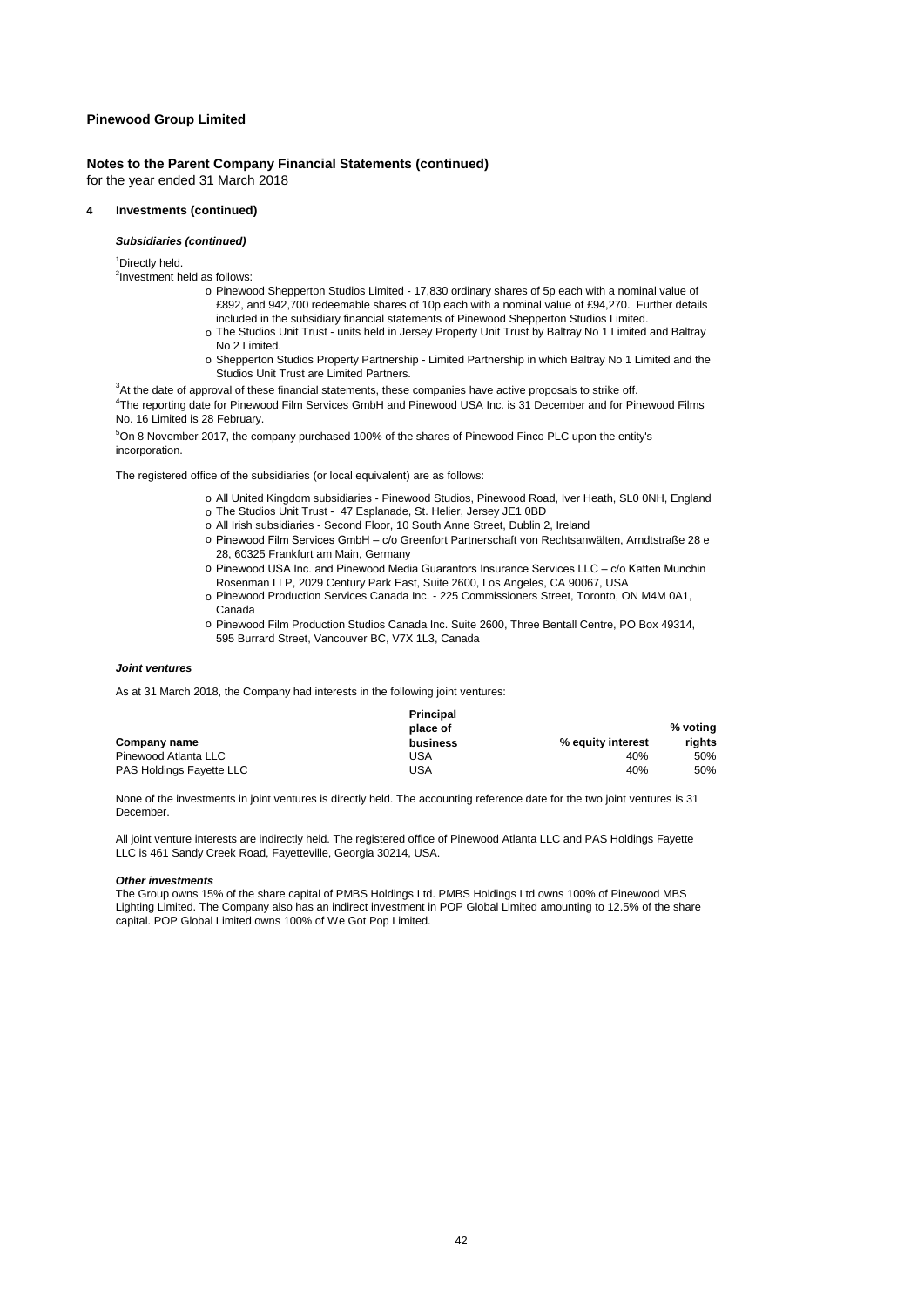### **Notes to the Parent Company Financial Statements (continued)** for the year ended 31 March 2018

#### **4 Investments (continued)**

#### *Subsidiaries (continued)*

#### <sup>1</sup>Directly held.

2 Investment held as follows:

- o Pinewood Shepperton Studios Limited 17,830 ordinary shares of 5p each with a nominal value of £892, and 942,700 redeemable shares of 10p each with a nominal value of £94,270. Further details included in the subsidiary financial statements of Pinewood Shepperton Studios Limited.
- o The Studios Unit Trust units held in Jersey Property Unit Trust by Baltray No 1 Limited and Baltray No 2 Limited.
- o Shepperton Studios Property Partnership Limited Partnership in which Baltray No 1 Limited and the Studios Unit Trust are Limited Partners.

4 The reporting date for Pinewood Film Services GmbH and Pinewood USA Inc. is 31 December and for Pinewood Films No. 16 Limited is 28 February. <sup>3</sup>At the date of approval of these financial statements, these companies have active proposals to strike off.

<sup>5</sup>On 8 November 2017, the company purchased 100% of the shares of Pinewood Finco PLC upon the entity's incorporation.

The registered office of the subsidiaries (or local equivalent) are as follows:

- o All United Kingdom subsidiaries Pinewood Studios, Pinewood Road, Iver Heath, SL0 0NH, England
- o The Studios Unit Trust 47 Esplanade, St. Helier, Jersey JE1 0BD
- o All Irish subsidiaries Second Floor, 10 South Anne Street, Dublin 2, Ireland
- o Pinewood Film Services GmbH c/o Greenfort Partnerschaft von Rechtsanwälten, Arndtstraße 28 e 28, 60325 Frankfurt am Main, Germany
- o Pinewood USA Inc. and Pinewood Media Guarantors Insurance Services LLC c/o Katten Munchin Rosenman LLP, 2029 Century Park East, Suite 2600, Los Angeles, CA 90067, USA
- o Pinewood Production Services Canada Inc. 225 Commissioners Street, Toronto, ON M4M 0A1, Canada
- o Pinewood Film Production Studios Canada Inc. Suite 2600, Three Bentall Centre, PO Box 49314, 595 Burrard Street, Vancouver BC, V7X 1L3, Canada

#### *Joint ventures*

As at 31 March 2018, the Company had interests in the following joint ventures:

|                          | <b>Principal</b> |                   |          |
|--------------------------|------------------|-------------------|----------|
|                          | place of         |                   | % votina |
| Company name             | business         | % equity interest | riahts   |
| Pinewood Atlanta LLC     | USA              | 40%               | 50%      |
| PAS Holdings Fayette LLC | USA              | 40%               | 50%      |

None of the investments in joint ventures is directly held. The accounting reference date for the two joint ventures is 31 **December** 

All joint venture interests are indirectly held. The registered office of Pinewood Atlanta LLC and PAS Holdings Fayette LLC is 461 Sandy Creek Road, Fayetteville, Georgia 30214, USA.

#### *Other investments*

The Group owns 15% of the share capital of PMBS Holdings Ltd. PMBS Holdings Ltd owns 100% of Pinewood MBS Lighting Limited. The Company also has an indirect investment in POP Global Limited amounting to 12.5% of the share capital. POP Global Limited owns 100% of We Got Pop Limited.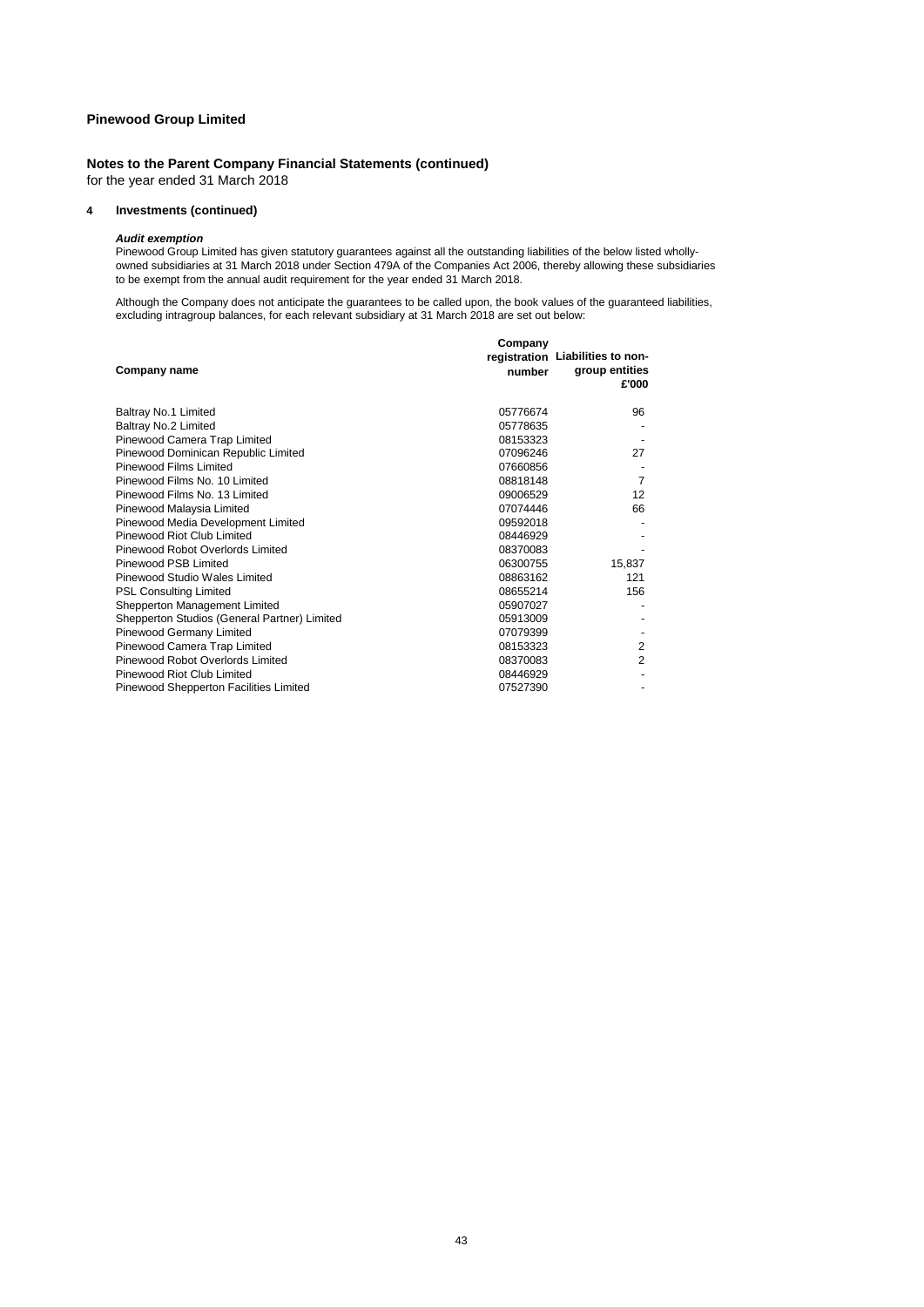# **Notes to the Parent Company Financial Statements (continued)**

for the year ended 31 March 2018

### **4 Investments (continued)**

#### *Audit exemption*

Pinewood Group Limited has given statutory guarantees against all the outstanding liabilities of the below listed whollyowned subsidiaries at 31 March 2018 under Section 479A of the Companies Act 2006, thereby allowing these subsidiaries to be exempt from the annual audit requirement for the year ended 31 March 2018.

Although the Company does not anticipate the guarantees to be called upon, the book values of the guaranteed liabilities, excluding intragroup balances, for each relevant subsidiary at 31 March 2018 are set out below:

|                                              | Company  |                                  |
|----------------------------------------------|----------|----------------------------------|
|                                              |          | registration Liabilities to non- |
| Company name                                 | number   | group entities                   |
|                                              |          | £'000                            |
| Baltray No.1 Limited                         | 05776674 | 96                               |
| Baltray No.2 Limited                         | 05778635 |                                  |
| Pinewood Camera Trap Limited                 | 08153323 |                                  |
| Pinewood Dominican Republic Limited          | 07096246 | 27                               |
| Pinewood Films Limited                       | 07660856 |                                  |
| Pinewood Films No. 10 Limited                | 08818148 | $\overline{7}$                   |
| Pinewood Films No. 13 Limited                | 09006529 | 12                               |
| Pinewood Malaysia Limited                    | 07074446 | 66                               |
| Pinewood Media Development Limited           | 09592018 |                                  |
| Pinewood Riot Club Limited                   | 08446929 |                                  |
| Pinewood Robot Overlords Limited             | 08370083 |                                  |
| Pinewood PSB Limited                         | 06300755 | 15,837                           |
| Pinewood Studio Wales Limited                | 08863162 | 121                              |
| <b>PSL Consulting Limited</b>                | 08655214 | 156                              |
| Shepperton Management Limited                | 05907027 |                                  |
| Shepperton Studios (General Partner) Limited | 05913009 |                                  |
| Pinewood Germany Limited                     | 07079399 |                                  |
| Pinewood Camera Trap Limited                 | 08153323 | $\overline{2}$                   |
| Pinewood Robot Overlords Limited             | 08370083 | $\overline{2}$                   |
| Pinewood Riot Club Limited                   | 08446929 |                                  |
| Pinewood Shepperton Facilities Limited       | 07527390 |                                  |
|                                              |          |                                  |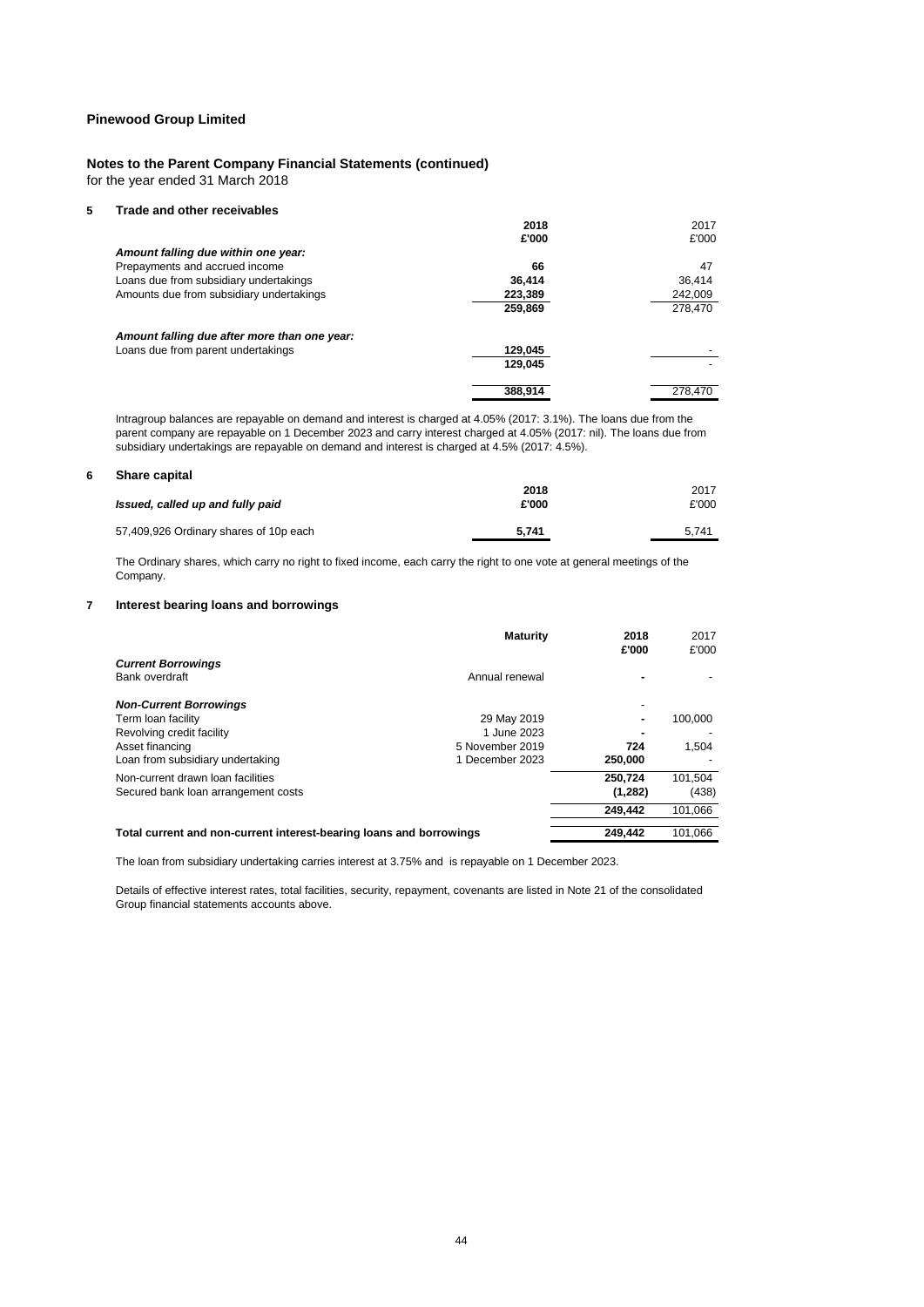# **Notes to the Parent Company Financial Statements (continued)**

for the year ended 31 March 2018

### **5 Trade and other receivables**

|                                              | 2018    | 2017    |
|----------------------------------------------|---------|---------|
|                                              | £'000   | £'000   |
| Amount falling due within one year:          |         |         |
| Prepayments and accrued income               | 66      | 47      |
| Loans due from subsidiary undertakings       | 36.414  | 36.414  |
| Amounts due from subsidiary undertakings     | 223,389 | 242,009 |
|                                              | 259,869 | 278.470 |
| Amount falling due after more than one year: |         |         |
| Loans due from parent undertakings           | 129.045 |         |
|                                              | 129,045 |         |
|                                              | 388,914 | 278.470 |

Intragroup balances are repayable on demand and interest is charged at 4.05% (2017: 3.1%). The loans due from the parent company are repayable on 1 December 2023 and carry interest charged at 4.05% (2017: nil). The loans due from subsidiary undertakings are repayable on demand and interest is charged at 4.5% (2017: 4.5%).

### **6 Share capital**

| Issued, called up and fully paid       | 2018<br>£'000 | 2017<br>£'000 |
|----------------------------------------|---------------|---------------|
| 57,409,926 Ordinary shares of 10p each | 5.741         | 5.741         |

The Ordinary shares, which carry no right to fixed income, each carry the right to one vote at general meetings of the Company.

### **7 Interest bearing loans and borrowings**

|                                                                     | <b>Maturity</b> | 2018<br>£'000 | 2017<br>£'000 |
|---------------------------------------------------------------------|-----------------|---------------|---------------|
| <b>Current Borrowings</b>                                           |                 |               |               |
| Bank overdraft                                                      | Annual renewal  |               |               |
| <b>Non-Current Borrowings</b>                                       |                 |               |               |
| Term loan facility                                                  | 29 May 2019     |               | 100.000       |
| Revolving credit facility                                           | 1 June 2023     |               |               |
| Asset financing                                                     | 5 November 2019 | 724           | 1,504         |
| Loan from subsidiary undertaking                                    | 1 December 2023 | 250,000       |               |
| Non-current drawn loan facilities                                   |                 | 250.724       | 101.504       |
| Secured bank loan arrangement costs                                 |                 | (1,282)       | (438)         |
|                                                                     |                 | 249.442       | 101.066       |
| Total current and non-current interest-bearing loans and borrowings |                 | 249.442       | 101.066       |

The loan from subsidiary undertaking carries interest at 3.75% and is repayable on 1 December 2023.

Details of effective interest rates, total facilities, security, repayment, covenants are listed in Note 21 of the consolidated Group financial statements accounts above.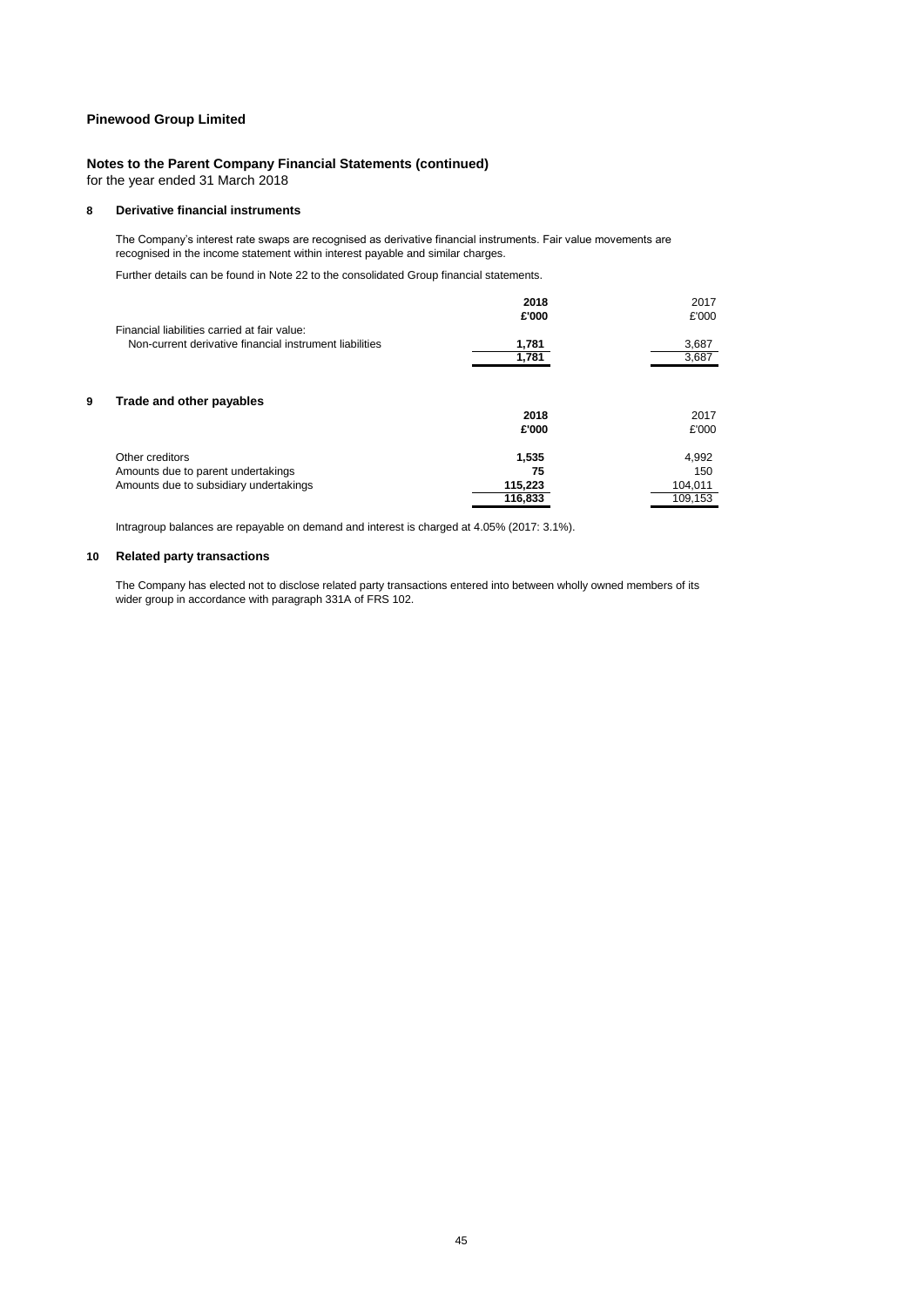### **Notes to the Parent Company Financial Statements (continued)** for the year ended 31 March 2018

### **8 Derivative financial instruments**

The Company's interest rate swaps are recognised as derivative financial instruments. Fair value movements are recognised in the income statement within interest payable and similar charges.

Further details can be found in Note 22 to the consolidated Group financial statements.

|                                                                                                         | 2018<br>£'000  | 2017<br>£'000  |
|---------------------------------------------------------------------------------------------------------|----------------|----------------|
| Financial liabilities carried at fair value:<br>Non-current derivative financial instrument liabilities | 1,781<br>1,781 | 3,687<br>3,687 |
| Trade and other payables<br>9                                                                           |                |                |
|                                                                                                         | 2018           | 2017           |
|                                                                                                         | £'000          | £'000          |
| Other creditors                                                                                         | 1,535          | 4,992          |
| Amounts due to parent undertakings                                                                      | 75             | 150            |
| Amounts due to subsidiary undertakings                                                                  | 115,223        | 104,011        |
|                                                                                                         | 116,833        | 109,153        |

Intragroup balances are repayable on demand and interest is charged at 4.05% (2017: 3.1%).

### **10 Related party transactions**

The Company has elected not to disclose related party transactions entered into between wholly owned members of its wider group in accordance with paragraph 331A of FRS 102.